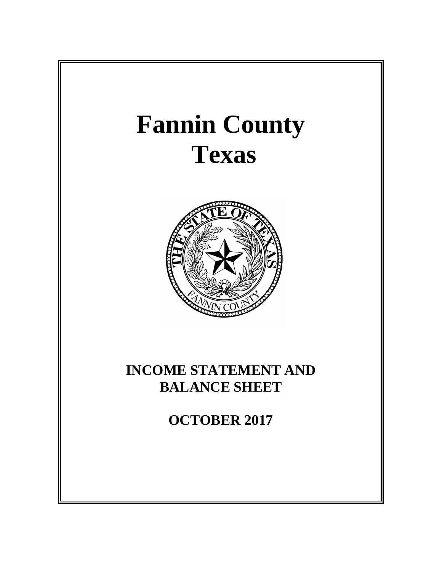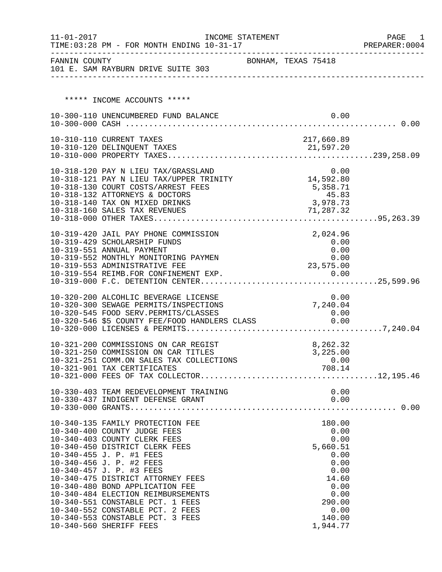| $11 - 01 - 2017$ | TIME: 03:28 PM - FOR MONTH ENDING 10-31-17                                                    | INCOME STATEMENT |                     | PAGE<br>1<br>PREPARER: 0004 |
|------------------|-----------------------------------------------------------------------------------------------|------------------|---------------------|-----------------------------|
| FANNIN COUNTY    | 101 E. SAM RAYBURN DRIVE SUITE 303                                                            |                  | BONHAM, TEXAS 75418 |                             |
|                  |                                                                                               |                  |                     |                             |
|                  | ***** INCOME ACCOUNTS *****                                                                   |                  |                     |                             |
|                  | 10-300-110 UNENCUMBERED FUND BALANCE                                                          |                  | 0.00                |                             |
|                  |                                                                                               |                  |                     |                             |
|                  | 10-310-110 CURRENT TAXES                                                                      |                  | 217,660.89          |                             |
|                  |                                                                                               |                  |                     |                             |
|                  |                                                                                               |                  |                     |                             |
|                  |                                                                                               |                  |                     |                             |
|                  | 10-318-120 PAY N LIEU TAX/GRASSLAND 0.00<br>10-318-121 PAY N LIEU TAX/UPPER TRINITY 14,592.80 |                  |                     |                             |
|                  | 10-318-130 COURT COSTS/ARREST FEES<br>10-318-132 ATTORNEYS & DOCTORS                          |                  | 5,358.71<br>45.83   |                             |
|                  | 10-318-140 TAX ON MIXED DRINKS                                                                |                  | 3,978.73            |                             |
|                  |                                                                                               |                  |                     |                             |
|                  |                                                                                               |                  |                     |                             |
|                  | 10-319-420 JAIL PAY PHONE COMMISSION                                                          |                  | 2,024.96            |                             |
|                  | 10-319-429 SCHOLARSHIP FUNDS                                                                  |                  | 0.00                |                             |
|                  | 10-319-551 ANNUAL PAYMENT                                                                     |                  | 0.00                |                             |
|                  | 10-319-552 MONTHLY MONITORING PAYMEN<br>10-319-553 ADMINISTRATIVE FEE                         |                  | 0.00                |                             |
|                  |                                                                                               |                  | 23,575.00           |                             |
|                  |                                                                                               |                  |                     |                             |
|                  | 10-320-200 ALCOHLIC BEVERAGE LICENSE                                                          |                  | 0.00                |                             |
|                  | 10-320-300 SEWAGE PERMITS/INSPECTIONS                                                         |                  | 7,240.04            |                             |
|                  | 10-320-545 FOOD SERV.PERMITS/CLASSES                                                          |                  | 0.00                |                             |
|                  | 10-320-546 \$5 COUNTY FEE/FOOD HANDLERS CLASS 0.00                                            |                  |                     |                             |
|                  |                                                                                               |                  |                     |                             |
|                  | 10-321-200 COMMISSIONS ON CAR REGIST                                                          |                  | 8,262.32            |                             |
|                  | 10-321-250 COMMISSION ON CAR TITLES                                                           |                  | 3,225.00            |                             |
|                  | 10-321-251 COMM.ON SALES TAX COLLECTIONS<br>10-321-901 TAX CERTIFICATES                       |                  | 0.00<br>708.14      |                             |
|                  |                                                                                               |                  |                     |                             |
|                  |                                                                                               |                  |                     |                             |
|                  |                                                                                               |                  |                     |                             |
|                  |                                                                                               |                  |                     |                             |
|                  |                                                                                               |                  |                     |                             |
|                  | 10-340-135 FAMILY PROTECTION FEE                                                              |                  | 180.00              |                             |
|                  | 10-340-400 COUNTY JUDGE FEES<br>10-340-403 COUNTY CLERK FEES                                  |                  | 0.00<br>0.00        |                             |
|                  | 10-340-450 DISTRICT CLERK FEES                                                                |                  | 5,660.51            |                             |
|                  | 10-340-455 J. P. #1 FEES                                                                      |                  | 0.00                |                             |
|                  | 10-340-456 J. P. #2 FEES                                                                      |                  | 0.00                |                             |
|                  | 10-340-457 J. P. #3 FEES                                                                      |                  | 0.00                |                             |
|                  | 10-340-475 DISTRICT ATTORNEY FEES<br>10-340-480 BOND APPLICATION FEE                          |                  | 14.60<br>0.00       |                             |
|                  | 10-340-484 ELECTION REIMBURSEMENTS                                                            |                  | 0.00                |                             |
|                  | 10-340-551 CONSTABLE PCT. 1 FEES                                                              |                  | 290.00              |                             |
|                  | 10-340-552 CONSTABLE PCT. 2 FEES                                                              |                  | 0.00                |                             |
|                  | 10-340-553 CONSTABLE PCT. 3 FEES                                                              |                  | 140.00              |                             |
|                  | 10-340-560 SHERIFF FEES                                                                       |                  | 1,944.77            |                             |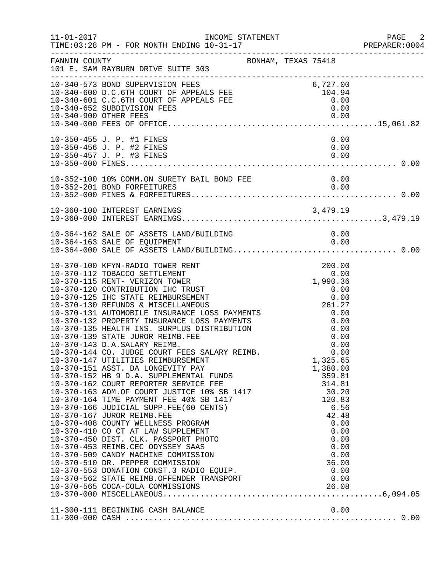|               | INCOME STATEMENT                                                                                                                                                                                                                                                                                                                                                                                                                                                                                                                                                                                                                                                                                                                                                                                                                                                                                                                                                                                                                                                                                                                                                                                                  |                                                                                                                                                                                                         | $\overline{\phantom{0}}$ 2<br>PREPARER: 0004 |
|---------------|-------------------------------------------------------------------------------------------------------------------------------------------------------------------------------------------------------------------------------------------------------------------------------------------------------------------------------------------------------------------------------------------------------------------------------------------------------------------------------------------------------------------------------------------------------------------------------------------------------------------------------------------------------------------------------------------------------------------------------------------------------------------------------------------------------------------------------------------------------------------------------------------------------------------------------------------------------------------------------------------------------------------------------------------------------------------------------------------------------------------------------------------------------------------------------------------------------------------|---------------------------------------------------------------------------------------------------------------------------------------------------------------------------------------------------------|----------------------------------------------|
| FANNIN COUNTY | BONHAM, TEXAS 75418<br>101 E. SAM RAYBURN DRIVE SUITE 303                                                                                                                                                                                                                                                                                                                                                                                                                                                                                                                                                                                                                                                                                                                                                                                                                                                                                                                                                                                                                                                                                                                                                         |                                                                                                                                                                                                         |                                              |
|               | 10-340-573 BOND SUPERVISION FEES<br>10-340-600 D.C.6TH COURT OF APPEALS FEE 104.94<br>10-340-601 C.C.6TH COURT OF APPEALS FEE 10.00<br>10-340-601 C.C.6TH COURT OF APPEALS FEE 0.00<br>10-340-652 SUBDIVISION FEES                                                                                                                                                                                                                                                                                                                                                                                                                                                                                                                                                                                                                                                                                                                                                                                                                                                                                                                                                                                                | 0.00                                                                                                                                                                                                    |                                              |
|               | 10-350-455 J. P. #1 FINES<br>10-350-456 J. P. #2 FINES<br>10-350-457 J. P. #3 FINES                                                                                                                                                                                                                                                                                                                                                                                                                                                                                                                                                                                                                                                                                                                                                                                                                                                                                                                                                                                                                                                                                                                               | 0.00<br>0.00<br>0.00                                                                                                                                                                                    |                                              |
|               | 10-352-100 10% COMM.ON SURETY BAIL BOND FEE 0.00<br>0.00 0.00                                                                                                                                                                                                                                                                                                                                                                                                                                                                                                                                                                                                                                                                                                                                                                                                                                                                                                                                                                                                                                                                                                                                                     |                                                                                                                                                                                                         |                                              |
|               | 10-360-100 INTEREST EARNINGS                                                                                                                                                                                                                                                                                                                                                                                                                                                                                                                                                                                                                                                                                                                                                                                                                                                                                                                                                                                                                                                                                                                                                                                      |                                                                                                                                                                                                         |                                              |
|               |                                                                                                                                                                                                                                                                                                                                                                                                                                                                                                                                                                                                                                                                                                                                                                                                                                                                                                                                                                                                                                                                                                                                                                                                                   |                                                                                                                                                                                                         |                                              |
|               | 10-370-100 KFYN-RADIO TOWER RENT<br>10-370-112 TOBACCO SETTLEMENT<br>10-370-115 RENT- VERIZON TOWER<br>10-370-125 IHC STATE REIMBURSEMENT 0.00<br>10-370-130 REFUNDS & MISCELLANEOUS 261.27<br>10-370-131 AUTOMOBILE INSURANCE LOSS PAYMENTS 0.00<br>10-370-132 PROPERTY INSURANCE LOSS PAYMENTS 0.00<br>10-370-135 HEALTH INS. SURPLUS DISTR<br>10-370-143 D.A.SALARY REIMB.<br>10-370-144 CO. JUDGE COURT FEES SALARY REIMB.<br>10-370-147 UTILITIES REIMBURSEMENT<br>10-370-151 ASST. DA LONGEVITY PAY<br>10-370-151 ASST. DA LONGEVITY PAY<br>10-370-152 HB 9 D.A. SUPPLEMENTAL FUNDS<br>10-370-162 COURT REPORTER SERVICE FEE<br>10-370-163 ADM.OF COURT JUSTICE 10% SB 1417<br>10-370-164 TIME PAYMENT FEE 40% SB 1417<br>10-370-166 JUDICIAL SUPP.F<br>10-370-408 COUNTY WELLNESS PROGRAM<br>10-370-410 CO CT AT LAW SUPPLEMENT<br>10-370-450 DIST. CLK. PASSPORT PHOTO<br>10-370-453 REIMB.CEC ODYSSEY SAAS<br>10-370-509 CANDY MACHINE COMMISSION<br>10-370-510 DR. PEPPER COMMISSION<br>10-370-510 DR. PEPPER COMMISSION 36.00<br>10-370-553 DONATION CONST.3 RADIO EQUIP. 0.00<br>10-370-562 STATE REIMB.OFFENDER TRANSPORT 0.00<br>10-370-565 COCA-COLA COMMISSIONS 26.08<br>10-370-000 MISCELLANEOUS | 200.00<br>0.00<br>1,990.36<br>$0.00$<br>0.00<br>0.00<br>0.00<br>1,325.65<br>1,380.00<br>359.81<br>314.81<br>30.20<br>120.83<br>6.56<br>42.48<br>$0.00$<br>$0.00$<br>$0.00$<br>$36.00$<br>$0.00$<br>0.00 |                                              |
|               |                                                                                                                                                                                                                                                                                                                                                                                                                                                                                                                                                                                                                                                                                                                                                                                                                                                                                                                                                                                                                                                                                                                                                                                                                   |                                                                                                                                                                                                         |                                              |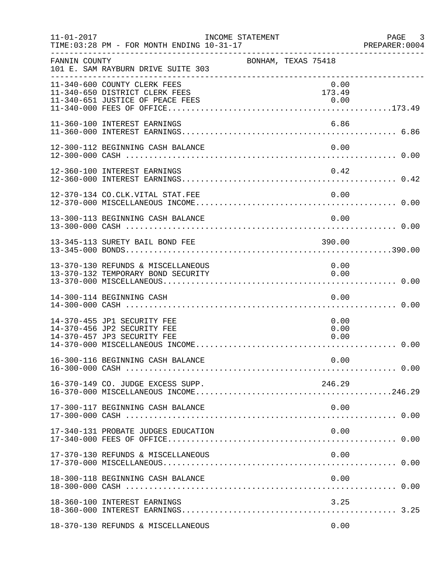| $11 - 01 - 2017$ | TIME: 03:28 PM - FOR MONTH ENDING 10-31-17                                                         | INCOME STATEMENT | PREPAREF<br>---------------------------------- | PAGE 3<br>PREPARER:0004 |
|------------------|----------------------------------------------------------------------------------------------------|------------------|------------------------------------------------|-------------------------|
| FANNIN COUNTY    | 101 E. SAM RAYBURN DRIVE SUITE 303                                                                 |                  | BONHAM, TEXAS 75418                            |                         |
|                  | 11-340-600 COUNTY CLERK FEES<br>11-340-650 DISTRICT CLERK FEES<br>11-340-651 JUSTICE OF PEACE FEES |                  | 0.00<br>173.49                                 |                         |
|                  | 11-360-100 INTEREST EARNINGS                                                                       |                  | 6.86                                           |                         |
|                  | 12-300-112 BEGINNING CASH BALANCE                                                                  |                  | 0.00                                           |                         |
|                  | 12-360-100 INTEREST EARNINGS                                                                       |                  | 0.42                                           |                         |
|                  | 12-370-134 CO.CLK.VITAL STAT.FEE                                                                   |                  | 0.00                                           |                         |
|                  | 13-300-113 BEGINNING CASH BALANCE                                                                  |                  | 0.00                                           |                         |
|                  | 13-345-113 SURETY BAIL BOND FEE                                                                    |                  | 390.00                                         |                         |
|                  | 13-370-130 REFUNDS & MISCELLANEOUS<br>13-370-132 TEMPORARY BOND SECURITY                           |                  | 0.00<br>0.00                                   |                         |
|                  | 14-300-114 BEGINNING CASH                                                                          |                  | 0.00                                           |                         |
|                  | 14-370-455 JP1 SECURITY FEE<br>14-370-456 JP2 SECURITY FEE<br>14-370-457 JP3 SECURITY FEE          |                  | 0.00<br>0.00<br>0.00                           |                         |
|                  |                                                                                                    |                  |                                                |                         |
|                  | 16-370-149 CO. JUDGE EXCESS SUPP.                                                                  |                  | 246.29                                         |                         |
|                  | 17-300-117 BEGINNING CASH BALANCE                                                                  |                  | 0.00                                           |                         |
|                  | 17-340-131 PROBATE JUDGES EDUCATION                                                                |                  | 0.00                                           |                         |
|                  | 17-370-130 REFUNDS & MISCELLANEOUS                                                                 |                  | 0.00                                           |                         |
|                  | 18-300-118 BEGINNING CASH BALANCE                                                                  |                  | 0.00                                           |                         |
|                  | 18-360-100 INTEREST EARNINGS                                                                       |                  | 3.25                                           |                         |
|                  | 18-370-130 REFUNDS & MISCELLANEOUS                                                                 |                  | 0.00                                           |                         |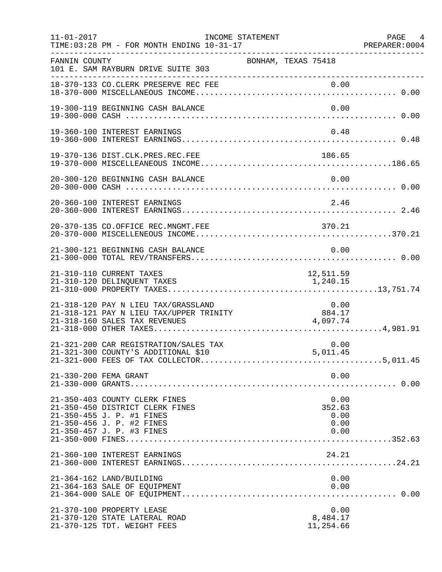| $11 - 01 - 2017$ | TIME: 03:28 PM - FOR MONTH ENDING 10-31-17                                                                                                              | INCOME STATEMENT         |                     |                                        | PAGE 4<br>PREPARER: 0004 |
|------------------|---------------------------------------------------------------------------------------------------------------------------------------------------------|--------------------------|---------------------|----------------------------------------|--------------------------|
| FANNIN COUNTY    | 101 E. SAM RAYBURN DRIVE SUITE 303                                                                                                                      |                          | BONHAM, TEXAS 75418 |                                        |                          |
|                  | 18-370-133 CO.CLERK PRESERVE REC FEE                                                                                                                    |                          |                     |                                        |                          |
|                  | 19-300-119 BEGINNING CASH BALANCE                                                                                                                       |                          |                     | 0.00                                   |                          |
|                  | 19-360-100 INTEREST EARNINGS                                                                                                                            |                          |                     | 0.48                                   |                          |
|                  |                                                                                                                                                         |                          |                     | 186.65                                 |                          |
|                  |                                                                                                                                                         |                          |                     |                                        |                          |
|                  | 20-360-100 INTEREST EARNINGS                                                                                                                            |                          |                     | 2.46                                   |                          |
|                  | 20-370-135 CO.OFFICE REC.MNGMT.FEE                                                                                                                      |                          |                     | 370.21                                 |                          |
|                  | 21-300-121 BEGINNING CASH BALANCE                                                                                                                       |                          |                     | 0.00                                   |                          |
|                  | 21-310-110 CURRENT TAXES<br>21-310-120 DELINQUENT TAXES                                                                                                 |                          | 1,240.15            | 12,511.59                              |                          |
|                  | 21-318-120 PAY N LIEU TAX/GRASSLAND<br>21-318-121 PAY N LIEU TAX/UPPER TRINITY<br>21-318-160 SALES TAX REVENUES                                         | ENITY 884.17<br>4,097.74 |                     | 0.00                                   |                          |
|                  | 21-321-200 CAR REGISTRATION/SALES TAX<br>21-321-300 COUNTY'S ADDITIONAL \$10                                                                            |                          |                     | 0.00<br>5,011.45                       |                          |
|                  | 21-330-200 FEMA GRANT                                                                                                                                   |                          |                     | 0.00                                   |                          |
|                  | 21-350-403 COUNTY CLERK FINES<br>21-350-450 DISTRICT CLERK FINES<br>21-350-455 J. P. #1 FINES<br>21-350-456 J. P. #2 FINES<br>21-350-457 J. P. #3 FINES |                          |                     | 0.00<br>352.63<br>0.00<br>0.00<br>0.00 |                          |
|                  | 21-360-100 INTEREST EARNINGS                                                                                                                            |                          |                     | 24.21                                  |                          |
|                  | 21-364-162 LAND/BUILDING<br>21-364-163 SALE OF EQUIPMENT                                                                                                |                          |                     | 0.00<br>0.00                           |                          |
|                  | 21-370-100 PROPERTY LEASE<br>21-370-120 STATE LATERAL ROAD<br>21-370-125 TDT. WEIGHT FEES                                                               |                          |                     | 0.00<br>8,484.17<br>11,254.66          |                          |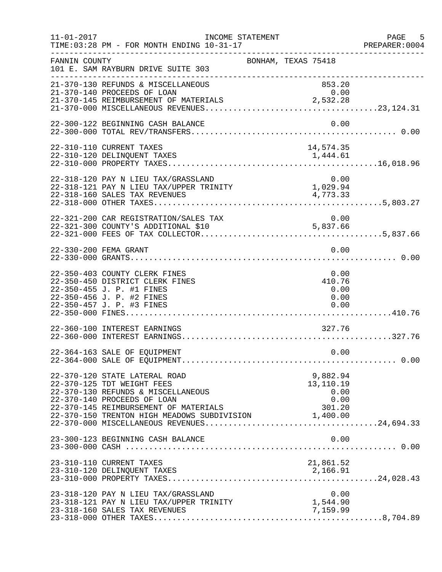| $11 - 01 - 2017$ | TIME: 03:28 PM - FOR MONTH ENDING 10-31-17                                                                                                                                                                                        | INCOME STATEMENT    |                                        | PAGE 5<br>PREPARER:0004 |
|------------------|-----------------------------------------------------------------------------------------------------------------------------------------------------------------------------------------------------------------------------------|---------------------|----------------------------------------|-------------------------|
| FANNIN COUNTY    | 101 E. SAM RAYBURN DRIVE SUITE 303                                                                                                                                                                                                | BONHAM, TEXAS 75418 |                                        |                         |
|                  | 21-370-130 REFUNDS & MISCELLANEOUS<br>21-370-140 PROCEEDS OF LOAN                                                                                                                                                                 |                     | 853.20<br>0.00                         |                         |
|                  | 22-300-122 BEGINNING CASH BALANCE                                                                                                                                                                                                 |                     | 0.00                                   |                         |
|                  | 22-310-110 CURRENT TAXES                                                                                                                                                                                                          |                     | 14,574.35                              |                         |
|                  | 22-318-120 PAY N LIEU TAX/GRASSLAND<br>$22-318-121$ PAY N LIEU TAX/UPPER TRINITY<br>22-318-160 SALES TAX REVENUES                                                                                                                 |                     | $0.00$<br>$1,029.94$<br>4,773.33       |                         |
|                  | 22-321-200 CAR REGISTRATION/SALES TAX<br>-- JAL AVO CAR REGISTRATION/SALES TAX<br>22-321-300 COUNTY'S ADDITIONAL \$10                                                                                                             |                     | 0.00                                   |                         |
|                  | 22-330-200 FEMA GRANT                                                                                                                                                                                                             |                     | 0.00                                   |                         |
|                  | 22-350-403 COUNTY CLERK FINES<br>22-350-450 DISTRICT CLERK FINES<br>22-350-455 J. P. #1 FINES<br>22-350-456 J. P. #2 FINES<br>22-350-457 J. P. #3 FINES                                                                           |                     | 0.00<br>410.76<br>0.00<br>0.00<br>0.00 |                         |
|                  | 22-360-100 INTEREST EARNINGS                                                                                                                                                                                                      |                     | 327.76                                 |                         |
|                  | 22-364-163 SALE OF EQUIPMENT                                                                                                                                                                                                      |                     | 0.00                                   |                         |
|                  | 22-370-120 STATE LATERAL ROAD<br>22-370-125 TDT WEIGHT FEES<br>22-370-130 REFUNDS & MISCELLANEOUS<br>22-370-140 PROCEEDS OF LOAN<br>22-370-145 REIMBURSEMENT OF MATERIALS<br>22-370-150 TRENTON HIGH MEADOWS SUBDIVISION 1,400.00 |                     | 9,882.94<br>13,110.19<br>0.00<br>0.00  |                         |
|                  |                                                                                                                                                                                                                                   |                     |                                        |                         |
|                  | 23-310-110 CURRENT TAXES                                                                                                                                                                                                          |                     | 21,861.52                              |                         |
|                  | 23-318-120 PAY N LIEU TAX/GRASSLAND<br>23-318-121 PAY N LIEU TAX/UPPER TRINITY<br>23-318-160 SALES TAX REVENUES                                                                                                                   |                     | 0.00<br>1,544.90<br>7,159.99           |                         |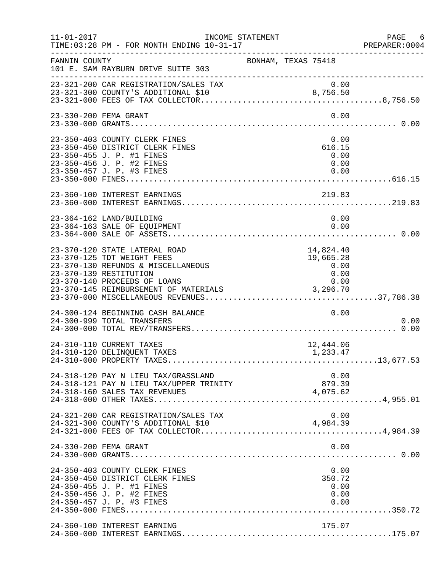| $11 - 01 - 2017$ | INCOME STATEMENT                                                                                                                                            |                                                                                          | PAGE 6<br>PREPARER:0004 |
|------------------|-------------------------------------------------------------------------------------------------------------------------------------------------------------|------------------------------------------------------------------------------------------|-------------------------|
| FANNIN COUNTY    | 101 E. SAM RAYBURN DRIVE SUITE 303                                                                                                                          | BONHAM, TEXAS 75418                                                                      |                         |
|                  | 23-321-200 CAR REGISTRATION/SALES TAX                                                                                                                       | 0.00                                                                                     |                         |
|                  | 23-330-200 FEMA GRANT                                                                                                                                       | 0.00                                                                                     |                         |
|                  | 23-350-403 COUNTY CLERK FINES<br>23-350-450 DISTRICT CLERK FINES<br>23-350-455 J. P. #1 FINES<br>23-350-456 J. P. #2 FINES<br>23-350-457 J. P. #3 FINES     | 0.00<br>616.15<br>0.00<br>0.00<br>0.00                                                   |                         |
|                  | 23-360-100 INTEREST EARNINGS                                                                                                                                | 219.83                                                                                   |                         |
|                  | 23-364-162 LAND/BUILDING<br>23-364-163 SALE OF EQUIPMENT                                                                                                    | 0.00<br>0.00                                                                             |                         |
|                  | 23-370-120 STATE LATERAL ROAD<br>23-370-125 TDT WEIGHT FEES<br>23-370-130 REFUNDS & MISCELLANEOUS<br>23-370-139 RESTITUTION<br>23-370-140 PROCEEDS OF LOANS | 14,824.40<br>19,665.28<br>$\begin{array}{c} 0\, .\, 00 \ 0\, .\, 00 \end{array}$<br>0.00 |                         |
|                  | 24-300-124 BEGINNING CASH BALANCE<br>24-300-999 TOTAL TRANSFERS                                                                                             | 0.00                                                                                     | 0.00                    |
|                  | 24-310-110 CURRENT TAXES<br>24-310-120 DELINQUENT TAXES                                                                                                     | 12,444.06<br>1,233.47                                                                    |                         |
|                  | 24-318-120 PAY N LIEU TAX/GRASSLAND<br>24-318-121 PAY N LIEU TAX/UPPER TRINITY<br>24-318-160 SALES TAX REVENUES                                             | 0.00<br>879.39<br>4,075.62                                                               |                         |
|                  | 24-321-200 CAR REGISTRATION/SALES TAX<br>24-321-300 COUNTY'S ADDITIONAL \$10                                                                                | 0.00<br>4,984.39                                                                         |                         |
|                  | 24-330-200 FEMA GRANT                                                                                                                                       | 0.00                                                                                     |                         |
|                  | 24-350-403 COUNTY CLERK FINES<br>24-350-450 DISTRICT CLERK FINES<br>24-350-455 J. P. #1 FINES<br>24-350-456 J. P. #2 FINES<br>24-350-457 J. P. #3 FINES     | 0.00<br>350.72<br>0.00<br>0.00<br>0.00                                                   |                         |
|                  | 24-360-100 INTEREST EARNING                                                                                                                                 | 175.07                                                                                   |                         |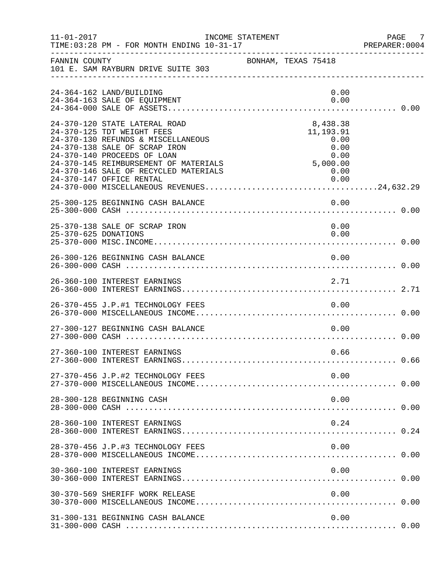| $11 - 01 - 2017$     | TIME: 03:28 PM - FOR MONTH ENDING 10-31-17                                                                                                                                                                                                                                      | INCOME STATEMENT                                                                         | PAGE<br>- 7<br>PREPARER: 0004 |
|----------------------|---------------------------------------------------------------------------------------------------------------------------------------------------------------------------------------------------------------------------------------------------------------------------------|------------------------------------------------------------------------------------------|-------------------------------|
| FANNIN COUNTY        | 101 E. SAM RAYBURN DRIVE SUITE 303                                                                                                                                                                                                                                              | BONHAM, TEXAS 75418                                                                      |                               |
|                      | 24-364-162 LAND/BUILDING<br>24-364-163 SALE OF EQUIPMENT                                                                                                                                                                                                                        | 0.00<br>0.00                                                                             |                               |
|                      | 24-370-120 STATE LATERAL ROAD<br>24-370-125 TDT WEIGHT FEES<br>24-370-130 REFUNDS & MISCELLANEOUS<br>24-370-138 SALE OF SCRAP IRON<br>24-370-140 PROCEEDS OF LOAN<br>24-370-145 REIMBURSEMENT OF MATERIALS<br>24-370-146 SALE OF RECYCLED MATERIALS<br>24-370-147 OFFICE RENTAL | 8,438.38<br>11, 193.91<br>0.00<br>0.00<br>0.00<br>0 . 00<br>5 , 000 . 00<br>0.00<br>0.00 |                               |
|                      | 25-300-125 BEGINNING CASH BALANCE                                                                                                                                                                                                                                               | 0.00                                                                                     |                               |
| 25-370-625 DONATIONS | 25-370-138 SALE OF SCRAP IRON                                                                                                                                                                                                                                                   | 0.00<br>0.00                                                                             |                               |
|                      | 26-300-126 BEGINNING CASH BALANCE                                                                                                                                                                                                                                               | 0.00                                                                                     |                               |
|                      | 26-360-100 INTEREST EARNINGS                                                                                                                                                                                                                                                    | 2.71                                                                                     |                               |
|                      | 26-370-455 J.P.#1 TECHNOLOGY FEES                                                                                                                                                                                                                                               | 0.00                                                                                     |                               |
|                      | 27-300-127 BEGINNING CASH BALANCE                                                                                                                                                                                                                                               | 0.00                                                                                     |                               |
|                      | 27-360-100 INTEREST EARNINGS                                                                                                                                                                                                                                                    | 0.66                                                                                     |                               |
|                      |                                                                                                                                                                                                                                                                                 |                                                                                          |                               |
|                      | 28-300-128 BEGINNING CASH                                                                                                                                                                                                                                                       | 0.00                                                                                     |                               |
|                      | 28-360-100 INTEREST EARNINGS                                                                                                                                                                                                                                                    | 0.24                                                                                     |                               |
|                      | 28-370-456 J.P.#3 TECHNOLOGY FEES                                                                                                                                                                                                                                               | 0.00                                                                                     |                               |
|                      | 30-360-100 INTEREST EARNINGS                                                                                                                                                                                                                                                    | 0.00                                                                                     |                               |
|                      | 30-370-569 SHERIFF WORK RELEASE                                                                                                                                                                                                                                                 | 0.00                                                                                     |                               |
|                      | 31-300-131 BEGINNING CASH BALANCE                                                                                                                                                                                                                                               | 0.00                                                                                     |                               |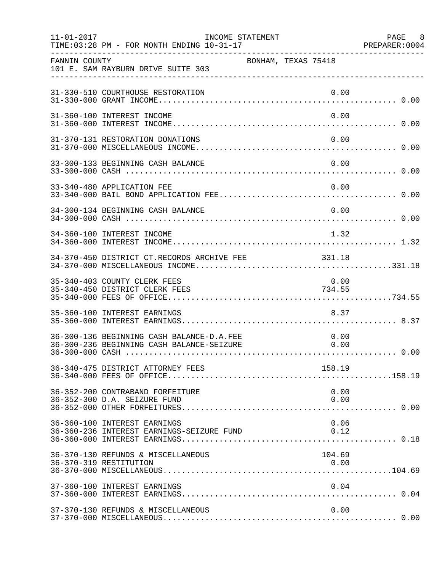| $11 - 01 - 2017$ | TIME: 03:28 PM - FOR MONTH ENDING 10-31-17                                             | INCOME STATEMENT    |  |                | PAGE 8 |
|------------------|----------------------------------------------------------------------------------------|---------------------|--|----------------|--------|
| FANNIN COUNTY    | 101 E. SAM RAYBURN DRIVE SUITE 303                                                     | BONHAM, TEXAS 75418 |  |                |        |
|                  | 31-330-510 COURTHOUSE RESTORATION                                                      |                     |  | 0.00           |        |
|                  | 31-360-100 INTEREST INCOME                                                             |                     |  | 0.00           |        |
|                  | 31-370-131 RESTORATION DONATIONS                                                       |                     |  | 0.00           |        |
|                  | 33-300-133 BEGINNING CASH BALANCE                                                      |                     |  | 0.00           |        |
|                  | 33-340-480 APPLICATION FEE                                                             |                     |  | 0.00           |        |
|                  | 34-300-134 BEGINNING CASH BALANCE                                                      |                     |  | 0.00           |        |
|                  | 34-360-100 INTEREST INCOME                                                             |                     |  | 1.32           |        |
|                  | 34-370-450 DISTRICT CT.RECORDS ARCHIVE FEE 331.18                                      |                     |  |                |        |
|                  | 35-340-403 COUNTY CLERK FEES<br>35-340-450 DISTRICT CLERK FEES                         |                     |  | 0.00<br>734.55 |        |
|                  | 35-360-100 INTEREST EARNINGS                                                           |                     |  | 8.37           |        |
|                  | 36-300-136 BEGINNING CASH BALANCE-D.A.FEE<br>36-300-236 BEGINNING CASH BALANCE-SEIZURE |                     |  | 0.00<br>0.00   |        |
|                  | 36-340-475 DISTRICT ATTORNEY FEES                                                      |                     |  | 158.19         |        |
|                  | 36-352-200 CONTRABAND FORFEITURE<br>36-352-300 D.A. SEIZURE FUND                       |                     |  | 0.00<br>0.00   |        |
|                  | 36-360-100 INTEREST EARNINGS<br>36-360-236 INTEREST EARNINGS-SEIZURE FUND              |                     |  | 0.06<br>0.12   |        |
|                  | 36-370-130 REFUNDS & MISCELLANEOUS<br>36-370-319 RESTITUTION                           |                     |  | 104.69<br>0.00 |        |
|                  | 37-360-100 INTEREST EARNINGS                                                           |                     |  | 0.04           |        |
|                  | 37-370-130 REFUNDS & MISCELLANEOUS                                                     |                     |  | 0.00           |        |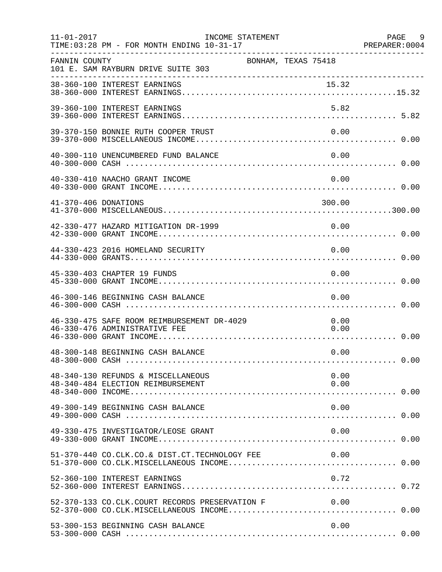| $11 - 01 - 2017$     | INCOME STATEMENT<br>TIME: 03:28 PM - FOR MONTH ENDING 10-31-17              |                     | PAGE 9<br>PREPARER: 0004 |
|----------------------|-----------------------------------------------------------------------------|---------------------|--------------------------|
| FANNIN COUNTY        | 101 E. SAM RAYBURN DRIVE SUITE 303                                          | BONHAM, TEXAS 75418 |                          |
|                      |                                                                             |                     |                          |
|                      | 39-360-100 INTEREST EARNINGS                                                |                     | 5.82                     |
|                      | 39-370-150 BONNIE RUTH COOPER TRUST                                         |                     | 0.00                     |
|                      | 40-300-110 UNENCUMBERED FUND BALANCE                                        |                     | 0.00                     |
|                      | 40-330-410 NAACHO GRANT INCOME                                              |                     | 0.00                     |
| 41-370-406 DONATIONS |                                                                             |                     | 300.00                   |
|                      | 42-330-477 HAZARD MITIGATION DR-1999                                        |                     | 0.00                     |
|                      | 44-330-423 2016 HOMELAND SECURITY                                           |                     | 0.00                     |
|                      | 45-330-403 CHAPTER 19 FUNDS                                                 |                     | 0.00                     |
|                      | 46-300-146 BEGINNING CASH BALANCE                                           |                     | 0.00                     |
|                      | 46-330-475 SAFE ROOM REIMBURSEMENT DR-4029<br>46-330-476 ADMINISTRATIVE FEE |                     | 0.00<br>0.00             |
|                      | 48-300-148 BEGINNING CASH BALANCE                                           |                     | 0.00                     |
|                      | 48-340-130 REFUNDS & MISCELLANEOUS<br>48-340-484 ELECTION REIMBURSEMENT     |                     | 0.00<br>0.00             |
|                      | 49-300-149 BEGINNING CASH BALANCE                                           |                     | 0.00                     |
|                      | 49-330-475 INVESTIGATOR/LEOSE GRANT                                         |                     | 0.00                     |
|                      | 51-370-440 CO.CLK.CO.& DIST.CT.TECHNOLOGY FEE                               |                     | 0.00                     |
|                      | 52-360-100 INTEREST EARNINGS                                                |                     | 0.72                     |
|                      | 52-370-133 CO.CLK.COURT RECORDS PRESERVATION F                              | 0.00                |                          |
|                      | 53-300-153 BEGINNING CASH BALANCE                                           |                     | 0.00                     |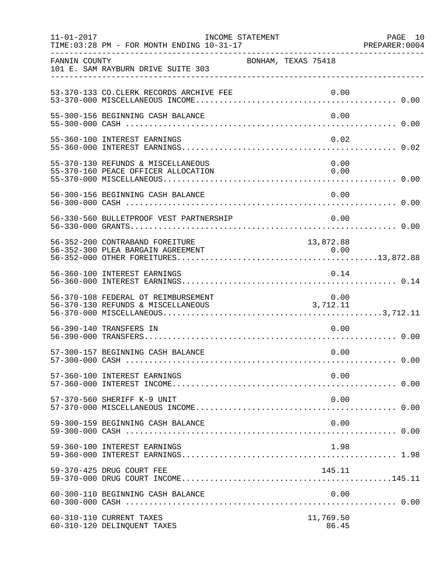| $11 - 01 - 2017$ | INCOME STATEMENT<br>TIME: 03:28 PM - FOR MONTH ENDING 10-31-17            |                     | PAGE 10<br>PREPARER:0004 |
|------------------|---------------------------------------------------------------------------|---------------------|--------------------------|
| FANNIN COUNTY    | 101 E. SAM RAYBURN DRIVE SUITE 303<br>___________________________________ | BONHAM, TEXAS 75418 |                          |
|                  | 53-370-133 CO. CLERK RECORDS ARCHIVE FEE                                  | 0.00                |                          |
|                  | 55-300-156 BEGINNING CASH BALANCE                                         | 0.00                |                          |
|                  | 55-360-100 INTEREST EARNINGS                                              | 0.02                |                          |
|                  | 55-370-130 REFUNDS & MISCELLANEOUS<br>55-370-160 PEACE OFFICER ALLOCATION | 0.00<br>0.00        |                          |
|                  | 56-300-156 BEGINNING CASH BALANCE                                         | 0.00                |                          |
|                  | 56-330-560 BULLETPROOF VEST PARTNERSHIP                                   | 0.00                |                          |
|                  | 56-352-200 CONTRABAND FOREITURE                                           | 13,872.88           |                          |
|                  | 56-360-100 INTEREST EARNINGS                                              | 0.14                |                          |
|                  | 56-370-108 FEDERAL OT REIMBURSEMENT                                       | 0.00                |                          |
|                  | 56-390-140 TRANSFERS IN                                                   | 0.00                |                          |
|                  | 57-300-157 BEGINNING CASH BALANCE                                         | 0.00                |                          |
|                  | 57-360-100 INTEREST EARNINGS                                              | 0.00                |                          |
|                  | 57-370-560 SHERIFF K-9 UNIT                                               | 0.00                |                          |
|                  | 59-300-159 BEGINNING CASH BALANCE                                         | 0.00                |                          |
|                  | 59-360-100 INTEREST EARNINGS                                              | 1.98                |                          |
|                  | 59-370-425 DRUG COURT FEE                                                 | 145.11              |                          |
|                  | 60-300-110 BEGINNING CASH BALANCE                                         | 0.00                |                          |
|                  | 60-310-110 CURRENT TAXES<br>60-310-120 DELINQUENT TAXES                   | 11,769.50<br>86.45  |                          |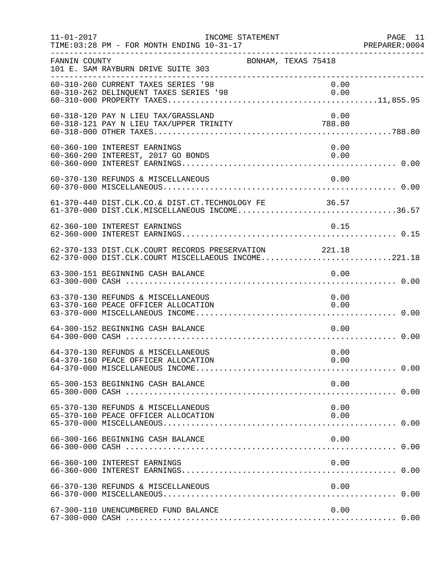| $11 - 01 - 2017$ | TIME: 03:28 PM - FOR MONTH ENDING 10-31-17                                                                   | INCOME STATEMENT |                     | PAGE 11<br>PREPARER:0004 |
|------------------|--------------------------------------------------------------------------------------------------------------|------------------|---------------------|--------------------------|
| FANNIN COUNTY    | 101 E. SAM RAYBURN DRIVE SUITE 303<br>__________________________________                                     |                  | BONHAM, TEXAS 75418 |                          |
|                  | 60-310-260 CURRENT TAXES SERIES '98<br>60-310-262 DELINQUENT TAXES SERIES '98                                |                  | 0.00<br>0.00        |                          |
|                  | 60-318-120 PAY N LIEU TAX/GRASSLAND<br>60-318-121 PAY N LIEU TAX/UPPER TRINITY 788.80                        |                  | 0.00                |                          |
|                  | 60-360-100 INTEREST EARNINGS<br>60-360-200 INTEREST, 2017 GO BONDS                                           |                  | 0.00<br>0.00        |                          |
|                  | 60-370-130 REFUNDS & MISCELLANEOUS                                                                           |                  | 0.00                |                          |
|                  | 61-370-440 DIST.CLK.CO.& DIST.CT.TECHNOLOGY FE 36.57<br>61-370-000 DIST.CLK.MISCELLANEOUS INCOME36.57        |                  |                     |                          |
|                  | 62-360-100 INTEREST EARNINGS                                                                                 |                  | 0.15                |                          |
|                  | 62-370-133 DIST.CLK.COURT RECORDS PRESERVATION 221.18<br>62-370-000 DIST.CLK.COURT MISCELLAEOUS INCOME221.18 |                  |                     |                          |
|                  | 63-300-151 BEGINNING CASH BALANCE                                                                            |                  | 0.00                |                          |
|                  | 63-370-130 REFUNDS & MISCELLANEOUS<br>63-370-160 PEACE OFFICER ALLOCATION                                    |                  | 0.00<br>0.00        |                          |
|                  | 64-300-152 BEGINNING CASH BALANCE                                                                            |                  | 0.00                |                          |
|                  | 64-370-130 REFUNDS & MISCELLANEOUS<br>64-370-160 PEACE OFFICER ALLOCATION                                    |                  | 0.00<br>0.00        |                          |
|                  | 65-300-153 BEGINNING CASH BALANCE                                                                            |                  | 0.00                |                          |
|                  | 65-370-130 REFUNDS & MISCELLANEOUS<br>65-370-160 PEACE OFFICER ALLOCATION                                    |                  | 0.00<br>0.00        |                          |
|                  | 66-300-166 BEGINNING CASH BALANCE                                                                            |                  | 0.00                |                          |
|                  | 66-360-100 INTEREST EARNINGS                                                                                 |                  | 0.00                |                          |
|                  | 66-370-130 REFUNDS & MISCELLANEOUS                                                                           |                  | 0.00                |                          |
|                  | 67-300-110 UNENCUMBERED FUND BALANCE                                                                         |                  | 0.00                |                          |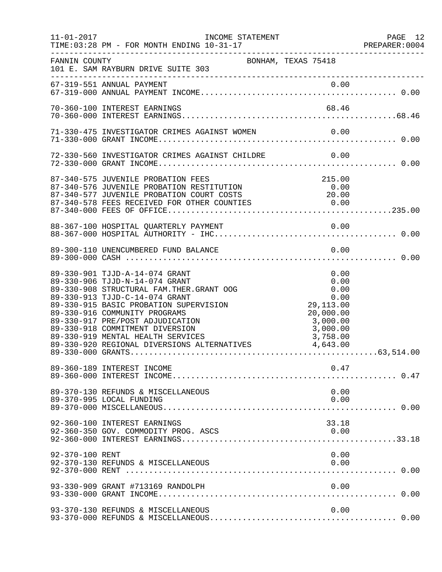| $11 - 01 - 2017$ | INCOME STATEMENT<br>TIME: 03:28 PM - FOR MONTH ENDING 10-31-17                                                                                                                                                                                                                                                                                                                                                                |                                                                                            | PAGE 12 |
|------------------|-------------------------------------------------------------------------------------------------------------------------------------------------------------------------------------------------------------------------------------------------------------------------------------------------------------------------------------------------------------------------------------------------------------------------------|--------------------------------------------------------------------------------------------|---------|
| FANNIN COUNTY    | BONHAM, TEXAS 75418<br>101 E. SAM RAYBURN DRIVE SUITE 303                                                                                                                                                                                                                                                                                                                                                                     |                                                                                            |         |
|                  |                                                                                                                                                                                                                                                                                                                                                                                                                               |                                                                                            |         |
|                  | 70-360-100 INTEREST EARNINGS                                                                                                                                                                                                                                                                                                                                                                                                  |                                                                                            |         |
|                  | 71-330-475 INVESTIGATOR CRIMES AGAINST WOMEN                                                                                                                                                                                                                                                                                                                                                                                  | 0.00                                                                                       |         |
|                  | 72-330-560 INVESTIGATOR CRIMES AGAINST CHILDRE 0.00                                                                                                                                                                                                                                                                                                                                                                           |                                                                                            |         |
|                  | 87-340-575 JUVENILE PROBATION FEES<br>87-340-576 JUVENILE PROBATION RESTITUTION<br>87-340-577 JUVENILE PROBATION COURT COSTS<br>87-340-578 FEES RECEIVED FOR OTHER COUNTIES 0.00<br>88-367-100 HOSPITAL QUARTERLY PAYMENT                                                                                                                                                                                                     | 215.00<br>0.00<br>20.00                                                                    |         |
|                  | 89-300-110 UNENCUMBERED FUND BALANCE                                                                                                                                                                                                                                                                                                                                                                                          | 0.00                                                                                       |         |
|                  | 89-330-901 TJJD-A-14-074 GRANT<br>89-330-906 TJJD-N-14-074 GRANT<br>89-330-908 STRUCTURAL FAM. THER. GRANT OOG<br>89-330-915 BASIC PROBATION SUPERVISION<br>89-330-915 BASIC PROBATION SUPERVISION<br>89-330-916 COMMUNITY PROGRAMS<br>89-330-917 PRE/POST ADJUDICATION<br>89-330-918 COMMITY<br>89-330-918 COMMITMENT DIVERSION<br>89-330-919 MENTAL HEALTH SERVICES<br>89-330-920 REGIONAL DIVERSIONS ALTERNATIVES 4,643.00 | 0.00<br>0.00<br>0.00<br>0.00<br>29,113.00<br>20,000.00<br>3,000.00<br>3,000.00<br>3,758.00 |         |
|                  | 89-360-189 INTEREST INCOME                                                                                                                                                                                                                                                                                                                                                                                                    | 0.47                                                                                       |         |
|                  | 89-370-130 REFUNDS & MISCELLANEOUS<br>89-370-995 LOCAL FUNDING                                                                                                                                                                                                                                                                                                                                                                | 0.00<br>0.00                                                                               |         |
|                  | 92-360-100 INTEREST EARNINGS<br>92-360-350 GOV. COMMODITY PROG. ASCS                                                                                                                                                                                                                                                                                                                                                          | 33.18<br>0.00                                                                              |         |
| 92-370-100 RENT  | 92-370-130 REFUNDS & MISCELLANEOUS                                                                                                                                                                                                                                                                                                                                                                                            | 0.00<br>0.00                                                                               |         |
|                  | 93-330-909 GRANT #713169 RANDOLPH                                                                                                                                                                                                                                                                                                                                                                                             | 0.00                                                                                       |         |
|                  | 93-370-130 REFUNDS & MISCELLANEOUS                                                                                                                                                                                                                                                                                                                                                                                            | 0.00                                                                                       |         |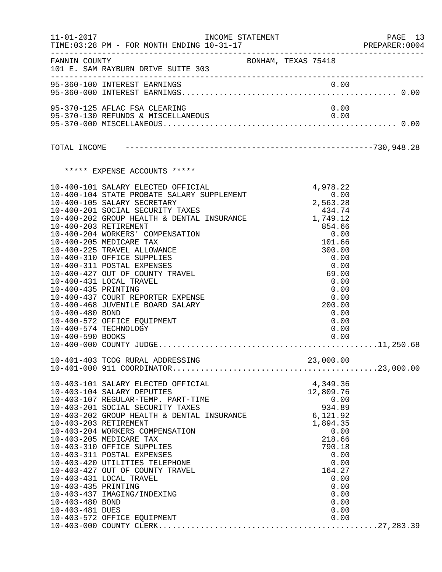| $11 - 01 - 2017$                                           |                                                                                                                                                                                                                                                                                                                                                                                                                                                                                                                                                                                                | INCOME STATEMENT    |  |                                                                                                                                                 |                                                                      | PAGE 13<br>PREPARER: 0004 |
|------------------------------------------------------------|------------------------------------------------------------------------------------------------------------------------------------------------------------------------------------------------------------------------------------------------------------------------------------------------------------------------------------------------------------------------------------------------------------------------------------------------------------------------------------------------------------------------------------------------------------------------------------------------|---------------------|--|-------------------------------------------------------------------------------------------------------------------------------------------------|----------------------------------------------------------------------|---------------------------|
|                                                            | FANNIN COUNTY<br>101 E. SAM RAYBURN DRIVE SUITE 303                                                                                                                                                                                                                                                                                                                                                                                                                                                                                                                                            | BONHAM, TEXAS 75418 |  |                                                                                                                                                 |                                                                      |                           |
|                                                            | 95-360-100 INTEREST EARNINGS                                                                                                                                                                                                                                                                                                                                                                                                                                                                                                                                                                   |                     |  |                                                                                                                                                 |                                                                      |                           |
|                                                            | 95-370-125 AFLAC FSA CLEARING<br>95-370-130 REFUNDS & MISCELLANEOUS                                                                                                                                                                                                                                                                                                                                                                                                                                                                                                                            |                     |  | 0.00                                                                                                                                            | 0.00                                                                 |                           |
|                                                            |                                                                                                                                                                                                                                                                                                                                                                                                                                                                                                                                                                                                |                     |  |                                                                                                                                                 |                                                                      |                           |
|                                                            |                                                                                                                                                                                                                                                                                                                                                                                                                                                                                                                                                                                                |                     |  |                                                                                                                                                 |                                                                      |                           |
|                                                            | ***** EXPENSE ACCOUNTS *****                                                                                                                                                                                                                                                                                                                                                                                                                                                                                                                                                                   |                     |  |                                                                                                                                                 |                                                                      |                           |
| 10-400-435 PRINTING<br>10-400-480 BOND<br>10-400-590 BOOKS | 10-400-101 SALARY ELECTED OFFICIAL<br>10-400-104 STATE PROBATE SALARY SUPPLEMENT<br>10-400-105 SALARY SECRETARY<br>10-400-201 SOCIAL SECURITY TAXES<br>10-400-202 GROUP HEALTH & DENTAL INSURANCE $1,749.12$<br>10-400-203 RETIREMENT<br>10-400-204 WORKERS' COMPENSATION<br>10-400-205 MEDICARE TAX<br>10-400-225 TRAVEL ALLOWANCE<br>10-400-310 OFFICE SUPPLIES<br>10-400-311 POSTAL EXPENSES<br>10-400-427 OUT OF COUNTY TRAVEL<br>10-400-431 LOCAL TRAVEL<br>10-400-437 COURT REPORTER EXPENSE<br>10-400-468 JUVENILE BOARD SALARY<br>10-400-572 OFFICE EQUIPMENT<br>10-400-574 TECHNOLOGY |                     |  | 4,978.22<br>0.00<br>2,563.28<br>434.74<br>854.66<br>0.00<br>101.66<br>300.00<br>0.00<br>0.00<br>69.00<br>0.00<br>0.00<br>0.00<br>200.00<br>0.00 | 0.00<br>0.00<br>0.00                                                 |                           |
|                                                            |                                                                                                                                                                                                                                                                                                                                                                                                                                                                                                                                                                                                |                     |  |                                                                                                                                                 |                                                                      |                           |
| 10-403-435 PRINTING<br>10-403-480 BOND<br>10-403-481 DUES  | 10-403-101 SALARY ELECTED OFFICIAL<br>10-403-104 SALARY DEPUTIES<br>10-403-107 REGULAR-TEMP. PART-TIME<br>10-403-201 SOCIAL SECURITY TAXES<br>10-403-202 GROUP HEALTH & DENTAL INSURANCE<br>10-403-203 BETIDEMENTH & DENTAL INSURANCE<br>10-403-203 RETIREMENT<br>10-403-204 WORKERS COMPENSATION<br>10-403-205 MEDICARE TAX<br>10-403-310 OFFICE SUPPLIES<br>10-403-311 POSTAL EXPENSES<br>10-403-420 UTILITIES TELEPHONE<br>10-403-427 OUT OF COUNTY TRAVEL<br>10-403-431 LOCAL TRAVEL<br>10-403-437 IMAGING/INDEXING                                                                        |                     |  | 4,349.36<br>12,809.76<br>934.89<br>6,121.92<br>1,894.35<br>218.66<br>790.18<br>164.27                                                           | 0.00<br>0.00<br>0.00<br>0.00<br>0.00<br>0.00<br>0.00<br>0.00<br>0.00 |                           |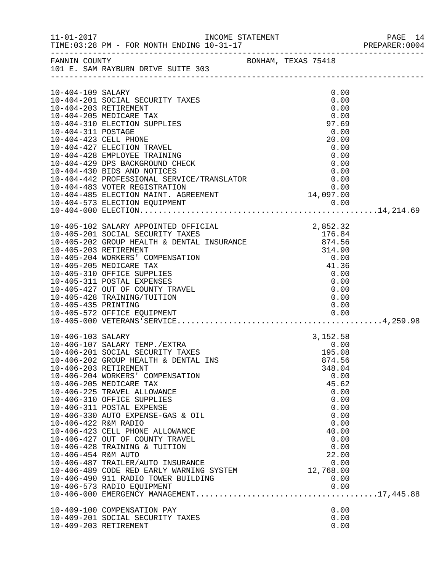|                      |                                                                                                                                                                                                                                     |              | PAGE 14<br>PREPARER:0004 |
|----------------------|-------------------------------------------------------------------------------------------------------------------------------------------------------------------------------------------------------------------------------------|--------------|--------------------------|
|                      | FANNIN COUNTY BONHAM, TEXAS 75418<br>101 E. SAM RAYBURN DRIVE SUITE 303                                                                                                                                                             |              |                          |
|                      |                                                                                                                                                                                                                                     |              |                          |
| 10-404-109 SALARY    |                                                                                                                                                                                                                                     | 0.00         |                          |
|                      | 10-404-201 SOCIAL SECURITY TAXES<br>10-404-203 RETIREMENT                                                                                                                                                                           | 0.00<br>0.00 |                          |
|                      | 10-404-205 MEDICARE TAX                                                                                                                                                                                                             | 0.00         |                          |
|                      | 10-404-310 ELECTION SUPPLIES                                                                                                                                                                                                        | 97.69        |                          |
| 10-404-311 POSTAGE   |                                                                                                                                                                                                                                     | 0.00         |                          |
|                      | 10-404-423 CELL PHONE                                                                                                                                                                                                               | 20.00        |                          |
|                      | 10-404-427 ELECTION TRAVEL                                                                                                                                                                                                          | 0.00         |                          |
|                      | 10-404-428 EMPLOYEE TRAINING                                                                                                                                                                                                        | 0.00         |                          |
|                      |                                                                                                                                                                                                                                     |              |                          |
|                      | 10-404-429 DPS BACKGROUND CHECK 0.00<br>10-404-430 BIDS AND NOTICES 0.00<br>10-404-442 PROFESSIONAL SERVICE/TRANSLATOR 0.00<br>10-404-483 VOTER REGISTRATION 0.00<br>10-404-485 ELECTION MAINT. AGREEMENT 14,097.00                 |              |                          |
|                      |                                                                                                                                                                                                                                     |              |                          |
|                      |                                                                                                                                                                                                                                     |              |                          |
|                      |                                                                                                                                                                                                                                     |              |                          |
|                      |                                                                                                                                                                                                                                     |              |                          |
|                      |                                                                                                                                                                                                                                     |              |                          |
|                      | 10-405-102 SALARY APPOINTED OFFICIAL 2,852.32<br>10-405-201 SOCIAL SECURITY TAXES 10-405-202 GROUP HEALTH & DENTAL INSURANCE 874.56<br>10-405-203 RETIREMENT 8 2000 SALARY 2000 10-405-203 RETIREMENT 314.90<br>10-405-205 MEDICARE |              |                          |
|                      |                                                                                                                                                                                                                                     |              |                          |
|                      |                                                                                                                                                                                                                                     |              |                          |
|                      |                                                                                                                                                                                                                                     |              |                          |
|                      |                                                                                                                                                                                                                                     |              |                          |
|                      |                                                                                                                                                                                                                                     |              |                          |
|                      | 10-405-310 OFFICE SUPPLIES                                                                                                                                                                                                          | 0.00<br>0.00 |                          |
|                      | 10-405-311 POSTAL EXPENSES<br>10-405-427 OUT OF COUNTY TRAVEL                                                                                                                                                                       | 0.00         |                          |
|                      | 10-405-428 TRAINING/TUITION                                                                                                                                                                                                         | 0.00         |                          |
| 10-405-435 PRINTING  |                                                                                                                                                                                                                                     | 0.00         |                          |
|                      |                                                                                                                                                                                                                                     |              |                          |
|                      |                                                                                                                                                                                                                                     |              |                          |
| 10-406-103 SALARY    |                                                                                                                                                                                                                                     | 3,152.58     |                          |
|                      | 10-406-103 SALARY<br>10-406-107 SALARY TEMP./EXTRA<br>10-406-201 SOCIAL SECURITY TAXES                                                                                                                                              | 0.00         |                          |
|                      |                                                                                                                                                                                                                                     | 195.08       |                          |
|                      | 10-406-202 GROUP HEALTH & DENTAL INS                                                                                                                                                                                                | 874.56       |                          |
|                      | 10-406-203 RETIREMENT                                                                                                                                                                                                               | 348.04       |                          |
|                      | 10-406-204 WORKERS' COMPENSATION                                                                                                                                                                                                    | 0.00         |                          |
|                      | 10-406-205 MEDICARE TAX                                                                                                                                                                                                             | 45.62        |                          |
|                      | 10-406-225 TRAVEL ALLOWANCE                                                                                                                                                                                                         | 0.00         |                          |
|                      | 10-406-310 OFFICE SUPPLIES<br>10-406-311 POSTAL EXPENSE                                                                                                                                                                             | 0.00<br>0.00 |                          |
|                      | 10-406-330 AUTO EXPENSE-GAS & OIL                                                                                                                                                                                                   | 0.00         |                          |
| 10-406-422 R&M RADIO |                                                                                                                                                                                                                                     | 0.00         |                          |
|                      | 10-406-423 CELL PHONE ALLOWANCE                                                                                                                                                                                                     | 40.00        |                          |
|                      | 10-406-427 OUT OF COUNTY TRAVEL                                                                                                                                                                                                     | 0.00         |                          |
|                      | 10-406-428 TRAINING & TUITION                                                                                                                                                                                                       | 0.00         |                          |
| 10-406-454 R&M AUTO  |                                                                                                                                                                                                                                     | 22.00        |                          |
|                      | 10-406-487 TRAILER/AUTO INSURANCE                                                                                                                                                                                                   | 0.00         |                          |
|                      | 0.00 0.00<br>12,768.00 10-406-489 CODE RED EARLY WARNING SYSTEM 10-406-489 CODE RED EARLY WARNING SYSTEM                                                                                                                            |              |                          |
|                      | 10-406-490 911 RADIO TOWER BUILDING                                                                                                                                                                                                 | 0.00         |                          |
|                      | 10-406-573 RADIO EQUIPMENT                                                                                                                                                                                                          | 0.00         |                          |
|                      |                                                                                                                                                                                                                                     |              |                          |
|                      | 10-409-100 COMPENSATION PAY                                                                                                                                                                                                         | 0.00         |                          |
|                      | 10-409-201 SOCIAL SECURITY TAXES                                                                                                                                                                                                    | 0.00         |                          |
|                      | 10-409-203 RETIREMENT                                                                                                                                                                                                               | 0.00         |                          |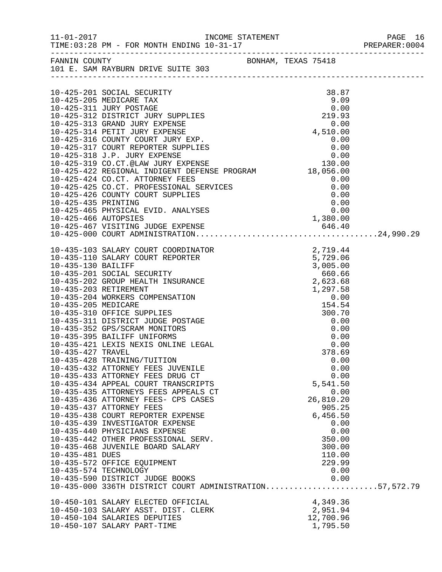|                   |                                                                                                                                                                                                                                          |              | PAGE 16<br>PREPARER: 0004 |
|-------------------|------------------------------------------------------------------------------------------------------------------------------------------------------------------------------------------------------------------------------------------|--------------|---------------------------|
|                   | FANNIN COUNTY<br>101 E. SAM RAYBURN DRIVE SUITE 303                                                                                                                                                                                      |              |                           |
|                   |                                                                                                                                                                                                                                          |              |                           |
|                   |                                                                                                                                                                                                                                          |              |                           |
|                   |                                                                                                                                                                                                                                          |              |                           |
|                   |                                                                                                                                                                                                                                          |              |                           |
|                   |                                                                                                                                                                                                                                          |              |                           |
|                   |                                                                                                                                                                                                                                          |              |                           |
|                   |                                                                                                                                                                                                                                          |              |                           |
|                   |                                                                                                                                                                                                                                          |              |                           |
|                   |                                                                                                                                                                                                                                          |              |                           |
|                   |                                                                                                                                                                                                                                          |              |                           |
|                   |                                                                                                                                                                                                                                          |              |                           |
|                   |                                                                                                                                                                                                                                          |              |                           |
|                   |                                                                                                                                                                                                                                          |              |                           |
|                   |                                                                                                                                                                                                                                          |              |                           |
|                   |                                                                                                                                                                                                                                          |              |                           |
|                   |                                                                                                                                                                                                                                          |              |                           |
|                   |                                                                                                                                                                                                                                          |              |                           |
|                   |                                                                                                                                                                                                                                          |              |                           |
|                   |                                                                                                                                                                                                                                          |              |                           |
|                   | 10-425-424 CO.CT. ATTORNEY FEES (0.00)<br>10-425-424 CO.CT. ATTORNEY FEES<br>10-425-426 CO.CT. ARDENING<br>10-425-426 COUNTY COURT SUPPLIES (0.00)<br>10-425-465 PHYSICAL EVID. ANALYSES (0.00)<br>10-425-465 PHYSICAL EVID. ANALYSES (0 |              |                           |
|                   |                                                                                                                                                                                                                                          |              |                           |
|                   |                                                                                                                                                                                                                                          |              |                           |
|                   |                                                                                                                                                                                                                                          |              |                           |
|                   |                                                                                                                                                                                                                                          |              |                           |
|                   |                                                                                                                                                                                                                                          |              |                           |
|                   |                                                                                                                                                                                                                                          |              |                           |
|                   |                                                                                                                                                                                                                                          |              |                           |
|                   |                                                                                                                                                                                                                                          |              |                           |
|                   |                                                                                                                                                                                                                                          |              |                           |
|                   |                                                                                                                                                                                                                                          |              |                           |
|                   |                                                                                                                                                                                                                                          |              |                           |
|                   |                                                                                                                                                                                                                                          |              |                           |
|                   |                                                                                                                                                                                                                                          |              |                           |
|                   |                                                                                                                                                                                                                                          | 378.69       |                           |
| 10-435-427 TRAVEL |                                                                                                                                                                                                                                          |              |                           |
|                   | 10-435-428 TRAINING/TUITION<br>10-435-432 ATTORNEY FEES JUVENILE                                                                                                                                                                         | 0.00<br>0.00 |                           |
|                   | 10-435-433 ATTORNEY FEES DRUG CT                                                                                                                                                                                                         | 0.00         |                           |
|                   | 10-435-434 APPEAL COURT TRANSCRIPTS                                                                                                                                                                                                      | 5,541.50     |                           |
|                   | 10-435-435 ATTORNEYS FEES APPEALS CT                                                                                                                                                                                                     | 0.00         |                           |
|                   | 10-435-436 ATTORNEY FEES- CPS CASES                                                                                                                                                                                                      | 26,810.20    |                           |
|                   | 10-435-437 ATTORNEY FEES                                                                                                                                                                                                                 | 905.25       |                           |
|                   | 10-435-438 COURT REPORTER EXPENSE                                                                                                                                                                                                        | 6,456.50     |                           |
|                   | 10-435-439 INVESTIGATOR EXPENSE                                                                                                                                                                                                          | 0.00         |                           |
|                   | 10-435-440 PHYSICIANS EXPENSE                                                                                                                                                                                                            | 0.00         |                           |
|                   | 10-435-442 OTHER PROFESSIONAL SERV.                                                                                                                                                                                                      | 350.00       |                           |
|                   | 10-435-468 JUVENILE BOARD SALARY                                                                                                                                                                                                         | 300.00       |                           |
| 10-435-481 DUES   |                                                                                                                                                                                                                                          | 110.00       |                           |
|                   | 10-435-572 OFFICE EQUIPMENT                                                                                                                                                                                                              | 229.99       |                           |
|                   | 10-435-574 TECHNOLOGY                                                                                                                                                                                                                    | 0.00         |                           |
|                   | 10-435-590 DISTRICT JUDGE BOOKS                                                                                                                                                                                                          | 0.00         |                           |
|                   | 10-435-000 336TH DISTRICT COURT ADMINISTRATION57,572.79                                                                                                                                                                                  |              |                           |
|                   |                                                                                                                                                                                                                                          |              |                           |
|                   | 10-450-101 SALARY ELECTED OFFICIAL                                                                                                                                                                                                       | 4,349.36     |                           |
|                   | 10-450-103 SALARY ASST. DIST. CLERK                                                                                                                                                                                                      | 2,951.94     |                           |
|                   | 10-450-104 SALARIES DEPUTIES                                                                                                                                                                                                             | 12,700.96    |                           |
|                   | 10-450-107 SALARY PART-TIME                                                                                                                                                                                                              | 1,795.50     |                           |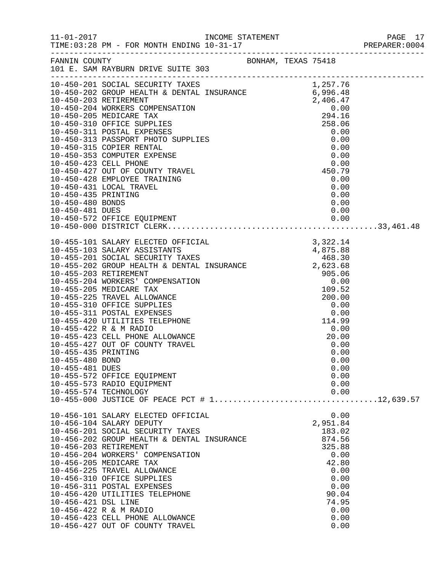|                                    |                                                                                                                                                                                                                                                                                                                                                                                                                                                                       |  |                                                                                                                                   | PAGE 17 |
|------------------------------------|-----------------------------------------------------------------------------------------------------------------------------------------------------------------------------------------------------------------------------------------------------------------------------------------------------------------------------------------------------------------------------------------------------------------------------------------------------------------------|--|-----------------------------------------------------------------------------------------------------------------------------------|---------|
|                                    | FANNIN COUNTY<br>101 E. SAM RAYBURN DRIVE SUITE 303                                                                                                                                                                                                                                                                                                                                                                                                                   |  |                                                                                                                                   |         |
|                                    | 10-450-201 SOUTHER CONFINENT<br>10-450-202 GROUP HEALTH & DENTAL INSURANCE<br>10-450-202 GROUP HEALTH & DENTAL INSURANCE<br>10-450-202 GROUP HEALTH & DENTAL INSURANCE<br>10-450-203 RETIREMENT<br>10-450-205 MEDICARE TAX<br>2010 -0150-2                                                                                                                                                                                                                            |  |                                                                                                                                   |         |
|                                    |                                                                                                                                                                                                                                                                                                                                                                                                                                                                       |  |                                                                                                                                   |         |
| 10-455-480 BOND<br>10-455-481 DUES | 10-455-572 OFFICE EQUIPMENT<br>10-455-573 RADIO EQUIPMENT<br>10-455-574 TECHNOLOGY                                                                                                                                                                                                                                                                                                                                                                                    |  | 0.00<br>0.00<br>0.00<br>0.00<br>0.00<br>0.00                                                                                      |         |
| 10-456-421 DSL LINE                | 10-456-101 SALARY ELECTED OFFICIAL<br>10-456-104 SALARY DEPUTY<br>10-456-201 SOCIAL SECURITY TAXES<br>10-456-202 GROUP HEALTH & DENTAL INSURANCE<br>10-456-203 RETIREMENT<br>10-456-204 WORKERS' COMPENSATION<br>10-456-205 MEDICARE TAX<br>10-456-225 TRAVEL ALLOWANCE<br>10-456-310 OFFICE SUPPLIES<br>10-456-311 POSTAL EXPENSES<br>10-456-420 UTILITIES TELEPHONE<br>10-456-422 R & M RADIO<br>10-456-423 CELL PHONE ALLOWANCE<br>10-456-427 OUT OF COUNTY TRAVEL |  | 0.00<br>2,951.84<br>183.02<br>874.56<br>325.88<br>0.00<br>42.80<br>0.00<br>0.00<br>0.00<br>90.04<br>74.95<br>0.00<br>0.00<br>0.00 |         |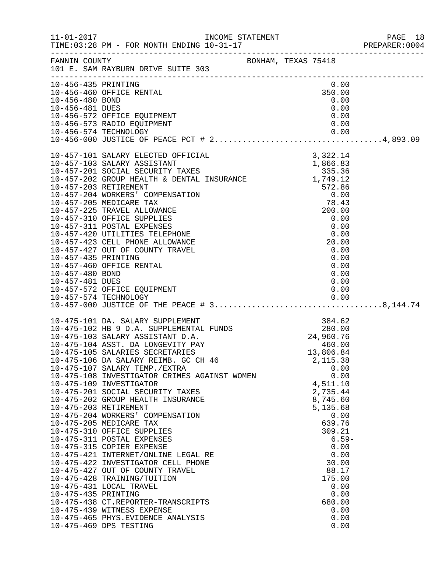|                                                           |                                                                                                                                                                                                                                                                                                                                                                                                                                                                                                                                                                                                                                                                                                                                                                                                                                                                                                           |                     |  |                                                                                                                                                                                                                           | PREPARER: 0004 |
|-----------------------------------------------------------|-----------------------------------------------------------------------------------------------------------------------------------------------------------------------------------------------------------------------------------------------------------------------------------------------------------------------------------------------------------------------------------------------------------------------------------------------------------------------------------------------------------------------------------------------------------------------------------------------------------------------------------------------------------------------------------------------------------------------------------------------------------------------------------------------------------------------------------------------------------------------------------------------------------|---------------------|--|---------------------------------------------------------------------------------------------------------------------------------------------------------------------------------------------------------------------------|----------------|
|                                                           | FANNIN COUNTY<br>101 E. SAM RAYBURN DRIVE SUITE 303                                                                                                                                                                                                                                                                                                                                                                                                                                                                                                                                                                                                                                                                                                                                                                                                                                                       | BONHAM, TEXAS 75418 |  |                                                                                                                                                                                                                           |                |
| 10-456-435 PRINTING<br>10-456-480 BOND<br>10-456-481 DUES | 10-456-460 OFFICE RENTAL<br>10-456-572 OFFICE EQUIPMENT<br>10-456-573 RADIO EQUIPMENT                                                                                                                                                                                                                                                                                                                                                                                                                                                                                                                                                                                                                                                                                                                                                                                                                     |                     |  | 0.00<br>350.00<br>0.00<br>0.00<br>0.00<br>0.00                                                                                                                                                                            |                |
| 10-457-435 PRINTING<br>10-457-480 BOND<br>10-457-481 DUES | 10-457-101 SALARY ELECTED OFFICIAL<br>10-457-103 SALARY ASSISTANT $1,866.83$<br>10-457-201 SOCIAL SECURITY TAXES 335.36<br>10-457-202 GROUP HEALTH & DENTAL INSURANCE 1,749.12<br>10-457-203 RETIREMENT<br>10-457-204 WORKERS' COMPENSATION<br>10-457-205 MEDICARE TAX<br>10-457-225 TRAVEL ALLOWANCE<br>10-457-310 OFFICE SUPPLIES<br>10-457-311 POSTAL EXPENSES<br>10-457-420 UTILITIES TELEPHONE<br>10-457-423 CELL PHONE ALLOWANCE<br>10-457-427 OUT OF COUNTY TRAVEL<br>10-457-460 OFFICE RENTAL<br>10-457-572 OFFICE EQUIPMENT                                                                                                                                                                                                                                                                                                                                                                      |                     |  | 3,322.14<br>572.86<br>0.00<br>78.43<br>200.00<br>0.00<br>0.00<br>0.00<br>20.00<br>0.00<br>0.00<br>0.00<br>0.00<br>0.00<br>0.00                                                                                            |                |
| 10-475-435 PRINTING                                       | 10-475-101 DA. SALARY SUPPLEMENT<br>10-475-102 HB 9 D.A. SUPPLEMENTAL FUNDS 280.00<br>280.00 24,960.76<br>10-475-104 ASST. DA LONGEVITY PAY<br>10-475-105 SALARIES SECRETARIES<br>10-475-106 DA SALARY REIMB. GC CH 46<br>10-475-107 SALARY TEMP./EXTRA<br>10-475-108 INVESTIGATOR CRIMES AGAINST WOMEN<br>10-475-109 INVESTIGATOR<br>10-475-201 SOCIAL SECURITY TAXES<br>10-475-202 GROUP HEALTH INSURANCE<br>10-475-203 RETIREMENT<br>10-475-204 WORKERS' COMPENSATION<br>10-475-205 MEDICARE TAX<br>10-475-310 OFFICE SUPPLIES<br>10-475-311 POSTAL EXPENSES<br>10-475-315 COPIER EXPENSE<br>10-475-421 INTERNET/ONLINE LEGAL RE<br>10-475-422 INVESTIGATOR CELL PHONE<br>10-475-427 OUT OF COUNTY TRAVEL<br>10-475-428 TRAINING/TUITION<br>10-475-431 LOCAL TRAVEL<br>10-475-438 CT.REPORTER-TRANSCRIPTS<br>10-475-439 WITNESS EXPENSE<br>10-475-465 PHYS.EVIDENCE ANALYSIS<br>10-475-469 DPS TESTING |                     |  | 460.00<br>13,806.84<br>2,115.38<br>0.00<br>0.00<br>4,511.10<br>2,735.44<br>8,745.60<br>5,135.68<br>0.00<br>639.76<br>309.21<br>0.00<br>0.00<br>30.00<br>88.17<br>175.00<br>0.00<br>0.00<br>680.00<br>0.00<br>0.00<br>0.00 | $6.59-$        |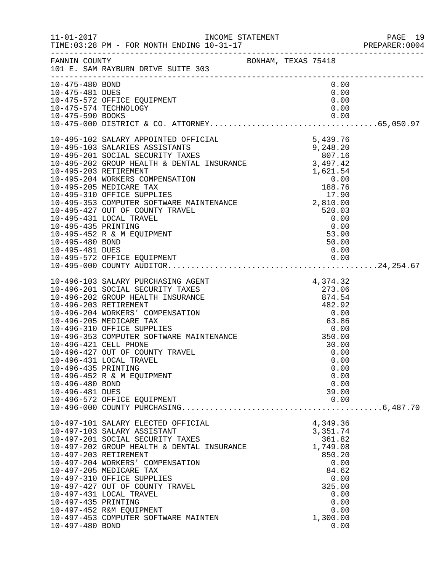|                                                                                                             |                                                                                                                                                                                                                                                                                                                                                                                                                                                                                                     |                                                     |                                                                                                                                     | PAGE 19<br>PREPARER: 0004 |  |
|-------------------------------------------------------------------------------------------------------------|-----------------------------------------------------------------------------------------------------------------------------------------------------------------------------------------------------------------------------------------------------------------------------------------------------------------------------------------------------------------------------------------------------------------------------------------------------------------------------------------------------|-----------------------------------------------------|-------------------------------------------------------------------------------------------------------------------------------------|---------------------------|--|
| FANNIN COUNTY                                                                                               | 101 E. SAM RAYBURN DRIVE SUITE 303                                                                                                                                                                                                                                                                                                                                                                                                                                                                  | BONHAM, TEXAS 75418                                 |                                                                                                                                     |                           |  |
| 10-475-480 BOND<br>10-475-481 DUES                                                                          | 10-475-572 OFFICE EQUIPMENT<br>10-475-574 TECHNOLOGY                                                                                                                                                                                                                                                                                                                                                                                                                                                |                                                     | 0.00<br>0.00<br>0.00<br>0.00                                                                                                        |                           |  |
| 10-495-435 PRINTING<br>10-495-480 BOND<br>10-495-481 DUES                                                   | 10-495-102 SALARY APPOINTED OFFICIAL 5,439.76<br>10-495-103 SALARIES ASSISTANTS 9,248.20<br>10-495-201 SOCIAL SECURITY TAXES 807.16<br>10-495-202 GROUP HEALTH & DENTAL INSURANCE 3,497.42<br>10-495-203 RETIREMENT<br>10-495-204 WORKERS COMPENSATION<br>10-495-205 MEDICARE TAX<br>10-495-310 OFFICE SUPPLIES<br>10-495-353 COMPUTER SOFTWARE MAINTENANCE<br>10-495-427 OUT OF COUNTY TRAVEL<br>10-495-431 LOCAL TRAVEL<br>10-495-431 LO<br>10-495-431 LOCAL TRAVEL<br>10-495-452 R & M EQUIPMENT |                                                     | 0.00<br>$\begin{array}{c} 0.00 \\ 0.00 \\ 53.90 \end{array}$<br>50.00<br>0.00                                                       |                           |  |
| 10-496-203 RETIREMENT<br>10-496-421 CELL PHONE<br>10-496-435 PRINTING<br>10-496-480 BOND<br>10-496-481 DUES | 10-496-103 SALARY PURCHASING AGENT<br>10-496-201 SOCIAL SECURITY TAXES<br>10-496-202 GROUP HEALTH INSURANCE<br>10-496-204 WORKERS' COMPENSATION<br>10-496-205 MEDICARE TAX<br>10-496-310 OFFICE SUPPLIES<br>10-496-353 COMPUTER SOFTWARE MAINTENANCE<br>10-496-427 OUT OF COUNTY TRAVEL<br>10-496-431 LOCAL TRAVEL<br>10-496-452 R & M EQUIPMENT<br>10-496-572 OFFICE EQUIPMENT                                                                                                                     | $482.92$<br>$0.00$<br>$63.86$<br>$0.00$<br>$350.00$ | 4,374.32<br>273.06<br>874.54<br>30.00<br>0.00<br>0.00<br>0.00<br>0.00<br>0.00<br>39.00<br>0.00                                      |                           |  |
| 10-497-203 RETIREMENT<br>10-497-435 PRINTING<br>10-497-480 BOND                                             | 10-497-101 SALARY ELECTED OFFICIAL<br>10-497-103 SALARY ASSISTANT<br>10-497-201 SOCIAL SECURITY TAXES<br>10-497-202 GROUP HEALTH & DENTAL INSURANCE<br>10-497-204 WORKERS' COMPENSATION<br>10-497-205 MEDICARE TAX<br>10-497-310 OFFICE SUPPLIES<br>10-497-427 OUT OF COUNTY TRAVEL<br>10-497-431 LOCAL TRAVEL<br>10-497-452 R&M EQUIPMENT<br>10-497-453 COMPUTER SOFTWARE MAINTEN                                                                                                                  |                                                     | 4,349.36<br>3,351.74<br>361.82<br>1,749.08<br>850.20<br>0.00<br>84.62<br>0.00<br>325.00<br>0.00<br>0.00<br>0.00<br>1,300.00<br>0.00 |                           |  |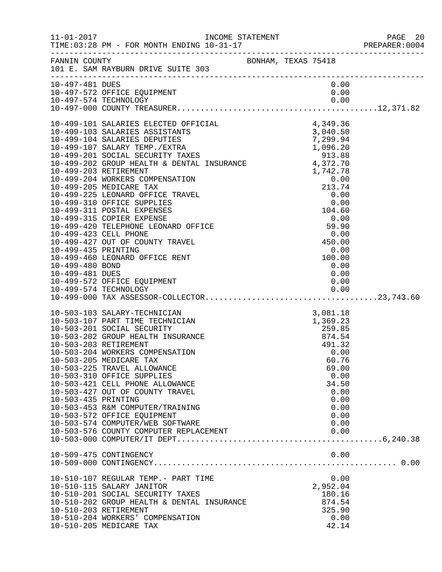|                                    |                                                                                                                                                                                                                                                                                                                                                                                                                                                                                                                   |  |                                                 |                                              | PAGE 20<br>PREPARER: 0004 |
|------------------------------------|-------------------------------------------------------------------------------------------------------------------------------------------------------------------------------------------------------------------------------------------------------------------------------------------------------------------------------------------------------------------------------------------------------------------------------------------------------------------------------------------------------------------|--|-------------------------------------------------|----------------------------------------------|---------------------------|
|                                    | FANNIN COUNTY<br>101 E. SAM RAYBURN DRIVE SUITE 303                                                                                                                                                                                                                                                                                                                                                                                                                                                               |  |                                                 |                                              |                           |
| 10-497-481 DUES                    |                                                                                                                                                                                                                                                                                                                                                                                                                                                                                                                   |  | 0.00                                            |                                              |                           |
| 10-499-480 BOND<br>10-499-481 DUES | 10-499-101 SALARIES ELECTED OFFICIAL 4,349.36<br>10-499-103 SALARIES ASSISTANTS 3,040.50<br>10-499-104 SALARIES DEPUTIES 7,299.94<br>10-499-107 SALARY TEMP./EXTRA 1,096.20<br>10-499-201 SOCIAL SECURITY TAXES 913.88<br>10-499-202 GRO<br>10-499-572 OFFICE EQUIPMENT                                                                                                                                                                                                                                           |  | 1,742.78<br>0.00<br>0.00<br>0.00                |                                              |                           |
| 10-503-435 PRINTING                | 10-499-000 MM MELARY-TECHNICIAN<br>10-503-107 PART TIME TECHNICIAN<br>10-503-201 SOCIAL SECURITY<br>10-503-202 GROUP HEALTH INSURANCE<br>10-503-202 GROUP HEALTH INSURANCE<br>10-503-203 RETIREMENT<br>10-503-204 WORKERS COMPENSATION<br>0.<br>10-503-205 MEDICARE TAX<br>10-503-225 TRAVEL ALLOWANCE<br>10-503-310 OFFICE SUPPLIES<br>10-503-421 CELL PHONE ALLOWANCE<br>10-503-427 OUT OF COUNTY TRAVEL<br>10-503-453 R&M COMPUTER/TRAINING<br>10-503-572 OFFICE EQUIPMENT<br>10-503-574 COMPUTER/WEB SOFTWARE |  | 60.76<br>69.00<br>34.50                         | 0.00<br>0.00<br>0.00<br>0.00<br>0.00<br>0.00 |                           |
|                                    | 10-509-475 CONTINGENCY                                                                                                                                                                                                                                                                                                                                                                                                                                                                                            |  |                                                 | 0.00                                         |                           |
|                                    | 10-510-107 REGULAR TEMP.- PART TIME<br>10-510-115 SALARY JANITOR<br>10-510-201 SOCIAL SECURITY TAXES<br>10-510-202 GROUP HEALTH & DENTAL INSURANCE<br>10-510-203 RETIREMENT<br>10-510-204 WORKERS' COMPENSATION<br>10-510-205 MEDICARE TAX                                                                                                                                                                                                                                                                        |  | 2,952.04<br>180.16<br>874.54<br>325.90<br>42.14 | 0.00<br>0.00                                 |                           |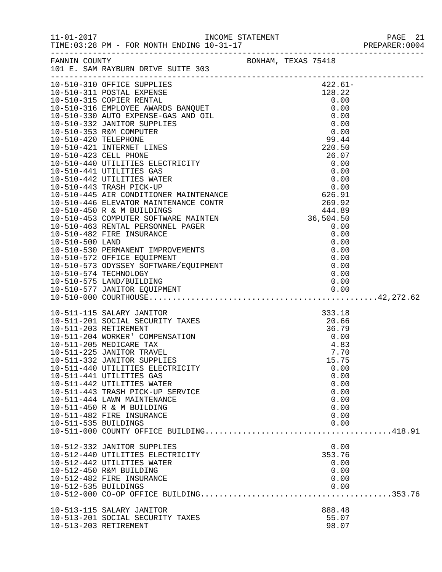|                       |                                                                                                                                                                                                                                                                                                                                                                                                                                                                         |                                                                       | PAGE 21<br>PREPARER:0004 |
|-----------------------|-------------------------------------------------------------------------------------------------------------------------------------------------------------------------------------------------------------------------------------------------------------------------------------------------------------------------------------------------------------------------------------------------------------------------------------------------------------------------|-----------------------------------------------------------------------|--------------------------|
|                       | FANNIN COUNTY<br>101 E. SAM RAYBURN DRIVE SUITE 303                                                                                                                                                                                                                                                                                                                                                                                                                     |                                                                       |                          |
|                       |                                                                                                                                                                                                                                                                                                                                                                                                                                                                         | 422.61-<br>0.00                                                       |                          |
|                       |                                                                                                                                                                                                                                                                                                                                                                                                                                                                         |                                                                       |                          |
| 10-511-535 BUILDINGS  | 10-511-115 SALARY JANITOR<br>10-511-201 SOCIAL SECURITY TAXES 333.18<br>10-511-203 RETIREMENT 36.79<br>10-511-204 WORKER' COMPENSATION 0.00<br>10-511-205 MEDICARE TAX 4.83<br>10-511-225 JANITOR TRAVEL 7.70<br>10-511-332 JANITOR SUPPLIES<br>10-511-440 UTILITIES ELECTRICITY<br>10-511-441 UTILITIES GAS<br>10-511-442 UTILITIES WATER<br>10-511-443 TRASH PICK-UP SERVICE<br>10-511-444 LAWN MAINTENANCE<br>10-511-450 R & M BUILDING<br>10-511-482 FIRE INSURANCE | 15.75<br>0.00<br>0.00<br>0.00<br>0.00<br>0.00<br>0.00<br>0.00<br>0.00 |                          |
| 10-512-535 BUILDINGS  | 10-512-332 JANITOR SUPPLIES<br>10-512-440 UTILITIES ELECTRICITY<br>10-512-442 UTILITIES WATER<br>10-512-450 R&M BUILDING<br>10-512-482 FIRE INSURANCE                                                                                                                                                                                                                                                                                                                   | 0.00<br>353.76<br>0.00<br>0.00<br>0.00<br>0.00                        |                          |
| 10-513-203 RETIREMENT | 10-513-115 SALARY JANITOR<br>10-513-201 SOCIAL SECURITY TAXES                                                                                                                                                                                                                                                                                                                                                                                                           | 888.48<br>55.07<br>98.07                                              |                          |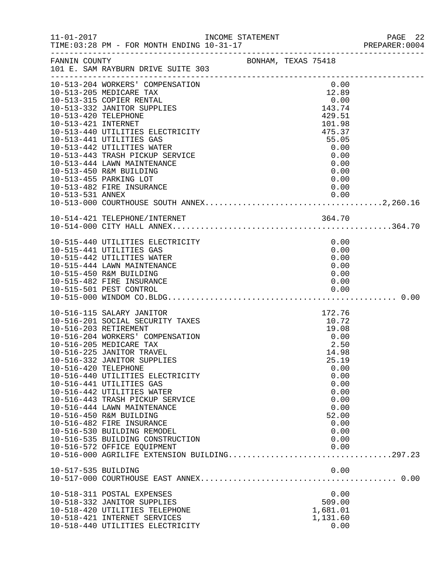| $11 - 01 - 2017$                                               | INCOME STATEMENT |                     |                | PAGE 22 |
|----------------------------------------------------------------|------------------|---------------------|----------------|---------|
| FANNIN COUNTY<br>101 E. SAM RAYBURN DRIVE SUITE 303            |                  | BONHAM, TEXAS 75418 |                |         |
| 10-513-204 WORKERS' COMPENSATION<br>10-513-205 MEDICARE TAX    |                  |                     | 0.00<br>12.89  |         |
| 10-513-315 COPIER RENTAL                                       |                  |                     | 0.00           |         |
| 10-513-332 JANITOR SUPPLIES                                    |                  |                     | 143.74         |         |
| 10-513-420 TELEPHONE                                           |                  |                     | 429.51         |         |
| 10-513-421 INTERNET                                            |                  |                     | 101.98         |         |
| 10-513-440 UTILITIES ELECTRICITY                               |                  |                     | 475.37         |         |
| 10-513-441 UTILITIES GAS                                       |                  |                     | 55.05          |         |
| 10-513-442 UTILITIES WATER                                     |                  |                     | 0.00<br>0.00   |         |
| 10-513-443 TRASH PICKUP SERVICE<br>10-513-444 LAWN MAINTENANCE |                  |                     | 0.00           |         |
| 10-513-450 R&M BUILDING                                        |                  |                     | 0.00           |         |
| 10-513-455 PARKING LOT                                         |                  |                     | 0.00           |         |
| 10-513-482 FIRE INSURANCE                                      |                  |                     | 0.00           |         |
|                                                                |                  |                     |                |         |
|                                                                |                  |                     |                |         |
|                                                                |                  |                     |                |         |
| 10-514-421 TELEPHONE/INTERNET                                  |                  |                     | 364.70         |         |
|                                                                |                  |                     |                |         |
| 10-515-440 UTILITIES ELECTRICITY                               |                  |                     | 0.00           |         |
| 10-515-441 UTILITIES GAS                                       |                  |                     | 0.00           |         |
| 10-515-442 UTILITIES WATER                                     |                  |                     | 0.00           |         |
| 10-515-444 LAWN MAINTENANCE                                    |                  |                     | 0.00           |         |
| 10-515-450 R&M BUILDING                                        |                  |                     | 0.00           |         |
| 10-515-482 FIRE INSURANCE                                      |                  |                     | 0.00           |         |
|                                                                |                  |                     |                |         |
|                                                                |                  |                     |                |         |
| 10-516-115 SALARY JANITOR                                      |                  |                     | 172.76         |         |
| 10-516-201 SOCIAL SECURITY TAXES                               |                  |                     | 10.72          |         |
| 10-516-203 RETIREMENT                                          |                  |                     | 19.08          |         |
| 10-516-204 WORKERS' COMPENSATION                               |                  |                     | 0.00           |         |
| 10-516-205 MEDICARE TAX                                        |                  |                     | 2.50           |         |
| 10-516-225 JANITOR TRAVEL                                      |                  |                     | 14.98          |         |
| 10-516-332 JANITOR SUPPLIES<br>10-516-420 TELEPHONE            |                  |                     | 25.19          |         |
| 10-516-440 UTILITIES ELECTRICITY                               |                  |                     | 0.00<br>0.00   |         |
| 10-516-441 UTILITIES GAS                                       |                  |                     | 0.00           |         |
| 10-516-442 UTILITIES WATER                                     |                  |                     | 0.00           |         |
| 10-516-443 TRASH PICKUP SERVICE                                |                  |                     | 0.00           |         |
| 10-516-444 LAWN MAINTENANCE                                    |                  |                     | 0.00           |         |
| 10-516-450 R&M BUILDING                                        |                  |                     | 52.00          |         |
| 10-516-482 FIRE INSURANCE                                      |                  |                     | 0.00           |         |
| 10-516-530 BUILDING REMODEL                                    |                  |                     | 0.00           |         |
| 10-516-535 BUILDING CONSTRUCTION                               |                  |                     | 0.00           |         |
| 10-516-572 OFFICE EQUIPMENT                                    |                  |                     | 0.00           |         |
|                                                                |                  |                     |                |         |
| 10-517-535 BUILDING                                            |                  |                     | 0.00           |         |
|                                                                |                  |                     |                |         |
|                                                                |                  |                     |                |         |
| 10-518-311 POSTAL EXPENSES<br>10-518-332 JANITOR SUPPLIES      |                  |                     | 0.00<br>509.00 |         |
| 10-518-420 UTILITIES TELEPHONE                                 |                  |                     | 1,681.01       |         |
| 10-518-421 INTERNET SERVICES                                   |                  |                     | 1,131.60       |         |
| 10-518-440 UTILITIES ELECTRICITY                               |                  |                     | 0.00           |         |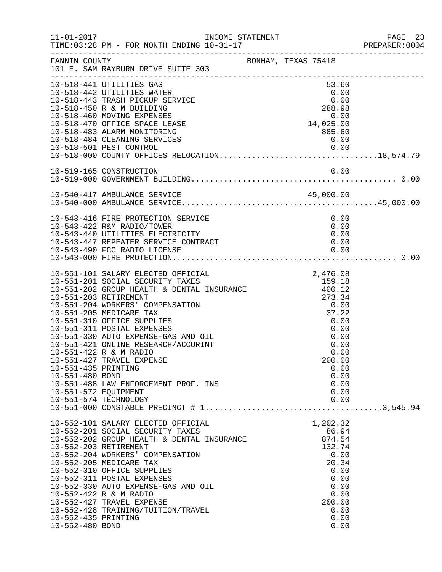|                                                                |                                                                                                                                                                                                                                                                                                                                                                                                                                                                                          |                                                                                                                          | PAGE 23<br>PREPARER: 0004 |
|----------------------------------------------------------------|------------------------------------------------------------------------------------------------------------------------------------------------------------------------------------------------------------------------------------------------------------------------------------------------------------------------------------------------------------------------------------------------------------------------------------------------------------------------------------------|--------------------------------------------------------------------------------------------------------------------------|---------------------------|
| FANNIN COUNTY                                                  | BONHAM, TEXAS 75418<br>101 E. SAM RAYBURN DRIVE SUITE 303                                                                                                                                                                                                                                                                                                                                                                                                                                |                                                                                                                          |                           |
|                                                                | 10-518-441 UTILITIES GAS<br>10-518-442 UTILITIES WATER<br>10-518-443 TRASH PICKUP SERVICE<br>10-518-450 R & M BUILDING<br>10-518-460 MOVING EXPENSES<br>10-518-470 OFFICE SPACE LEASE                                                                                                                                                                                                                                                                                                    | 53.60<br>0.00<br>0.00<br>288.98<br>$0.00$<br>14,025.00                                                                   |                           |
|                                                                | 10-518-483 ALARM MONITORING<br>10-518-484 CLEANING SERVICES<br>10-518-501 PEST CONTROL                                                                                                                                                                                                                                                                                                                                                                                                   | 885.60<br>0.00<br>0.00                                                                                                   |                           |
|                                                                | 10-519-165 CONSTRUCTION                                                                                                                                                                                                                                                                                                                                                                                                                                                                  | 0.00                                                                                                                     |                           |
|                                                                |                                                                                                                                                                                                                                                                                                                                                                                                                                                                                          |                                                                                                                          |                           |
|                                                                | 10-543-416 FIRE PROTECTION SERVICE<br>10-543-422 R&M RADIO/TOWER<br>10-543-440 UTILITIES ELECTRICITY<br>10-543-447 REPEATER SERVICE CONTRACT<br>10-543-490 FCC RADIO LICENSE                                                                                                                                                                                                                                                                                                             | 0.00<br>0.00<br>0.00<br>0.00<br>0.00                                                                                     |                           |
| 10-551-435 PRINTING<br>10-551-480 BOND<br>10-551-572 EQUIPMENT | 10-551-101 SALARY ELECTED OFFICIAL<br>10-551-202 GROUP HEALTH & DENTAL INSURANCE<br>10-551-202 GROUP HEALTH & DENTAL INSURANCE<br>10-551-203 RETIREMENT<br>10-551-204 WORKERS' COMPENSATION<br>10-551-205 MEDICARE TAX<br>10-551-310 OFFICE SUPPLIES<br>10-551-311 POSTAL EXPENSES<br>10-551-330 AUTO EXPENSE-GAS AND OIL<br>10-551-421 ONLINE RESEARCH/ACCURINT<br>10-551-422 R & M RADIO<br>10-551-427 TRAVEL EXPENSE<br>10-551-488 LAW ENFORCEMENT PROF. INS<br>10-551-574 TECHNOLOGY | 2,476.08<br>0.00<br>37.22<br>0.00<br>0.00<br>0.00<br>0.00<br>0.00<br>200.00<br>0.00<br>0.00<br>0.00<br>0.00<br>0.00      |                           |
| 10-552-435 PRINTING<br>10-552-480 BOND                         | 10-552-101 SALARY ELECTED OFFICIAL<br>10-552-201 SOCIAL SECURITY TAXES<br>$10-552-202$ GROUP HEALTH & DENTAL INSURANCE<br>10-552-203 RETIREMENT<br>10-552-204 WORKERS' COMPENSATION<br>10-552-205 MEDICARE TAX<br>10-552-310 OFFICE SUPPLIES<br>10-552-311 POSTAL EXPENSES<br>10-552-330 AUTO EXPENSE-GAS AND OIL<br>10-552-422 R & M RADIO<br>10-552-427 TRAVEL EXPENSE<br>10-552-428 TRAINING/TUITION/TRAVEL                                                                           | 1,202.32<br>86.94<br>874.54<br>132.74<br>0.00<br>20.34<br>0.00<br>0.00<br>0.00<br>0.00<br>200.00<br>0.00<br>0.00<br>0.00 |                           |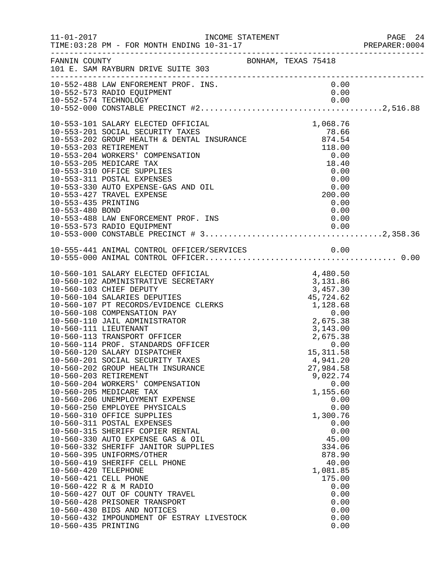| $11 - 01 - 2017$                            | INCOME STATEMENT                                                                                                                                                                                                                                                                                                                                                                                                                                                                                                                                                                                                                                                                                                                                                                                                                                                                                                                                                                                                                                                |                                                                                            |                                                                                                                                                                                                                                                                         | PAGE 24<br>PREPARER:0004 |
|---------------------------------------------|-----------------------------------------------------------------------------------------------------------------------------------------------------------------------------------------------------------------------------------------------------------------------------------------------------------------------------------------------------------------------------------------------------------------------------------------------------------------------------------------------------------------------------------------------------------------------------------------------------------------------------------------------------------------------------------------------------------------------------------------------------------------------------------------------------------------------------------------------------------------------------------------------------------------------------------------------------------------------------------------------------------------------------------------------------------------|--------------------------------------------------------------------------------------------|-------------------------------------------------------------------------------------------------------------------------------------------------------------------------------------------------------------------------------------------------------------------------|--------------------------|
| FANNIN COUNTY                               | 101 E. SAM RAYBURN DRIVE SUITE 303                                                                                                                                                                                                                                                                                                                                                                                                                                                                                                                                                                                                                                                                                                                                                                                                                                                                                                                                                                                                                              | BONHAM, TEXAS 75418                                                                        |                                                                                                                                                                                                                                                                         |                          |
|                                             | 10-552-488 LAW ENFOREMENT PROF. INS.<br>10-552-573 RADIO EQUIPMENT                                                                                                                                                                                                                                                                                                                                                                                                                                                                                                                                                                                                                                                                                                                                                                                                                                                                                                                                                                                              |                                                                                            | 0.00<br>0.00                                                                                                                                                                                                                                                            |                          |
| 10-553-435 PRINTING<br>10-553-480 BOND      | 10-553-101 SALARY ELECTED OFFICIAL<br>10-553-202 GROUP HEALTH & DENTAL INSURANCE<br>10-553-203 RETIREMENT & DENTAL INSURANCE<br>10-553-203 RETIREMENT<br>10-553-204 North Street<br>10-553-204 WORKERS' COMPENSATION<br>10-553-205 MEDICARE TAX<br>10-553-310 OFFICE SUPPLIES<br>10-553-311 POSTAL EXPENSES<br>10-553-330 AUTO EXPENSE-GAS AND OIL<br>10-553-427 TRAVEL EXPENSE<br>10-553-488 LAW ENFORCEMENT PROF. INS                                                                                                                                                                                                                                                                                                                                                                                                                                                                                                                                                                                                                                         | $\begin{array}{r} 0.00 \\ 18.40 \\ 0.00 \end{array}$                                       | 1,068.76<br>0.00<br>0.00<br>0.00<br>200.00<br>0.00<br>0.00<br>0.00                                                                                                                                                                                                      |                          |
|                                             |                                                                                                                                                                                                                                                                                                                                                                                                                                                                                                                                                                                                                                                                                                                                                                                                                                                                                                                                                                                                                                                                 |                                                                                            |                                                                                                                                                                                                                                                                         |                          |
| 10-560-420 TELEPHONE<br>10-560-435 PRINTING | 10-560-101 SALARY ELECTED OFFICIAL<br>10-560-102 ADMINISTRATIVE SECRETARY<br>10-560-103 CHIEF DEPUTY<br>10-560-104 SALARIES DEPUTIES<br>10-560-107 PT RECORDS/EVIDENCE CLERKS<br>10-560-108 COMPENSATION PAY<br>10-560-110 JAIL ADMINISTRATOR<br>10-560-111 LIEUTENANT<br>10-560-113 TRANSPORT OFFICER<br>10-560-114 PROF. STANDARDS OFFICER<br>10-560-120 SALARY DISPATCHER<br>10-560-201 SOCIAL SECURITY TAXES<br>10-560-202 GROUP HEALTH INSURANCE<br>10-560-203 RETIREMENT<br>10-560-204 WORKERS' COMPENSATION<br>10-560-205 MEDICARE TAX<br>10-560-206 UNEMPLOYMENT EXPENSE<br>10-560-250 EMPLOYEE PHYSICALS<br>10-560-310 OFFICE SUPPLIES<br>10-560-311 POSTAL EXPENSES<br>10-560-315 SHERIFF COPIER RENTAL<br>10-560-330 AUTO EXPENSE GAS & OIL<br>10-560-332 SHERIFF JANITOR SUPPLIES<br>10-560-395 UNIFORMS/OTHER<br>10-560-419 SHERIFF CELL PHONE<br>10-560-421 CELL PHONE<br>10-560-422 R & M RADIO<br>10-560-427 OUT OF COUNTY TRAVEL<br>10-560-428 PRISONER TRANSPORT<br>10-560-430 BIDS AND NOTICES<br>10-560-432 IMPOUNDMENT OF ESTRAY LIVESTOCK | 4,480.50<br>3,131.86<br>3,457.30<br>45,724.62<br>45,724.62<br>1,128.68<br>0.00<br>2,675.38 | 4,480.50<br>3,143.00<br>2,675.38<br>0.00<br>15, 311.58<br>4,941.20<br>27,984.58<br>9,022.74<br>0.00<br>1,155.60<br>0.00<br>0.00<br>1,300.76<br>0.00<br>0.00<br>45.00<br>334.06<br>878.90<br>40.00<br>1,081.85<br>175.00<br>0.00<br>0.00<br>0.00<br>0.00<br>0.00<br>0.00 |                          |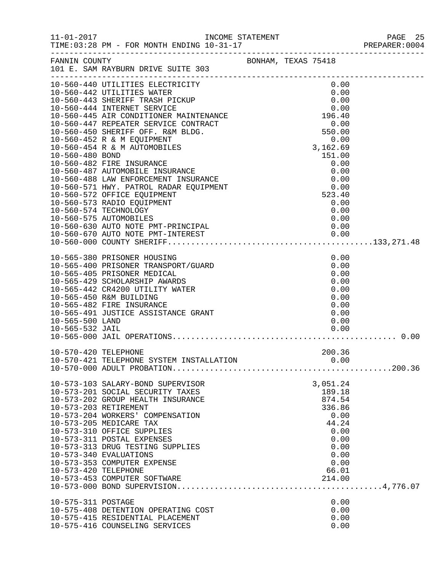|                                    |                                                                                                                                                                                                                                                                                                                                                                                                                                                                           |  |                                                                                                          | PAGE 25<br>PREPARER: 0004 |
|------------------------------------|---------------------------------------------------------------------------------------------------------------------------------------------------------------------------------------------------------------------------------------------------------------------------------------------------------------------------------------------------------------------------------------------------------------------------------------------------------------------------|--|----------------------------------------------------------------------------------------------------------|---------------------------|
|                                    |                                                                                                                                                                                                                                                                                                                                                                                                                                                                           |  |                                                                                                          |                           |
|                                    | $\begin{tabular}{c c c} $0$ & $B$ & -F0k$ \\ \hline \multicolumn{3}{c}{\multicolumn{3}{c}{\multicolumn{3}{c}{\multicolumn{3}{c}{\multicolumn{3}{c}{\multicolumn{3}{c}{\multicolumn{3}{c}{\multicolumn{3}{c}{\multicolumn{3}{c}{\multicolumn{3}{c}{\multicolumn{3}{c}{\multicolumn{3}{c}{\multicolumn{3}{c}{\multicolumn{3}{c}{\multicolumn{3}{c}{\multicolumn{3}{c}{\multicolumn{3}{c}{\multicolumn{3}{c}{\multicolumn{3}{c}{\multicolumn{3}{c}{\multicolumn{3}{c}{\mult$ |  |                                                                                                          |                           |
|                                    |                                                                                                                                                                                                                                                                                                                                                                                                                                                                           |  |                                                                                                          |                           |
| 10-565-500 LAND<br>10-565-532 JAIL | 10-565-380 PRISONER HOUSING<br>10-565-400 PRISONER TRANSPORT/GUARD<br>10-565-405 PRISONER MEDICAL<br>10-565-429 SCHOLARSHIP AWARDS<br>10-565-442 CR4200 UTILITY WATER<br>10-565-450 R&M BUILDING<br>10-565-482 FIRE INSURANCE<br>10-565-491 JUSTICE ASSISTANCE GRANT                                                                                                                                                                                                      |  | 0.00<br>0.00<br>0.00<br>0.00<br>0.00<br>0.00<br>0.00<br>0.00<br>0.00<br>0.00                             |                           |
| 10-570-420 TELEPHONE               | 10-570-421 TELEPHONE SYSTEM INSTALLATION                                                                                                                                                                                                                                                                                                                                                                                                                                  |  | 200.36<br>0.00                                                                                           |                           |
| 10-573-420 TELEPHONE               | 10-573-103 SALARY-BOND SUPERVISOR<br>10-573-201 SOCIAL SECURITY TAXES<br>10-573-202 GROUP HEALTH INSURANCE<br>10-573-203 RETIREMENT<br>10-573-204 WORKERS' COMPENSATION<br>10-573-205 MEDICARE TAX<br>10-573-310 OFFICE SUPPLIES<br>10-573-311 POSTAL EXPENSES<br>10-573-313 DRUG TESTING SUPPLIES<br>10-573-340 EVALUATIONS<br>10-573-353 COMPUTER EXPENSE                                                                                                               |  | 3,051.24<br>189.18<br>874.54<br>336.86<br>0.00<br>44.24<br>0.00<br>0.00<br>0.00<br>0.00<br>0.00<br>66.01 |                           |
| 10-575-311 POSTAGE                 | 10-575-408 DETENTION OPERATING COST<br>10-575-415 RESIDENTIAL PLACEMENT<br>10-575-416 COUNSELING SERVICES                                                                                                                                                                                                                                                                                                                                                                 |  | 0.00<br>0.00<br>0.00<br>0.00                                                                             |                           |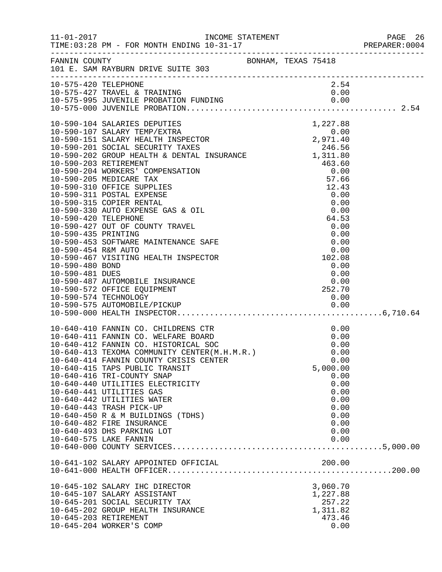|                      |                                                                                                                                                                    |  |              | PREPARER: 0004 |
|----------------------|--------------------------------------------------------------------------------------------------------------------------------------------------------------------|--|--------------|----------------|
|                      | FANNIN COUNTY<br>101 E. SAM RAYBURN DRIVE SUITE 303                                                                                                                |  |              |                |
| 10-575-420 TELEPHONE |                                                                                                                                                                    |  | 2.54         |                |
|                      |                                                                                                                                                                    |  |              |                |
|                      |                                                                                                                                                                    |  |              |                |
|                      |                                                                                                                                                                    |  |              |                |
|                      |                                                                                                                                                                    |  |              |                |
|                      |                                                                                                                                                                    |  |              |                |
|                      |                                                                                                                                                                    |  |              |                |
|                      |                                                                                                                                                                    |  |              |                |
|                      |                                                                                                                                                                    |  |              |                |
|                      |                                                                                                                                                                    |  |              |                |
|                      |                                                                                                                                                                    |  |              |                |
|                      |                                                                                                                                                                    |  |              |                |
|                      |                                                                                                                                                                    |  |              |                |
|                      |                                                                                                                                                                    |  |              |                |
|                      |                                                                                                                                                                    |  | 0.00         |                |
| 10-590-420 TELEPHONE | 10-590-315 COPIER RENTAL<br>10-590-330 AUTO EXPENSE GAS & OIL<br>10-590-420 TELEPHONE                                                                              |  | 64.53        |                |
|                      | 10-590-427 OUT OF COUNTY TRAVEL                                                                                                                                    |  | 0.00         |                |
|                      |                                                                                                                                                                    |  | 0.00         |                |
|                      |                                                                                                                                                                    |  |              |                |
|                      |                                                                                                                                                                    |  | 0.00<br>0.00 |                |
|                      | 10-590-435 PRINTING<br>10-590-453 SOFTWARE MAINTENANCE SAFE<br>10-590-454 R&M AUTO<br>10-590-467 VISITING HEALTH INSPECTOR                                         |  | 102.08       |                |
| 10-590-480 BOND      |                                                                                                                                                                    |  | 0.00         |                |
| 10-590-481 DUES      |                                                                                                                                                                    |  | 0.00         |                |
|                      | 10-590-487 AUTOMOBILE INSURANCE                                                                                                                                    |  | 0.00         |                |
|                      | 10-590-572 OFFICE EQUIPMENT                                                                                                                                        |  | 252.70       |                |
|                      | 10-590-574 TECHNOLOGY                                                                                                                                              |  | 0.00         |                |
|                      |                                                                                                                                                                    |  |              |                |
|                      |                                                                                                                                                                    |  |              |                |
|                      |                                                                                                                                                                    |  |              |                |
|                      |                                                                                                                                                                    |  | 0.00         |                |
|                      |                                                                                                                                                                    |  | 0.00         |                |
|                      | 10-640-410 FANNIN CO. CHILDRENS CTR<br>10-640-411 FANNIN CO. WELFARE BOARD<br>10-640-412 FANNIN CO. HISTORICAL SOC<br>10-640-413 TEXOMA COMMUNITY CENTER(M.H.M.R.) |  | 0.00         |                |
|                      |                                                                                                                                                                    |  | 0.00         |                |
|                      | 10-640-414 FANNIN COUNTY CRISIS CENTER                                                                                                                             |  | 0.00         |                |
|                      | 10-640-415 TAPS PUBLIC TRANSIT                                                                                                                                     |  | 5,000.00     |                |
|                      | 10-640-416 TRI-COUNTY SNAP                                                                                                                                         |  | 0.00         |                |
|                      | 10-640-440 UTILITIES ELECTRICITY<br>10-640-441 UTILITIES GAS                                                                                                       |  | 0.00         |                |
|                      | 10-640-442 UTILITIES WATER                                                                                                                                         |  | 0.00         |                |
|                      | 10-640-443 TRASH PICK-UP                                                                                                                                           |  | 0.00<br>0.00 |                |
|                      | 10-640-450 R & M BUILDINGS (TDHS)                                                                                                                                  |  | 0.00         |                |
|                      | 10-640-482 FIRE INSURANCE                                                                                                                                          |  | 0.00         |                |
|                      | 10-640-493 DHS PARKING LOT                                                                                                                                         |  | 0.00         |                |
|                      | 10-640-575 LAKE FANNIN                                                                                                                                             |  | 0.00         |                |
|                      |                                                                                                                                                                    |  |              |                |
|                      |                                                                                                                                                                    |  |              |                |
|                      | 10-641-102 SALARY APPOINTED OFFICIAL                                                                                                                               |  | 200.00       |                |
|                      |                                                                                                                                                                    |  |              |                |
|                      | 10-645-102 SALARY IHC DIRECTOR                                                                                                                                     |  | 3,060.70     |                |
|                      | 10-645-107 SALARY ASSISTANT                                                                                                                                        |  | 1,227.88     |                |
|                      | 10-645-201 SOCIAL SECURITY TAX                                                                                                                                     |  | 257.22       |                |
|                      | 10-645-202 GROUP HEALTH INSURANCE                                                                                                                                  |  | 1,311.82     |                |
|                      | 10-645-203 RETIREMENT                                                                                                                                              |  | 473.46       |                |
|                      | 10-645-204 WORKER'S COMP                                                                                                                                           |  | 0.00         |                |
|                      |                                                                                                                                                                    |  |              |                |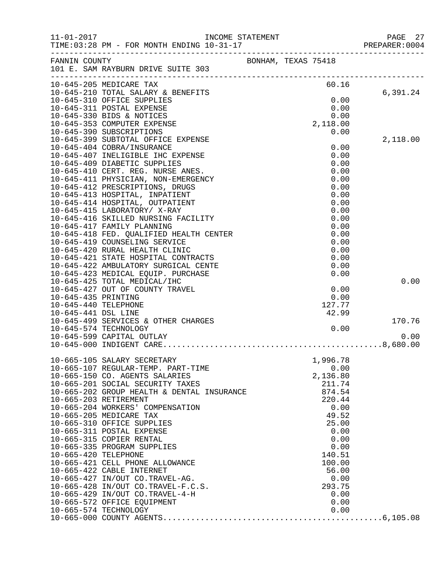| $11 - 01 - 2017$     |                                                                                                             | INCOME STATEMENT    |                | PAGE 27<br>PREPARER: 0004 |
|----------------------|-------------------------------------------------------------------------------------------------------------|---------------------|----------------|---------------------------|
|                      | FANNIN COUNTY<br>101 E. SAM RAYBURN DRIVE SUITE 303                                                         | BONHAM, TEXAS 75418 |                |                           |
|                      | 10-645-205 MEDICARE TAX                                                                                     |                     | 60.16          |                           |
|                      | 10-645-210 TOTAL SALARY & BENEFITS                                                                          |                     |                | 6,391.24                  |
|                      | 10-645-310 OFFICE SUPPLIES                                                                                  |                     | 0.00           |                           |
|                      | 10-645-311 POSTAL EXPENSE<br>10-645-330 BIDS & NOTICES                                                      |                     | 0.00<br>0.00   |                           |
|                      | 10-645-353 COMPUTER EXPENSE                                                                                 |                     | 2,118.00       |                           |
|                      | 10-645-390 SUBSCRIPTIONS                                                                                    |                     | 0.00           |                           |
|                      | 10-645-399 SUBTOTAL OFFICE EXPENSE                                                                          |                     |                | 2,118.00                  |
|                      | 10-645-404 COBRA/INSURANCE                                                                                  |                     | 0.00           |                           |
|                      | 10-645-407 INELIGIBLE IHC EXPENSE                                                                           |                     | 0.00           |                           |
|                      | 10-645-409 DIABETIC SUPPLIES                                                                                |                     | 0.00           |                           |
|                      | 10-645-410 CERT. REG. NURSE ANES.<br>10-645-411 PHYSICIAN, NON-EMERGENCY                                    |                     | 0.00<br>0.00   |                           |
|                      | 10-645-412 PRESCRIPTIONS, DRUGS                                                                             |                     | 0.00           |                           |
|                      | 10-645-413 HOSPITAL, INPATIENT                                                                              |                     | 0.00           |                           |
|                      | 10-645-414 HOSPITAL, OUTPATIENT                                                                             |                     | 0.00           |                           |
|                      | 10-645-415 LABORATORY/ X-RAY                                                                                |                     | 0.00           |                           |
|                      | 10-645-416 SKILLED NURSING FACILITY                                                                         |                     | 0.00           |                           |
|                      | 10-645-417 FAMILY PLANNING                                                                                  |                     | 0.00           |                           |
|                      | 10-645-418 FED. QUALIFIED HEALTH CENTER                                                                     |                     | 0.00           |                           |
|                      | 10-645-419 COUNSELING SERVICE                                                                               |                     | 0.00           |                           |
|                      | 10-645-420 RURAL HEALTH CLINIC<br>10-645-421 STATE HOSPITAL CONTRACTS                                       |                     | 0.00<br>0.00   |                           |
|                      | 10-645-422 AMBULATORY SURGICAL CENTE                                                                        |                     | 0.00           |                           |
|                      | 10-645-423 MEDICAL EQUIP. PURCHASE                                                                          |                     | 0.00           |                           |
|                      | 10-645-425 TOTAL MEDICAL/IHC                                                                                |                     |                | 0.00                      |
|                      | 10-645-427 OUT OF COUNTY TRAVEL                                                                             |                     | 0.00           |                           |
| 10-645-435 PRINTING  |                                                                                                             |                     | 0.00           |                           |
| 10-645-440 TELEPHONE |                                                                                                             |                     | 127.77         |                           |
| 10-645-441 DSL LINE  |                                                                                                             |                     | 42.99          |                           |
|                      | 10-645-499 SERVICES & OTHER CHARGES<br>10-645-574 TECHNOLOGY                                                |                     | 0.00           | 170.76                    |
|                      | 10-645-599 CAPITAL OUTLAY                                                                                   |                     |                | 0.00                      |
|                      |                                                                                                             |                     |                |                           |
|                      | 10-665-105 SALARY SECRETARY                                                                                 |                     | 1,996.78       |                           |
|                      | 10-665-107 REGULAR-TEMP. PART-TIME                                                                          |                     | 0.00           |                           |
|                      | 10-665-150 CO. AGENTS SALARIES                                                                              |                     | 2,136.80       |                           |
|                      | 10-665-201 SOCIAL SECURITY TAXES                                                                            |                     | 211.74         |                           |
|                      | 10-665-202 GROUP HEALTH & DENTAL INSURANCE                                                                  |                     | 874.54         |                           |
|                      | 10-665-203 RETIREMENT<br>10-665-204 WORKERS' COMPENSATION                                                   |                     | 220.44<br>0.00 |                           |
|                      | 10-665-205 MEDICARE TAX                                                                                     |                     | 49.52          |                           |
|                      | 10-665-310 OFFICE SUPPLIES                                                                                  |                     | 25.00          |                           |
|                      | 10-665-311 POSTAL EXPENSE                                                                                   |                     | 0.00           |                           |
|                      | 10-665-315 COPIER RENTAL                                                                                    |                     | 0.00           |                           |
|                      | 10-665-335 PROGRAM SUPPLIES                                                                                 |                     | 0.00           |                           |
| 10-665-420 TELEPHONE |                                                                                                             |                     | 140.51         |                           |
|                      | 10-665-421 CELL PHONE ALLOWANCE                                                                             |                     | 100.00         |                           |
|                      | 10-665-422 CABLE INTERNET<br>10-665-427 IN/OUT CO.TRAVEL-AG.                                                |                     | 56.00          |                           |
|                      | 10-665-428 IN/OUT CO.IRAVEL-RG.<br>10-665-428 IN/OUT CO.TRAVEL-F.C.S.<br>10-665-429 IN/OUT CO.TRAVEL-F.C.S. |                     | 0.00<br>293.75 |                           |
|                      |                                                                                                             |                     | 0.00           |                           |
|                      | 10-665-572 OFFICE EQUIPMENT                                                                                 |                     | 0.00           |                           |
|                      | 10-665-574 TECHNOLOGY                                                                                       |                     | 0.00           |                           |
|                      |                                                                                                             |                     |                |                           |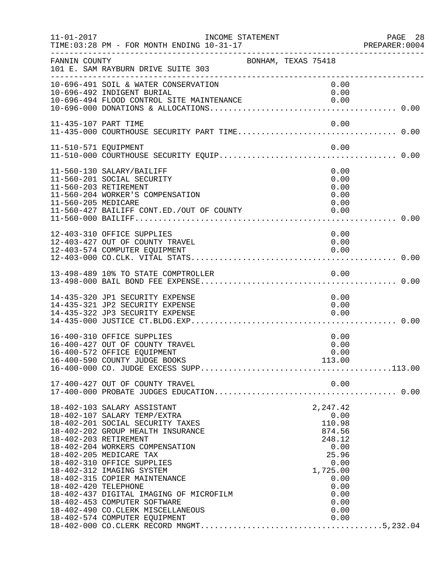| $11 - 01 - 2017$     | INCOME STATEMENT                                                                                                                                                                                                                                                                                                                                                                                                                                                          |                                                                                                                                     | PAGE 28<br>PREPARER:0004 |
|----------------------|---------------------------------------------------------------------------------------------------------------------------------------------------------------------------------------------------------------------------------------------------------------------------------------------------------------------------------------------------------------------------------------------------------------------------------------------------------------------------|-------------------------------------------------------------------------------------------------------------------------------------|--------------------------|
| FANNIN COUNTY        | 101 E. SAM RAYBURN DRIVE SUITE 303<br>_____________________________________                                                                                                                                                                                                                                                                                                                                                                                               | BONHAM, TEXAS 75418                                                                                                                 |                          |
|                      | 10-696-491 SOIL & WATER CONSERVATION<br>10-696-492 INDIGENT BURIAL<br>10-696-494 FLOOD CONTROL SITE MAINTENANCE                                                                                                                                                                                                                                                                                                                                                           | 0.00<br>0.00<br>0.00                                                                                                                |                          |
| 11-435-107 PART TIME |                                                                                                                                                                                                                                                                                                                                                                                                                                                                           | 0.00                                                                                                                                |                          |
| 11-510-571 EQUIPMENT |                                                                                                                                                                                                                                                                                                                                                                                                                                                                           | 0.00                                                                                                                                |                          |
| 11-560-205 MEDICARE  | 11-560-130 SALARY/BAILIFF<br>11-560-201 SOCIAL SECURITY<br>11-560-203 RETIREMENT<br>11-560-204 WORKER'S COMPENSATION<br>11-560-427 BAILIFF CONT.ED./OUT OF COUNTY                                                                                                                                                                                                                                                                                                         | 0.00<br>0.00<br>0.00<br>0.00<br>0.00<br>0.00                                                                                        |                          |
|                      | 12-403-310 OFFICE SUPPLIES<br>12-403-427 OUT OF COUNTY TRAVEL<br>12-403-574 COMPUTER EQUIPMENT                                                                                                                                                                                                                                                                                                                                                                            | 0.00<br>0.00<br>0.00                                                                                                                |                          |
|                      | 13-498-489 10% TO STATE COMPTROLLER                                                                                                                                                                                                                                                                                                                                                                                                                                       | 0.00                                                                                                                                |                          |
|                      | 14-435-320 JP1 SECURITY EXPENSE<br>14-435-321 JP2 SECURITY EXPENSE<br>14-435-322 JP3 SECURITY EXPENSE                                                                                                                                                                                                                                                                                                                                                                     | 0.00<br>0.00<br>0.00                                                                                                                |                          |
|                      | 16-400-310 OFFICE SUPPLIES<br>16-400-427 OUT OF COUNTY TRAVEL<br>16-400-572 OFFICE EQUIPMENT                                                                                                                                                                                                                                                                                                                                                                              | 0.00<br>0.00<br>0.00                                                                                                                |                          |
|                      | 17-400-427 OUT OF COUNTY TRAVEL                                                                                                                                                                                                                                                                                                                                                                                                                                           | 0.00                                                                                                                                |                          |
| 18-402-420 TELEPHONE | 18-402-103 SALARY ASSISTANT<br>18-402-107 SALARY TEMP/EXTRA<br>18-402-201 SOCIAL SECURITY TAXES<br>18-402-202 GROUP HEALTH INSURANCE<br>18-402-203 RETIREMENT<br>18-402-204 WORKERS COMPENSATION<br>18-402-205 MEDICARE TAX<br>18-402-310 OFFICE SUPPLIES<br>18-402-312 IMAGING SYSTEM<br>18-402-315 COPIER MAINTENANCE<br>18-402-437 DIGITAL IMAGING OF MICROFILM<br>18-402-453 COMPUTER SOFTWARE<br>18-402-490 CO. CLERK MISCELLANEOUS<br>18-402-574 COMPUTER EQUIPMENT | 2,247.42<br>0.00<br>110.98<br>874.56<br>248.12<br>0.00<br>25.96<br>0.00<br>1,725.00<br>0.00<br>0.00<br>0.00<br>0.00<br>0.00<br>0.00 |                          |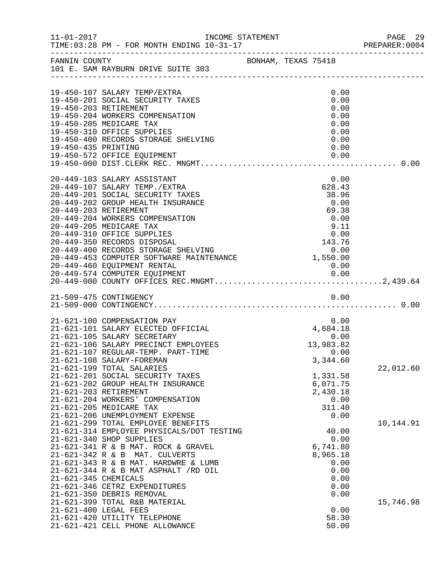| $11 - 01 - 2017$                           | INCOME STATEMENT                                                                                                                                                                                                                                                                                                                                                                                                                                                                                                                                            |  |                                                                                                                                          | PAGE 29<br>PREPARER: 0004 |  |
|--------------------------------------------|-------------------------------------------------------------------------------------------------------------------------------------------------------------------------------------------------------------------------------------------------------------------------------------------------------------------------------------------------------------------------------------------------------------------------------------------------------------------------------------------------------------------------------------------------------------|--|------------------------------------------------------------------------------------------------------------------------------------------|---------------------------|--|
|                                            | FANNIN COUNTY BONHAM, TEXAS 75418<br>101 E. SAM RAYBURN DRIVE SUITE 303                                                                                                                                                                                                                                                                                                                                                                                                                                                                                     |  |                                                                                                                                          |                           |  |
| 19-450-435 PRINTING                        | 19-450-107 SALARY TEMP/EXTRA<br>19-450-201 SOCIAL SECURITY TAXES<br>19-450-203 RETIREMENT<br>19-450-204 WORKERS COMPENSATION<br>19-450-205 MEDICARE TAX<br>19-450-310 OFFICE SUPPLIES<br>19-450-400 RECORDS STORAGE SHELVING<br>19-450-572 OFFICE EQUIPMENT                                                                                                                                                                                                                                                                                                 |  | 0.00<br>0.00<br>0.00<br>0.00<br>0.00<br>0.00<br>0.00<br>0.00<br>0.00                                                                     |                           |  |
|                                            | 20-449-103 SALARY ASSISTANT<br>20-449-107 SALARY TEMP./EXTRA<br>20-449-201 SOCIAL SECURITY TAXES<br>20-449-202 GROUP HEALTH INSURANCE<br>20-449-203 RETIREMENT<br>20-449-204 WORKERS COMPENSATION                                                                                                                                                                                                                                                                                                                                                           |  | 0.00<br>628.43<br>38.96<br>0.00<br>69.38<br>0.00                                                                                         |                           |  |
|                                            | 21-509-475 CONTINGENCY                                                                                                                                                                                                                                                                                                                                                                                                                                                                                                                                      |  | 0.00                                                                                                                                     |                           |  |
|                                            | 21-621-100 COMPENSATION PAY<br>21-621-101 SALARY ELECTED OFFICIAL<br>21-621-105 SALARY SECRETARY<br>21-621-106 SALARY PRECINCT EMPLOYEES<br>21-621-107 REGULAR-TEMP. PART-TIME<br>21-621-108 SALARY-FOREMAN<br>21-621-199 TOTAL SALARIES<br>21-621-201 SOCIAL SECURITY TAXES<br>21-621-202 GROUP HEALTH INSURANCE<br>21-621-203 RETIREMENT<br>21-621-204 WORKERS' COMPENSATION<br>21-621-205 MEDICARE TAX<br>21-621-206 UNEMPLOYMENT EXPENSE<br>21-621-299 TOTAL EMPLOYEE BENEFITS<br>21-621-314 EMPLOYEE PHYSICALS/DOT TESTING<br>21-621-340 SHOP SUPPLIES |  | 0.00<br>4,684.18<br>0.00<br>13,983.82<br>0.00<br>3,344.60<br>1,331.58<br>6,071.75<br>2,430.18<br>0.00<br>311.40<br>0.00<br>40.00<br>0.00 | 22,012.60<br>10,144.91    |  |
| $21-621-342$ R & B<br>21-621-345 CHEMICALS | 21-621-341 R & B MAT. ROCK & GRAVEL<br>MAT. CULVERTS<br>21-621-343 R & B MAT. HARDWRE & LUMB<br>21-621-344 R & B MAT ASPHALT /RD OIL<br>21-621-346 CETRZ EXPENDITURES<br>21-621-350 DEBRIS REMOVAL<br>21-621-399 TOTAL R&B MATERIAL<br>21-621-400 LEGAL FEES<br>21-621-420 UTILITY TELEPHONE<br>21-621-421 CELL PHONE ALLOWANCE                                                                                                                                                                                                                             |  | 6,741.80<br>8,965.18<br>0.00<br>0.00<br>0.00<br>0.00<br>0.00<br>0.00<br>58.30<br>50.00                                                   | 15,746.98                 |  |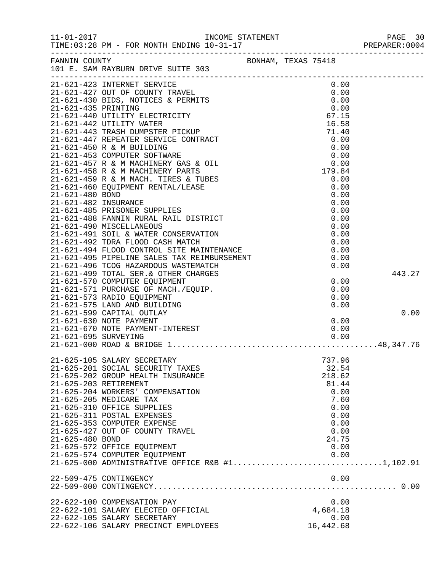|                 |                                                                                                                                                                                                            |  |                 | PREPARER: 0004 |
|-----------------|------------------------------------------------------------------------------------------------------------------------------------------------------------------------------------------------------------|--|-----------------|----------------|
|                 | FANNIN COUNTY BONHAM, TEXAS 75418<br>101 E. SAM RAYBURN DRIVE SUITE 303                                                                                                                                    |  |                 |                |
|                 | 21-621-423 INTERNET SERVICE                                                                                                                                                                                |  | 0.00            |                |
|                 |                                                                                                                                                                                                            |  | 0.00            |                |
|                 |                                                                                                                                                                                                            |  | 0.00            |                |
|                 |                                                                                                                                                                                                            |  | 0.00            |                |
|                 |                                                                                                                                                                                                            |  | 67.15<br>16.58  |                |
|                 |                                                                                                                                                                                                            |  | 71.40           |                |
|                 |                                                                                                                                                                                                            |  | 0.00            |                |
|                 |                                                                                                                                                                                                            |  | 0.00            |                |
|                 |                                                                                                                                                                                                            |  | 0.00            |                |
|                 |                                                                                                                                                                                                            |  | 0.00            |                |
|                 |                                                                                                                                                                                                            |  | 179.84          |                |
|                 |                                                                                                                                                                                                            |  | 0.00            |                |
|                 |                                                                                                                                                                                                            |  | 0.00            |                |
|                 |                                                                                                                                                                                                            |  | 0.00            |                |
|                 |                                                                                                                                                                                                            |  | 0.00            |                |
|                 |                                                                                                                                                                                                            |  | 0.00<br>0.00    |                |
|                 |                                                                                                                                                                                                            |  | 0.00            |                |
|                 |                                                                                                                                                                                                            |  | 0.00            |                |
|                 | 21-621-491 SUID & WALER CONSINUES.<br>21-621-492 TDRA FLOOD CASH MATCH<br>21-621-494 FLOOD CONTROL SITE MAINTENANCE<br>21-621-495 PIPELINE SALES TAX REIMBURSEMENT<br>21-621-496 TCOG HAZARDOUS WASTEMATCH |  | 0.00            |                |
|                 |                                                                                                                                                                                                            |  | 0.00            |                |
|                 |                                                                                                                                                                                                            |  | 0.00            |                |
|                 |                                                                                                                                                                                                            |  | 0.00            |                |
|                 | 21-621-499 TOTAL SER. & OTHER CHARGES                                                                                                                                                                      |  |                 | 443.27         |
|                 | 21-621-570 COMPUTER EQUIPMENT                                                                                                                                                                              |  | 0.00            |                |
|                 | 21-621-571 PURCHASE OF MACH./EQUIP.                                                                                                                                                                        |  | 0.00            |                |
|                 | 21-621-573 RADIO EQUIPMENT                                                                                                                                                                                 |  | 0.00            |                |
|                 | 21-621-575 LAND AND BUILDING                                                                                                                                                                               |  | 0.00            |                |
|                 | 21-621-599 CAPITAL OUTLAY                                                                                                                                                                                  |  | 0.00            | 0.00           |
|                 |                                                                                                                                                                                                            |  | 0.00            |                |
|                 |                                                                                                                                                                                                            |  | 0.00            |                |
|                 | - 21-030 NOTE PAYMENT<br>21-621-670 NOTE PAYMENT-INTEREST<br>21-621-695 SURVEYING<br>21-621-000 ROAD & BRIDGE                                                                                              |  |                 |                |
|                 |                                                                                                                                                                                                            |  |                 |                |
|                 | 21-625-105 SALARY SECRETARY                                                                                                                                                                                |  | 737.96          |                |
|                 | 21-625-201 SOCIAL SECURITY TAXES<br>21-625-202 GROUP HEALTH INSURANCE                                                                                                                                      |  | 32.54<br>218.62 |                |
|                 | 21-625-203 RETIREMENT                                                                                                                                                                                      |  | 81.44           |                |
|                 | 21-625-204 WORKERS' COMPENSATION                                                                                                                                                                           |  | 0.00            |                |
|                 | 21-625-205 MEDICARE TAX                                                                                                                                                                                    |  | 7.60            |                |
|                 | 21-625-310 OFFICE SUPPLIES                                                                                                                                                                                 |  | 0.00            |                |
|                 | 21-625-311 POSTAL EXPENSES                                                                                                                                                                                 |  | 0.00            |                |
|                 | 21-625-353 COMPUTER EXPENSE                                                                                                                                                                                |  | 0.00            |                |
|                 | 21-625-427 OUT OF COUNTY TRAVEL                                                                                                                                                                            |  | 0.00            |                |
| 21-625-480 BOND |                                                                                                                                                                                                            |  | 24.75           |                |
|                 | 21-625-572 OFFICE EQUIPMENT                                                                                                                                                                                |  | 0.00            |                |
|                 | 21-625-574 COMPUTER EQUIPMENT                                                                                                                                                                              |  | 0.00            |                |
|                 |                                                                                                                                                                                                            |  |                 |                |
|                 | 22-509-475 CONTINGENCY                                                                                                                                                                                     |  | 0.00            |                |
|                 |                                                                                                                                                                                                            |  |                 |                |
|                 | 22-622-100 COMPENSATION PAY                                                                                                                                                                                |  | 0.00            |                |
|                 | 22-622-101 SALARY ELECTED OFFICIAL                                                                                                                                                                         |  | 4,684.18        |                |
|                 | 22-622-105 SALARY SECRETARY                                                                                                                                                                                |  | 0.00            |                |
|                 | 22-622-106 SALARY PRECINCT EMPLOYEES                                                                                                                                                                       |  | 16,442.68       |                |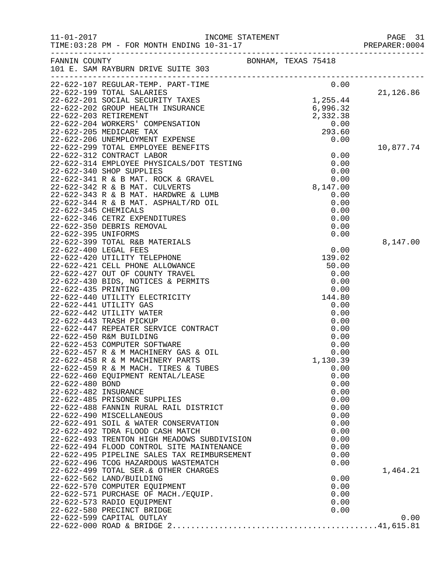| $11 - 01 - 2017$     |                                                                                                    |                     | INCOME STATEMENT<br>10 21 17 | PAGE 31<br>PREPARER: 0004 |
|----------------------|----------------------------------------------------------------------------------------------------|---------------------|------------------------------|---------------------------|
|                      | FANNIN COUNTY<br>101 E. SAM RAYBURN DRIVE SUITE 303                                                | BONHAM, TEXAS 75418 |                              |                           |
|                      |                                                                                                    |                     | 0.00                         |                           |
|                      |                                                                                                    |                     | 1,255.44                     | 21,126.86                 |
|                      |                                                                                                    |                     | 6,996.32                     |                           |
|                      | 22-622-203 RETIREMENT                                                                              |                     | 2,332.38                     |                           |
|                      | 22-622-204 WORKERS' COMPENSATION                                                                   |                     | 0.00                         |                           |
|                      | 22-622-205 MEDICARE TAX                                                                            |                     | 293.60                       |                           |
|                      | 22-622-206 UNEMPLOYMENT EXPENSE                                                                    |                     | 0.00                         |                           |
|                      | 22-622-299 TOTAL EMPLOYEE BENEFITS                                                                 |                     |                              | 10,877.74                 |
|                      | 22-622-312 CONTRACT LABOR                                                                          |                     | 0.00                         |                           |
|                      | 22-622-312 CONTRACT LABOR<br>22-622-314 EMPLOYEE PHYSICALS/DOT TESTING<br>22-622-312 SUOR SURPLIES |                     | 0.00                         |                           |
|                      | 22-622-340 SHOP SUPPLIES                                                                           |                     | $0.00$<br>0.00<br>8,147.00   |                           |
|                      | 22-622-341 R & B MAT. ROCK & GRAVEL                                                                |                     |                              |                           |
|                      | 22-622-342 R & B MAT. CULVERTS                                                                     |                     |                              |                           |
|                      | 22-622-343 R & B MAT. HARDWRE & LUMB<br>22-622-344 R & B MAT. ASPHALT/RD OIL                       |                     | 0.00<br>0.00                 |                           |
| 22-622-345 CHEMICALS |                                                                                                    |                     | 0.00                         |                           |
|                      | 22-622-346 CETRZ EXPENDITURES                                                                      |                     | 0.00                         |                           |
|                      | 22-622-350 DEBRIS REMOVAL                                                                          |                     | 0.00                         |                           |
| 22-622-395 UNIFORMS  |                                                                                                    |                     | 0.00                         |                           |
|                      | 22-622-399 TOTAL R&B MATERIALS                                                                     |                     |                              | 8,147.00                  |
|                      | 22-622-400 LEGAL FEES                                                                              |                     | 0.00                         |                           |
|                      | 22-622-420 UTILITY TELEPHONE                                                                       |                     | 139.02                       |                           |
|                      | 22-622-421 CELL PHONE ALLOWANCE                                                                    |                     | 50.00                        |                           |
|                      | 22-622-427 OUT OF COUNTY TRAVEL                                                                    |                     | 0.00                         |                           |
|                      | 22-622-430 BIDS, NOTICES & PERMITS                                                                 |                     | 0.00                         |                           |
| 22-622-435 PRINTING  |                                                                                                    |                     | 0.00                         |                           |
|                      | 22-622-440 UTILITY ELECTRICITY                                                                     |                     | 144.80                       |                           |
|                      | 22-622-441 UTILITY GAS<br>22-622-442 UTILITY WATER                                                 |                     | 0.00<br>0.00                 |                           |
|                      | 22-622-443 TRASH PICKUP                                                                            |                     | 0.00                         |                           |
|                      | 22-622-447 REPEATER SERVICE CONTRACT                                                               |                     | 0.00                         |                           |
|                      | 22-622-450 R&M BUILDING                                                                            |                     | 0.00                         |                           |
|                      | 22-622-453 COMPUTER SOFTWARE                                                                       |                     | 0.00                         |                           |
|                      | 22-622-457 R & M MACHINERY GAS & OIL                                                               |                     | 0.00                         |                           |
|                      | 22-622-458 R & M MACHINERY PARTS                                                                   |                     | 1,130.39                     |                           |
|                      | 22-622-459 R & M MACH. TIRES & TUBES                                                               |                     | 0.00                         |                           |
|                      | 22-622-460 EQUIPMENT RENTAL/LEASE                                                                  |                     | 0.00                         |                           |
| 22-622-480 BOND      |                                                                                                    |                     | 0.00                         |                           |
| 22-622-482 INSURANCE |                                                                                                    |                     | 0.00                         |                           |
|                      | 22-622-485 PRISONER SUPPLIES                                                                       |                     | 0.00                         |                           |
|                      | 22-622-488 FANNIN RURAL RAIL DISTRICT<br>22-622-490 MISCELLANEOUS                                  |                     | 0.00<br>0.00                 |                           |
|                      | 22-622-491 SOIL & WATER CONSERVATION                                                               |                     | 0.00                         |                           |
|                      | 22-622-492 TDRA FLOOD CASH MATCH                                                                   |                     | 0.00                         |                           |
|                      | 22-622-493 TRENTON HIGH MEADOWS SUBDIVISION                                                        |                     | 0.00                         |                           |
|                      | 22-622-494 FLOOD CONTROL SITE MAINTENANCE                                                          |                     | 0.00                         |                           |
|                      | 22-622-495 PIPELINE SALES TAX REIMBURSEMENT                                                        |                     | 0.00                         |                           |
|                      | 22-622-496 TCOG HAZARDOUS WASTEMATCH                                                               |                     | 0.00                         |                           |
|                      | 22-622-499 TOTAL SER. & OTHER CHARGES                                                              |                     |                              | 1,464.21                  |
|                      | 22-622-562 LAND/BUILDING                                                                           |                     | 0.00                         |                           |
|                      | 22-622-570 COMPUTER EQUIPMENT                                                                      |                     | 0.00                         |                           |
|                      | 22-622-571 PURCHASE OF MACH./EQUIP.                                                                |                     | 0.00                         |                           |
|                      | 22-622-573 RADIO EQUIPMENT                                                                         |                     | 0.00                         |                           |
|                      | 22-622-580 PRECINCT BRIDGE                                                                         |                     | 0.00                         |                           |
|                      | 22-622-599 CAPITAL OUTLAY                                                                          |                     |                              | 0.00                      |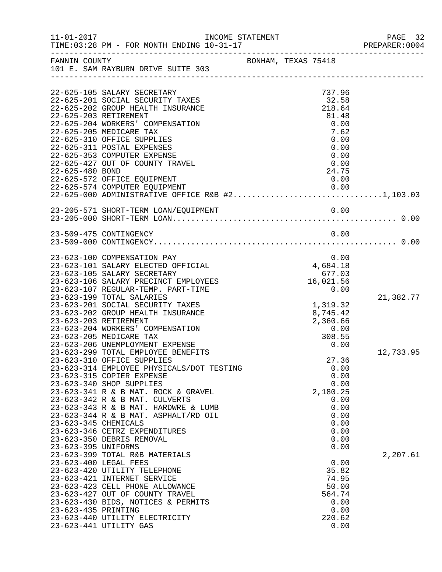| $11 - 01 - 2017$                            | TIME: 03:28 PM - FOR MONTH ENDING 10-31-17                                                                                                                                                                                                                                                     | INCOME STATEMENT    |  |                                                                     |      | PAGE 32<br>PREPARER: 0004 |
|---------------------------------------------|------------------------------------------------------------------------------------------------------------------------------------------------------------------------------------------------------------------------------------------------------------------------------------------------|---------------------|--|---------------------------------------------------------------------|------|---------------------------|
|                                             | FANNIN COUNTY<br>101 E. SAM RAYBURN DRIVE SUITE 303                                                                                                                                                                                                                                            | BONHAM, TEXAS 75418 |  |                                                                     |      |                           |
|                                             | 22-625-105 SALARY SECRETARY<br>22-625-201 SOCIAL SECURITY TAXES<br>22-625-202 GROUP HEALTH INSURANCE<br>22-625-203 RETIREMENT<br>22-625-204 WORKERS' COMPENSATION                                                                                                                              |                     |  | 737.96<br>32.58<br>218.64<br>81.48<br>0.00                          |      |                           |
| 22-625-480 BOND                             | 22-625-205 MEDICARE TAX<br>22-625-310 OFFICE SUPPLIES<br>22-625-311 POSTAL EXPENSES<br>22-625-353 COMPUTER EXPENSE<br>22-625-427 OUT OF COUNTY TRAVEL                                                                                                                                          |                     |  | 7.62<br>0.00<br>0.00<br>0.00<br>0.00<br>24.75                       |      |                           |
|                                             | 22-625-572 OFFICE EQUIPMENT<br>22-625-574 COMPUTER EQUIPMENT 0.00<br>22-625-000 ADMINISTRATIVE OFFICE R&B #21,103.03                                                                                                                                                                           |                     |  | 0.00                                                                |      |                           |
|                                             |                                                                                                                                                                                                                                                                                                |                     |  |                                                                     |      |                           |
|                                             | 23-509-475 CONTINGENCY                                                                                                                                                                                                                                                                         |                     |  | 0.00                                                                |      |                           |
|                                             | 23-623-100 COMPENSATION PAY<br>23-623-101 SALARY ELECTED OFFICIAL<br>23-623-105 SALARY SECRETARY<br>23-623-106 SALARY PRECINCT EMPLOYEES<br>23-623-107 REGULAR-TEMP. PART-TIME                                                                                                                 |                     |  | 0.00<br>4,684.18<br>677.03<br>16,021.56<br>0.00                     |      |                           |
| 23-623-203 RETIREMENT                       | 23-623-199 TOTAL SALARIES<br>23-623-201 SOCIAL SECURITY TAXES<br>23-623-202 GROUP HEALTH INSURANCE<br>23-623-204 WORKERS' COMPENSATION<br>23-623-205 MEDICARE TAX                                                                                                                              |                     |  | 1,319.32<br>8,745.42<br>2,360.66<br>0.00<br>308.55                  |      | 21,382.77                 |
|                                             | 23-623-206 UNEMPLOYMENT EXPENSE<br>23-623-299 TOTAL EMPLOYEE BENEFITS<br>23-623-310 OFFICE SUPPLIES<br>23-623-314 EMPLOYEE PHYSICALS/DOT TESTING<br>23-623-315 COPIER EXPENSE<br>23-623-340 SHOP SUPPLIES                                                                                      |                     |  | 0.00<br>27.36<br>0.00<br>0.00<br>0.00                               |      | 12,733.95                 |
| 23-623-345 CHEMICALS<br>23-623-395 UNIFORMS | 23-623-341 R & B MAT. ROCK & GRAVEL<br>23-623-342 R & B MAT. CULVERTS<br>23-623-343 R & B MAT. HARDWRE & LUMB<br>23-623-344 R & B MAT. ASPHALT/RD OIL<br>23-623-346 CETRZ EXPENDITURES<br>23-623-350 DEBRIS REMOVAL                                                                            |                     |  | 2,180.25<br>0.00<br>0.00<br>0.00<br>0.00<br>0.00<br>0.00<br>0.00    |      |                           |
| 23-623-435 PRINTING                         | 23-623-399 TOTAL R&B MATERIALS<br>23-623-400 LEGAL FEES<br>23-623-420 UTILITY TELEPHONE<br>23-623-421 INTERNET SERVICE<br>23-623-423 CELL PHONE ALLOWANCE<br>23-623-427 OUT OF COUNTY TRAVEL<br>23-623-430 BIDS, NOTICES & PERMITS<br>23-623-440 UTILITY ELECTRICITY<br>23-623-441 UTILITY GAS |                     |  | 0.00<br>35.82<br>74.95<br>50.00<br>564.74<br>0.00<br>0.00<br>220.62 | 0.00 | 2,207.61                  |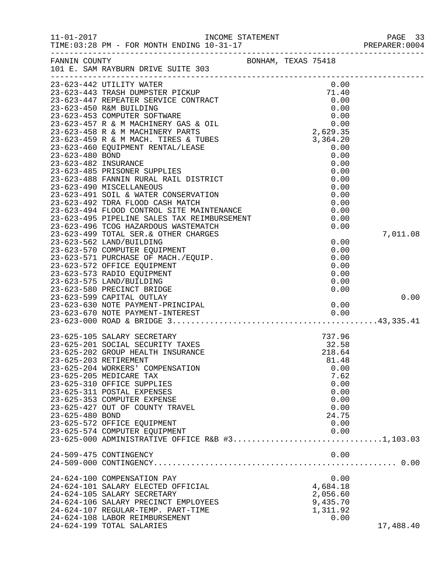| $11 - 01 - 2017$ | $\begin{array}{ccc}\n & \text{INCOME} & \text{STATEMENT} \\  \hline\n & \text{SFRT} & \text{SFRT} & \text{SFRT} & \text{SFRT} & \text{SFRT} & \text{SFRT} & \text{SFRT} & \text{SFRT} & \text{SFRT} & \text{SFRT} & \text{SFRT} & \text{SFRT} & \text{SFRT} & \text{SFRT} & \text{SFRT} & \text{SFRT} & \text{SFRT} & \text{SFRT} & \text{SFRT} & \text{SFRT} & \text{SFRT} & \text{SFRT} & \text{SFRT} & \text{SFRT$ |                     |                         | PAGE 33<br>PREPARER: 0004 |
|------------------|-----------------------------------------------------------------------------------------------------------------------------------------------------------------------------------------------------------------------------------------------------------------------------------------------------------------------------------------------------------------------------------------------------------------------|---------------------|-------------------------|---------------------------|
|                  | FANNIN COUNTY<br>101 E. SAM RAYBURN DRIVE SUITE 303                                                                                                                                                                                                                                                                                                                                                                   | BONHAM, TEXAS 75418 |                         |                           |
|                  | 23-623-442 UTILITY WATER                                                                                                                                                                                                                                                                                                                                                                                              |                     | 0.00                    |                           |
|                  |                                                                                                                                                                                                                                                                                                                                                                                                                       |                     |                         |                           |
|                  |                                                                                                                                                                                                                                                                                                                                                                                                                       |                     |                         |                           |
|                  |                                                                                                                                                                                                                                                                                                                                                                                                                       |                     |                         |                           |
|                  |                                                                                                                                                                                                                                                                                                                                                                                                                       |                     |                         |                           |
|                  |                                                                                                                                                                                                                                                                                                                                                                                                                       |                     |                         |                           |
|                  |                                                                                                                                                                                                                                                                                                                                                                                                                       |                     | 0.00                    |                           |
|                  | 23-623-494 FLOOD CONTROL SITE MAINTENANCE<br>23-623-495 PIPELINE SALES TAX REIMBURSEMENT<br>23-623-496 FCOC WAINDOWS WAS REIMBURSEMENT<br>23-623-496 TCOG HAZARDOUS WASTEMATCH<br>23-623-499 TOTAL SER. & OTHER CHARGES                                                                                                                                                                                               |                     | 0.00<br>0.00            | 7,011.08                  |
|                  | 23-623-562 LAND/BUILDING<br>23-623-570 COMPUTER EQUIPMENT                                                                                                                                                                                                                                                                                                                                                             |                     | 0.00<br>0.00            |                           |
|                  | 23-623-571 PURCHASE OF MACH./EQUIP.<br>23-623-572 OFFICE EQUIPMENT<br>23-623-573 RADIO EQUIPMENT                                                                                                                                                                                                                                                                                                                      |                     | 0.00<br>0.00<br>0.00    |                           |
|                  | 23-623-575 LAND/BUILDING<br>23-623-580 PRECINCT BRIDGE                                                                                                                                                                                                                                                                                                                                                                |                     | 0.00<br>0.00            |                           |
|                  | 23-623-599 CAPITAL OUTLAY                                                                                                                                                                                                                                                                                                                                                                                             |                     |                         | 0.00                      |
|                  |                                                                                                                                                                                                                                                                                                                                                                                                                       |                     |                         |                           |
|                  | 23-625-105 SALARY SECRETARY<br>23-625-201 SOCIAL SECURITY TAXES<br>23-625-202 GROUP HEALTH INSURANCE                                                                                                                                                                                                                                                                                                                  |                     | 737.96<br>32.58         |                           |
|                  | 23-625-203 RETIREMENT<br>23-625-204 WORKERS' COMPENSATION                                                                                                                                                                                                                                                                                                                                                             |                     | 218.64<br>81.48<br>0.00 |                           |
|                  | 23-625-205 MEDICARE TAX<br>23-625-310 OFFICE SUPPLIES<br>23-625-311 POSTAL EXPENSES                                                                                                                                                                                                                                                                                                                                   |                     | 7.62<br>0.00<br>0.00    |                           |
|                  | 23-625-353 COMPUTER EXPENSE<br>23-625-427 OUT OF COUNTY TRAVEL                                                                                                                                                                                                                                                                                                                                                        |                     | 0.00<br>0.00            |                           |
| 23-625-480 BOND  | 23-625-572 OFFICE EQUIPMENT<br>23-625-574 COMPUTER EQUIPMENT                                                                                                                                                                                                                                                                                                                                                          |                     | 24.75<br>0.00<br>0.00   |                           |
|                  | 23-625-000 ADMINISTRATIVE OFFICE R&B #31,103.03                                                                                                                                                                                                                                                                                                                                                                       |                     |                         |                           |
|                  | 24-509-475 CONTINGENCY                                                                                                                                                                                                                                                                                                                                                                                                |                     | 0.00                    |                           |
|                  | 24-624-100 COMPENSATION PAY<br>24-624-101 SALARY ELECTED OFFICIAL                                                                                                                                                                                                                                                                                                                                                     |                     | 0.00<br>4,684.18        |                           |
|                  | 24-624-105 SALARY SECRETARY<br>24-624-106 SALARY PRECINCT EMPLOYEES                                                                                                                                                                                                                                                                                                                                                   |                     | 2,056.60<br>9,435.70    |                           |
|                  | 24-624-107 REGULAR-TEMP. PART-TIME<br>24-624-108 LABOR REIMBURSEMENT<br>24-624-199 TOTAL SALARIES                                                                                                                                                                                                                                                                                                                     |                     | 1,311.92<br>0.00        | 17,488.40                 |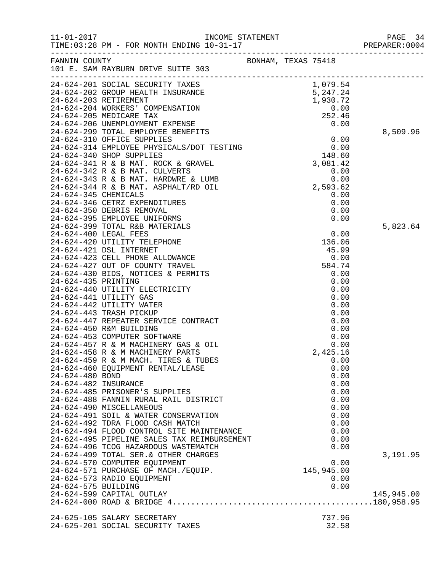|                      |                                                                                                                                                                                                                                                                                                                                                                                                                                                      |                     |                 | PREPARER: 0004 |
|----------------------|------------------------------------------------------------------------------------------------------------------------------------------------------------------------------------------------------------------------------------------------------------------------------------------------------------------------------------------------------------------------------------------------------------------------------------------------------|---------------------|-----------------|----------------|
|                      | FANNIN COUNTY                                                                                                                                                                                                                                                                                                                                                                                                                                        | BONHAM, TEXAS 75418 |                 |                |
|                      |                                                                                                                                                                                                                                                                                                                                                                                                                                                      |                     |                 |                |
|                      |                                                                                                                                                                                                                                                                                                                                                                                                                                                      |                     |                 |                |
|                      |                                                                                                                                                                                                                                                                                                                                                                                                                                                      |                     |                 |                |
|                      |                                                                                                                                                                                                                                                                                                                                                                                                                                                      |                     |                 |                |
|                      |                                                                                                                                                                                                                                                                                                                                                                                                                                                      |                     |                 |                |
|                      |                                                                                                                                                                                                                                                                                                                                                                                                                                                      |                     |                 |                |
|                      |                                                                                                                                                                                                                                                                                                                                                                                                                                                      |                     |                 |                |
|                      | 24-624-299 TOTAL EMPLOYEE BENEFITS<br>24-624-310 OFFICE SUPPLIES 0.00<br>24-624-314 EMPLOYEE PHYSICALS/DOT TESTING 0.00<br>24-624-340 SHOP SUPPLIES 148.60<br>24-624-341 R & B MAT. ROCK & GRAVEL 3,081.42<br>3,081.42                                                                                                                                                                                                                               |                     |                 | 8,509.96       |
|                      |                                                                                                                                                                                                                                                                                                                                                                                                                                                      |                     |                 |                |
|                      |                                                                                                                                                                                                                                                                                                                                                                                                                                                      |                     |                 |                |
|                      |                                                                                                                                                                                                                                                                                                                                                                                                                                                      |                     |                 |                |
|                      |                                                                                                                                                                                                                                                                                                                                                                                                                                                      |                     |                 |                |
|                      |                                                                                                                                                                                                                                                                                                                                                                                                                                                      |                     |                 |                |
|                      |                                                                                                                                                                                                                                                                                                                                                                                                                                                      |                     |                 |                |
|                      |                                                                                                                                                                                                                                                                                                                                                                                                                                                      |                     |                 |                |
|                      |                                                                                                                                                                                                                                                                                                                                                                                                                                                      |                     |                 |                |
|                      |                                                                                                                                                                                                                                                                                                                                                                                                                                                      |                     |                 |                |
|                      |                                                                                                                                                                                                                                                                                                                                                                                                                                                      |                     |                 |                |
|                      |                                                                                                                                                                                                                                                                                                                                                                                                                                                      |                     |                 | 5,823.64       |
|                      |                                                                                                                                                                                                                                                                                                                                                                                                                                                      |                     |                 |                |
|                      |                                                                                                                                                                                                                                                                                                                                                                                                                                                      |                     |                 |                |
|                      |                                                                                                                                                                                                                                                                                                                                                                                                                                                      |                     |                 |                |
|                      |                                                                                                                                                                                                                                                                                                                                                                                                                                                      |                     |                 |                |
|                      |                                                                                                                                                                                                                                                                                                                                                                                                                                                      |                     |                 |                |
|                      |                                                                                                                                                                                                                                                                                                                                                                                                                                                      |                     |                 |                |
|                      | $\begin{tabular}{c c c} $ & $for \texttt{X$} \\ $ & $ \texttt{D} \texttt{SDF} \\ $ & $ \texttt{A} \texttt{ B} \texttt{ BAT}$. ROL, \\ $ & $ \texttt{A} \texttt{ B} \texttt{ BAT}$. ROL, \\ $ & $ \texttt{A} \texttt{ B} \texttt{ BAT}$. RADURE & $\texttt{A} \texttt{C}$ \\ $ & $ \texttt{A} \texttt{ B} \texttt{ BAT}$. ASPHALIT/RD OIL}\\ $ & $ \texttt{S} \texttt{ C} \texttt{ETRZ} \texttt{ BXPRLI}/R \texttt{ D} \texttt{ OIL}\\ $ & $ \texttt$ |                     |                 |                |
|                      |                                                                                                                                                                                                                                                                                                                                                                                                                                                      |                     |                 |                |
|                      |                                                                                                                                                                                                                                                                                                                                                                                                                                                      |                     |                 |                |
|                      |                                                                                                                                                                                                                                                                                                                                                                                                                                                      |                     |                 |                |
|                      |                                                                                                                                                                                                                                                                                                                                                                                                                                                      |                     |                 |                |
|                      |                                                                                                                                                                                                                                                                                                                                                                                                                                                      |                     |                 |                |
|                      |                                                                                                                                                                                                                                                                                                                                                                                                                                                      |                     |                 |                |
|                      |                                                                                                                                                                                                                                                                                                                                                                                                                                                      |                     |                 |                |
|                      |                                                                                                                                                                                                                                                                                                                                                                                                                                                      |                     |                 |                |
|                      |                                                                                                                                                                                                                                                                                                                                                                                                                                                      |                     |                 |                |
|                      |                                                                                                                                                                                                                                                                                                                                                                                                                                                      |                     |                 |                |
|                      |                                                                                                                                                                                                                                                                                                                                                                                                                                                      |                     |                 |                |
| 24-624-482 INSURANCE |                                                                                                                                                                                                                                                                                                                                                                                                                                                      |                     | 0.00            |                |
|                      | 24-624-485 PRISONER'S SUPPLIES                                                                                                                                                                                                                                                                                                                                                                                                                       |                     | 0.00            |                |
|                      | 24-624-488 FANNIN RURAL RAIL DISTRICT<br>24-624-490 MISCELLANEOUS                                                                                                                                                                                                                                                                                                                                                                                    |                     | 0.00<br>0.00    |                |
|                      | 24-624-491 SOIL & WATER CONSERVATION                                                                                                                                                                                                                                                                                                                                                                                                                 |                     | 0.00            |                |
|                      | 24-624-492 TDRA FLOOD CASH MATCH                                                                                                                                                                                                                                                                                                                                                                                                                     |                     | 0.00            |                |
|                      | 24-624-494 FLOOD CONTROL SITE MAINTENANCE                                                                                                                                                                                                                                                                                                                                                                                                            |                     | 0.00            |                |
|                      | 24-624-495 PIPELINE SALES TAX REIMBURSEMENT                                                                                                                                                                                                                                                                                                                                                                                                          |                     | 0.00            |                |
|                      | 24-624-496 TCOG HAZARDOUS WASTEMATCH                                                                                                                                                                                                                                                                                                                                                                                                                 |                     | 0.00            |                |
|                      | 24-624-499 TOTAL SER. & OTHER CHARGES                                                                                                                                                                                                                                                                                                                                                                                                                |                     |                 | 3,191.95       |
|                      | 24-624-570 COMPUTER EQUIPMENT                                                                                                                                                                                                                                                                                                                                                                                                                        |                     | 0.00            |                |
|                      | 24-624-571 PURCHASE OF MACH./EQUIP.                                                                                                                                                                                                                                                                                                                                                                                                                  |                     | 145,945.00      |                |
|                      | 24-624-573 RADIO EQUIPMENT                                                                                                                                                                                                                                                                                                                                                                                                                           |                     | 0.00            |                |
| 24-624-575 BUILDING  |                                                                                                                                                                                                                                                                                                                                                                                                                                                      |                     | 0.00            |                |
|                      | 24-624-599 CAPITAL OUTLAY                                                                                                                                                                                                                                                                                                                                                                                                                            |                     |                 | 145,945.00     |
|                      |                                                                                                                                                                                                                                                                                                                                                                                                                                                      |                     |                 |                |
|                      |                                                                                                                                                                                                                                                                                                                                                                                                                                                      |                     |                 |                |
|                      | 24-625-105 SALARY SECRETARY<br>24-625-201 SOCIAL SECURITY TAXES                                                                                                                                                                                                                                                                                                                                                                                      |                     | 737.96<br>32.58 |                |
|                      |                                                                                                                                                                                                                                                                                                                                                                                                                                                      |                     |                 |                |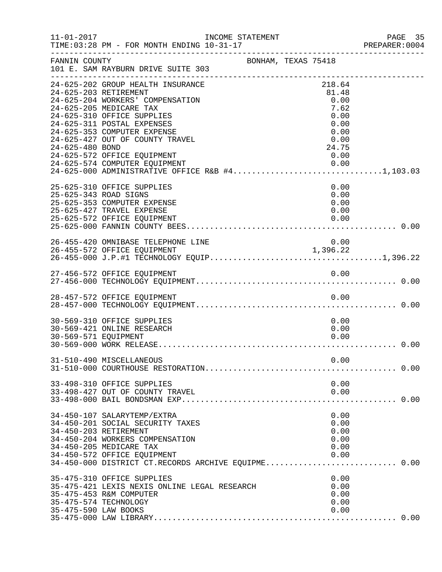| $11 - 01 - 2017$     | INCOME STATEMENT                                                                                                                                                                                                                                                                                                                                                           |                     |  |                                                                                  | PAGE 35 |
|----------------------|----------------------------------------------------------------------------------------------------------------------------------------------------------------------------------------------------------------------------------------------------------------------------------------------------------------------------------------------------------------------------|---------------------|--|----------------------------------------------------------------------------------|---------|
| FANNIN COUNTY        | 101 E. SAM RAYBURN DRIVE SUITE 303                                                                                                                                                                                                                                                                                                                                         | BONHAM, TEXAS 75418 |  |                                                                                  |         |
| 24-625-480 BOND      | 24-625-202 GROUP HEALTH INSURANCE<br>24-625-203 RETIREMENT<br>24-625-204 WORKERS' COMPENSATION<br>24-625-205 MEDICARE TAX<br>24-625-310 OFFICE SUPPLIES<br>24-625-311 POSTAL EXPENSES<br>24-625-353 COMPUTER EXPENSE<br>24-625-427 OUT OF COUNTY TRAVEL<br>24-625-572 OFFICE EQUIPMENT<br>24-625-574 COMPUTER EQUIPMENT<br>24-625-000 ADMINISTRATIVE OFFICE R&B #41,103.03 |                     |  | 218.64<br>81.48<br>0.00<br>7.62<br>0.00<br>0.00<br>0.00<br>0.00<br>24.75<br>0.00 |         |
|                      | 25-625-310 OFFICE SUPPLIES<br>25-625-343 ROAD SIGNS<br>25-625-353 COMPUTER EXPENSE<br>25-625-427 TRAVEL EXPENSE<br>25-625-572 OFFICE EQUIPMENT                                                                                                                                                                                                                             |                     |  | 0.00<br>0.00<br>0.00<br>0.00<br>0.00                                             |         |
|                      | 26-455-420 OMNIBASE TELEPHONE LINE                                                                                                                                                                                                                                                                                                                                         |                     |  | 0.00<br>1,396.22                                                                 |         |
|                      |                                                                                                                                                                                                                                                                                                                                                                            |                     |  |                                                                                  |         |
|                      | 28-457-572 OFFICE EQUIPMENT                                                                                                                                                                                                                                                                                                                                                |                     |  | 0.00                                                                             |         |
| 30-569-571 EQUIPMENT | 30-569-310 OFFICE SUPPLIES<br>30-569-421 ONLINE RESEARCH                                                                                                                                                                                                                                                                                                                   |                     |  | 0.00<br>0.00<br>0.00                                                             |         |
|                      | 31-510-490 MISCELLANEOUS                                                                                                                                                                                                                                                                                                                                                   |                     |  | 0.00                                                                             |         |
|                      | 33-498-310 OFFICE SUPPLIES<br>33-498-427 OUT OF COUNTY TRAVEL                                                                                                                                                                                                                                                                                                              |                     |  | 0.00<br>0.00                                                                     |         |
|                      | 34-450-107 SALARYTEMP/EXTRA<br>34-450-201 SOCIAL SECURITY TAXES<br>34-450-203 RETIREMENT<br>34-450-204 WORKERS COMPENSATION<br>34-450-205 MEDICARE TAX<br>34-450-572 OFFICE EQUIPMENT                                                                                                                                                                                      |                     |  | 0.00<br>0.00<br>0.00<br>0.00<br>0.00<br>0.00                                     |         |
| 35-475-590 LAW BOOKS | 35-475-310 OFFICE SUPPLIES<br>35-475-421 LEXIS NEXIS ONLINE LEGAL RESEARCH<br>35-475-453 R&M COMPUTER<br>35-475-574 TECHNOLOGY                                                                                                                                                                                                                                             |                     |  | 0.00<br>0.00<br>0.00<br>0.00<br>0.00                                             |         |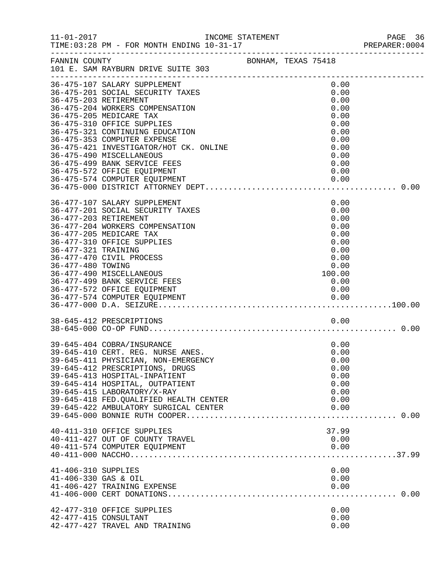|                                                                   | INCOME STATEMENT                                                                                                                                                                                                                                                                                                                                                                             |  |                                                                                                | PREPARER: 0004 |
|-------------------------------------------------------------------|----------------------------------------------------------------------------------------------------------------------------------------------------------------------------------------------------------------------------------------------------------------------------------------------------------------------------------------------------------------------------------------------|--|------------------------------------------------------------------------------------------------|----------------|
| FANNIN COUNTY                                                     | BONHAM, TEXAS 75418<br>101 E. SAM RAYBURN DRIVE SUITE 303                                                                                                                                                                                                                                                                                                                                    |  |                                                                                                |                |
|                                                                   | 36-475-107 SALARY SUPPLEMENT<br>36-475-201 SOCIAL SECURITY TAXES<br>36-475-203 RETIREMENT<br>36-475-204 WORKERS COMPENSATION<br>36-475-205 MEDICARE TAX<br>36-475-310 OFFICE SUPPLIES<br>36-475-321 CONTINUING EDUCATION<br>36-475-353 COMPUTER EXPENSE<br>36-475-421 INVESTIGATOR/HOT CK. ONLINE<br>36-475-490 MISCELLANEOUS<br>36-475-499 BANK SERVICE FEES<br>36-475-572 OFFICE EQUIPMENT |  | 0.00<br>0.00<br>0.00<br>0.00<br>0.00<br>0.00<br>0.00<br>0.00<br>0.00<br>0.00<br>0.00<br>0.00   |                |
|                                                                   | 36-475-574 COMPUTER EQUIPMENT                                                                                                                                                                                                                                                                                                                                                                |  |                                                                                                |                |
| 36-477-203 RETIREMENT<br>36-477-321 TRAINING<br>36-477-480 TOWING | 36-477-107 SALARY SUPPLEMENT<br>36-477-201 SOCIAL SECURITY TAXES<br>36-477-204 WORKERS COMPENSATION<br>36-477-205 MEDICARE TAX<br>36-477-310 OFFICE SUPPLIES<br>36-477-470 CIVIL PROCESS<br>36-477-490 MISCELLANEOUS<br>36-477-499 BANK SERVICE FEES<br>36-477-572 OFFICE EQUIPMENT                                                                                                          |  | 0.00<br>0.00<br>0.00<br>0.00<br>0.00<br>0.00<br>0.00<br>0.00<br>0.00<br>100.00<br>0.00<br>0.00 |                |
|                                                                   | 38-645-412 PRESCRIPTIONS                                                                                                                                                                                                                                                                                                                                                                     |  | 0.00                                                                                           |                |
|                                                                   | 39-645-404 COBRA/INSURANCE<br>39-645-410 CERT. REG. NURSE ANES.<br>39-645-411 PHYSICIAN, NON-EMERGENCY<br>39-645-412 PRESCRIPTIONS, DRUGS<br>39-645-413 HOSPITAL-INPATIENT<br>39-645-414 HOSPITAL, OUTPATIENT<br>39-645-415 LABORATORY/X-RAY<br>39-645-418 FED. QUALIFIED HEALTH CENTER<br>39-645-422 AMBULATORY SURGICAL CENTER                                                             |  | 0.00<br>0.00<br>0.00<br>0.00<br>0.00<br>0.00<br>0.00<br>0.00<br>0.00                           |                |
|                                                                   | 40-411-310 OFFICE SUPPLIES<br>40-411-427 OUT OF COUNTY TRAVEL<br>40-411-574 COMPUTER EQUIPMENT                                                                                                                                                                                                                                                                                               |  | 37.99<br>0.00<br>0.00                                                                          |                |
| 41-406-310 SUPPLIES<br>41-406-330 GAS & OIL                       | 41-406-427 TRAINING EXPENSE                                                                                                                                                                                                                                                                                                                                                                  |  | 0.00<br>0.00<br>0.00                                                                           |                |
|                                                                   | 42-477-310 OFFICE SUPPLIES<br>42-477-415 CONSULTANT<br>42-477-427 TRAVEL AND TRAINING                                                                                                                                                                                                                                                                                                        |  | 0.00<br>0.00<br>0.00                                                                           |                |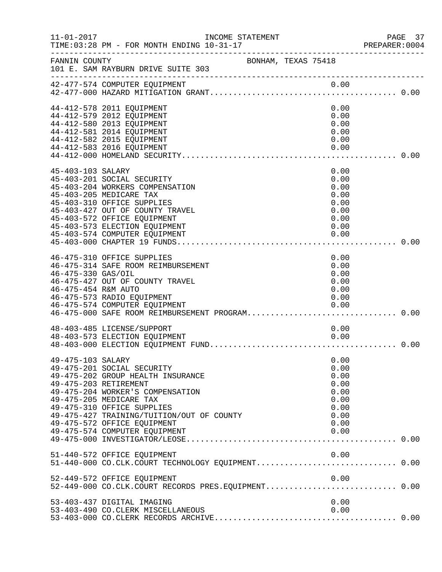| $11 - 01 - 2017$                          | INCOME STATEMENT                                                                                                                                                                                                                                                                                   |                                                                              | PAGE 37<br>PREPARER:0004 |
|-------------------------------------------|----------------------------------------------------------------------------------------------------------------------------------------------------------------------------------------------------------------------------------------------------------------------------------------------------|------------------------------------------------------------------------------|--------------------------|
| FANNIN COUNTY                             | BONHAM, TEXAS 75418<br>101 E. SAM RAYBURN DRIVE SUITE 303                                                                                                                                                                                                                                          |                                                                              |                          |
|                                           | 42-477-574 COMPUTER EQUIPMENT                                                                                                                                                                                                                                                                      |                                                                              |                          |
|                                           | 44-412-578 2011 EQUIPMENT<br>44-412-579 2012 EQUIPMENT<br>44-412-580 2013 EQUIPMENT<br>44-412-581 2014 EQUIPMENT<br>44-412-582 2015 EQUIPMENT<br>44-412-583 2016 EQUIPMENT                                                                                                                         | 0.00<br>0.00<br>0.00<br>0.00<br>0.00<br>0.00                                 |                          |
| 45-403-103 SALARY                         | 45-403-201 SOCIAL SECURITY<br>45-403-204 WORKERS COMPENSATION<br>45-403-205 MEDICARE TAX<br>45-403-310 OFFICE SUPPLIES<br>45-403-427 OUT OF COUNTY TRAVEL<br>45-403-572 OFFICE EQUIPMENT<br>45-403-573 ELECTION EQUIPMENT<br>45-403-574 COMPUTER EQUIPMENT                                         | 0.00<br>0.00<br>0.00<br>0.00<br>0.00<br>0.00<br>0.00<br>0.00<br>0.00         |                          |
| 46-475-330 GAS/OIL<br>46-475-454 R&M AUTO | 46-475-310 OFFICE SUPPLIES<br>46-475-314 SAFE ROOM REIMBURSEMENT<br>46-475-427 OUT OF COUNTY TRAVEL<br>46-475-573 RADIO EQUIPMENT<br>46-475-574 COMPUTER EQUIPMENT<br>46-475-574 COMPUTER EQUIPMENT<br>46-475-000 SAFE ROOM REIMBURSEMENT PROGRAM0.00                                              | 0.00<br>0.00<br>0.00<br>0.00<br>0.00<br>0.00<br>0.00                         |                          |
|                                           | 48-403-485 LICENSE/SUPPORT<br>48-403-573 ELECTION EQUIPMENT                                                                                                                                                                                                                                        | 0.00<br>0.00                                                                 |                          |
| 49-475-103 SALARY                         | 49-475-201 SOCIAL SECURITY<br>49-475-202 GROUP HEALTH INSURANCE<br>49-475-203 RETIREMENT<br>49-475-204 WORKER'S COMPENSATION<br>49-475-205 MEDICARE TAX<br>49-475-310 OFFICE SUPPLIES<br>49-475-427 TRAINING/TUITION/OUT OF COUNTY<br>49-475-572 OFFICE EQUIPMENT<br>49-475-574 COMPUTER EQUIPMENT | 0.00<br>0.00<br>0.00<br>0.00<br>0.00<br>0.00<br>0.00<br>0.00<br>0.00<br>0.00 |                          |
|                                           | 51-440-572 OFFICE EQUIPMENT<br>51-440-000 CO.CLK.COURT TECHNOLOGY EQUIPMENT 0.00                                                                                                                                                                                                                   | 0.00                                                                         |                          |
|                                           | 52-449-572 OFFICE EQUIPMENT<br>52-449-000 CO.CLK.COURT RECORDS PRES.EQUIPMENT 0.00                                                                                                                                                                                                                 | 0.00                                                                         |                          |
|                                           | 53-403-437 DIGITAL IMAGING<br>53-403-490 CO.CLERK MISCELLANEOUS                                                                                                                                                                                                                                    | 0.00<br>0.00                                                                 |                          |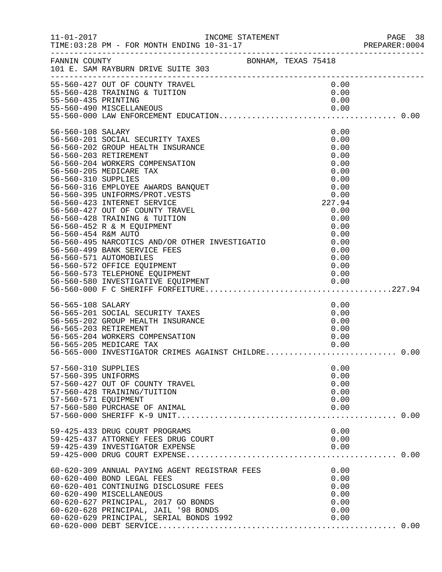|                                                                    |                                                                                                                                                                                                                                                                                                                                                                                                                                                                                                                               |                                                                                                                                        | PAGE 38<br>PREPARER:0004 |
|--------------------------------------------------------------------|-------------------------------------------------------------------------------------------------------------------------------------------------------------------------------------------------------------------------------------------------------------------------------------------------------------------------------------------------------------------------------------------------------------------------------------------------------------------------------------------------------------------------------|----------------------------------------------------------------------------------------------------------------------------------------|--------------------------|
|                                                                    | FANNIN COUNTY BONHAM, TEXAS 75418<br>101 E. SAM RAYBURN DRIVE SUITE 303                                                                                                                                                                                                                                                                                                                                                                                                                                                       |                                                                                                                                        |                          |
| 55-560-435 PRINTING                                                | 55-560-427 OUT OF COUNTY TRAVEL<br>55-560-428 TRAINING & TUITION                                                                                                                                                                                                                                                                                                                                                                                                                                                              | 0.00<br>0.00<br>0.00                                                                                                                   |                          |
| 56-560-108 SALARY<br>56-560-203 RETIREMENT<br>56-560-310 SUPPLIES  | 56-560-108 SALARY<br>56-560-201 SOCIAL SECURITY TAXES<br>56-560-202 GROUP HEALTH INSURANCE<br>56-560-203 RETIREMENT<br>56-560-204 WORKERS COMPENSATION<br>56-560-205 MEDICARE TAX<br>56-560-316 EMPLOYEE AWARDS BANQUET<br>56-560-395 UNIFORMS/PROT.VESTS<br>56-560-423 INTERNET SERVICE<br>56-560-427 OUT OF COUNTY TRAVEL<br>56-560-428 TRAINING & TUITION<br>56-560-452 R & M EQUIPMENT<br>56-560-454 R&M AUTO<br>56-560-495 NARCOTICS AND/OR OTHER INVESTIGATIO<br>56-560-499 BANK SERVICE FEES<br>56-560-571 AUTOMOBILES | 0.00<br>0.00<br>0.00<br>0.00<br>0.00<br>0.00<br>0.00<br>0.00<br>0.00<br>227.94<br>0.00<br>0.00<br>0.00<br>0.00<br>0.00<br>0.00<br>0.00 |                          |
| 56-565-108 SALARY                                                  | 56-565-201 SOCIAL SECURITY TAXES<br>56-565-202 GROUP HEALTH INSURANCE<br>56-565-203 RETIREMENT<br>56-565-204 WORKERS COMPENSATION<br>56-565-205 MEDICARE TAX<br>56-565-000 INTEGLARE TAX<br>56-565-000 INVESTIGATOR CRIMES AGAINST CHILDRE 0.00                                                                                                                                                                                                                                                                               | 0.00<br>0.00<br>0.00<br>0.00<br>0.00<br>0.00                                                                                           |                          |
| 57-560-310 SUPPLIES<br>57-560-395 UNIFORMS<br>57-560-571 EQUIPMENT | 57-560-427 OUT OF COUNTY TRAVEL<br>57-560-428 TRAINING/TUITION<br>57-560-580 PURCHASE OF ANIMAL                                                                                                                                                                                                                                                                                                                                                                                                                               | 0.00<br>0.00<br>0.00<br>0.00<br>0.00<br>0.00                                                                                           |                          |
|                                                                    | 59-425-433 DRUG COURT PROGRAMS                                                                                                                                                                                                                                                                                                                                                                                                                                                                                                | 0.00                                                                                                                                   |                          |
|                                                                    | 60-620-309 ANNUAL PAYING AGENT REGISTRAR FEES<br>60-620-400 BOND LEGAL FEES<br>60-620-401 CONTINUING DISCLOSURE FEES<br>60-620-490 MISCELLANEOUS<br>60-620-627 PRINCIPAL, 2017 GO BONDS<br>60-620-628 PRINCIPAL, JAIL '98 BONDS<br>60-620-629 PRINCIPAL, SERIAL BONDS 1992                                                                                                                                                                                                                                                    | 0.00<br>0.00<br>0.00<br>0.00<br>0.00<br>0.00<br>0.00                                                                                   |                          |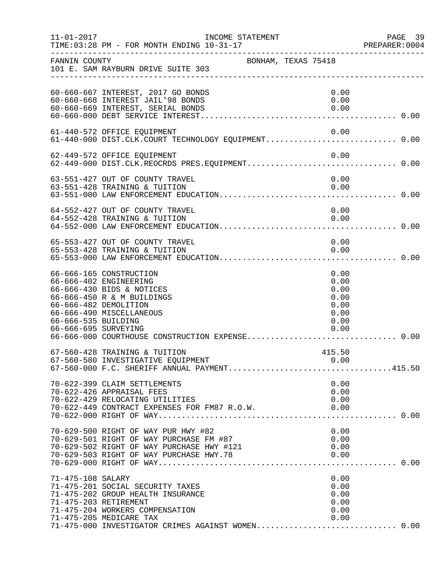| $11 - 01 - 2017$                            | INCOME STATEMENT                                                                                                                                                                                                  |                                                              | PAGE 39<br>PREPARER: 0004 |
|---------------------------------------------|-------------------------------------------------------------------------------------------------------------------------------------------------------------------------------------------------------------------|--------------------------------------------------------------|---------------------------|
| FANNIN COUNTY                               | 101 E. SAM RAYBURN DRIVE SUITE 303                                                                                                                                                                                | BONHAM, TEXAS 75418                                          |                           |
|                                             | 60-660-667 INTEREST, 2017 GO BONDS<br>60-660-668 INTEREST JAIL'98 BONDS<br>60-660-669 INTEREST, SERIAL BONDS                                                                                                      | 0.00<br>0.00<br>0.00                                         |                           |
|                                             | 61-440-572 OFFICE EQUIPMENT<br>61-440-000 DIST.CLK.COURT TECHNOLOGY EQUIPMENT 0.00                                                                                                                                | 0.00                                                         |                           |
|                                             | 62-449-572 OFFICE EQUIPMENT                                                                                                                                                                                       | 0.00                                                         |                           |
|                                             | 63-551-427 OUT OF COUNTY TRAVEL<br>63-551-428 TRAINING & TUITION                                                                                                                                                  | 0.00<br>0.00                                                 |                           |
|                                             | 64-552-427 OUT OF COUNTY TRAVEL<br>64-552-428 TRAINING & TUITION                                                                                                                                                  | 0.00<br>0.00                                                 |                           |
|                                             | 65-553-427 OUT OF COUNTY TRAVEL<br>65-553-428 TRAINING & TUITION                                                                                                                                                  | 0.00<br>0.00                                                 |                           |
| 66-666-535 BUILDING<br>66-666-695 SURVEYING | 66-666-165 CONSTRUCTION<br>66-666-402 ENGINEERING<br>66-666-430 BIDS & NOTICES<br>66-666-450 R & M BUILDINGS<br>66-666-482 DEMOLITION<br>66-666-490 MISCELLANEOUS                                                 | 0.00<br>0.00<br>0.00<br>0.00<br>0.00<br>0.00<br>0.00<br>0.00 |                           |
|                                             | 67-560-428 TRAINING & TUITION<br>67-560-580 INVESTIGATIVE EQUIPMENT<br>67-560-000 F.C. SHERIFF ANNUAL PAYMENT415.50                                                                                               | 415.50                                                       |                           |
|                                             | 70-622-399 CLAIM SETTLEMENTS<br>70-622-426 APPRAISAL FEES<br>70-622-429 RELOCATING UTILITIES<br>70-622-449 CONTRACT EXPENSES FOR FM87 R.O.W.                                                                      | 0.00<br>0.00<br>0.00<br>0.00                                 |                           |
|                                             | 70-629-500 RIGHT OF WAY PUR HWY #82<br>70-629-501 RIGHT OF WAY PURCHASE FM #87<br>70-629-502 RIGHT OF WAY PURCHASE HWY #121                                                                                       | 0.00<br>0.00<br>0.00                                         |                           |
| 71-475-108 SALARY                           | 71-475-201 SOCIAL SECURITY TAXES<br>71-475-202 GROUP HEALTH INSURANCE<br>71-475-203 RETIREMENT<br>71-475-204 WORKERS COMPENSATION<br>71-475-205 MEDICARE TAX<br>71-475-000 INVESTIGATOR CRIMES AGAINST WOMEN 0.00 | 0.00<br>0.00<br>0.00<br>0.00<br>0.00<br>0.00                 |                           |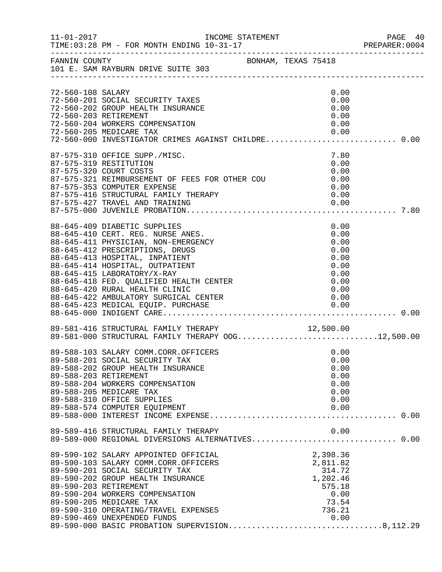|                   | 11-01-2017    INCOME STATEMENT                                                                                                                                                                                                                                                                                                                                      |                                                                                 | PAGE 40<br>PREPARER: 0004 |
|-------------------|---------------------------------------------------------------------------------------------------------------------------------------------------------------------------------------------------------------------------------------------------------------------------------------------------------------------------------------------------------------------|---------------------------------------------------------------------------------|---------------------------|
|                   | FANNIN COUNTY BONHAM, TEXAS 75418<br>101 E. SAM RAYBURN DRIVE SUITE 303                                                                                                                                                                                                                                                                                             |                                                                                 |                           |
| 72-560-108 SALARY | 72-560-201 SOCIAL SECURITY TAXES<br>72-560-202 GROUP HEALTH INSURANCE<br>72-560-203 RETIREMENT<br>72-560-204 WORKERS COMPENSATION<br>72-560-205 MEDICARE TAX<br>72-560-205 MEDICARE TAX                         0.00<br>72-560-000 INVESTIGATOR CRIMES AGAINST CHILDRE 0.00                                                                                         | 0.00<br>0.00<br>0.00<br>0.00<br>0.00<br>0.00                                    |                           |
|                   | 87-575-310 OFFICE SUPP./MISC.<br>87-575-319 RESTITUTION<br>87-575-320 COURT COSTS<br>87-575-321 REIMBURSEMENT OF FEES FOR OTHER COU<br>87-575-353 COMPUTER EXPENSE<br>87-575-416 STRUCTURAL FAMILY THERAPY                                                                                                                                                          | 7.80<br>0.00<br>0.00<br>0.00<br>0.00                                            |                           |
|                   | 88-645-409 DIABETIC SUPPLIES<br>88-645-410 CERT. REG. NURSE ANES.<br>88-645-411 PHYSICIAN, NON-EMERGENCY<br>88-645-412 PRESCRIPTIONS, DRUGS<br>88-645-413 HOSPITAL, INPATIENT<br>88-645-414 HOSPITAL, OUTPATIENT<br>88-645-415 LABORATORY/X-RAY<br>88-645-418 FED. QUALIFIED HEALTH CENTER<br>88-645-420 RURAL HEALTH CLINIC                                        | 0.00<br>0.00<br>0.00<br>0.00<br>0.00<br>0.00<br>0.00<br>0.00<br>0.00            |                           |
|                   | 89-581-416 STRUCTURAL FAMILY THERAPY 12,500.00<br>89-581-000 STRUCTURAL FAMILY THERAPY OOG12,500.00                                                                                                                                                                                                                                                                 |                                                                                 |                           |
|                   | 89-588-103 SALARY COMM.CORR.OFFICERS<br>89-588-201 SOCIAL SECURITY TAX<br>89-588-202 GROUP HEALTH INSURANCE<br>89-588-203 RETIREMENT<br>89-588-204 WORKERS COMPENSATION<br>89-588-205 MEDICARE TAX<br>89-588-310 OFFICE SUPPLIES<br>89-588-574 COMPUTER EQUIPMENT                                                                                                   | 0.00<br>0.00<br>0.00<br>0.00<br>0.00<br>0.00<br>0.00<br>0.00                    |                           |
|                   | 89-589-416 STRUCTURAL FAMILY THERAPY<br>89-589-000 REGIONAL DIVERSIONS ALTERNATIVES 0.00                                                                                                                                                                                                                                                                            | 0.00                                                                            |                           |
|                   | 89-590-102 SALARY APPOINTED OFFICIAL<br>89-590-103 SALARY COMM.CORR.OFFICERS<br>89-590-201 SOCIAL SECURITY TAX<br>89-590-202 GROUP HEALTH INSURANCE<br>89-590-203 RETIREMENT<br>89-590-204 WORKERS COMPENSATION<br>89-590-205 MEDICARE TAX<br>89-590-310 OPERATING/TRAVEL EXPENSES<br>89-590-469 UNEXPENDED FUNDS<br>89-590-000 BASIC PROBATION SUPERVISION8,112.29 | 2,398.36<br>2,811.82<br>314.72<br>1,202.46<br>575.18<br>0.00<br>73.54<br>736.21 |                           |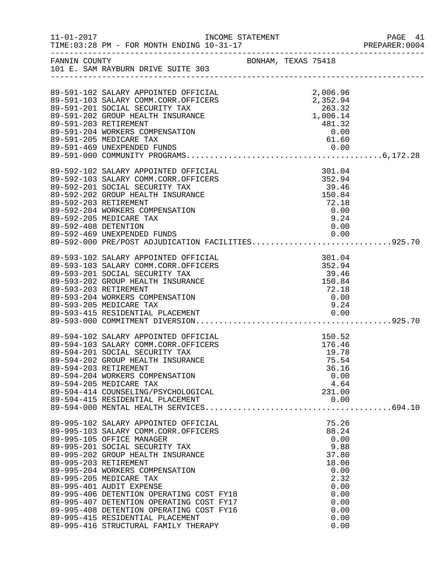| $11 - 01 - 2017$     | INCOME STATEMENT                                                                                                                                                                                                                                                                                                                                                                                                                                                                                                                                              |                     |                                                                                                                  | PAGE 41<br>PREPARER: 0004 |
|----------------------|---------------------------------------------------------------------------------------------------------------------------------------------------------------------------------------------------------------------------------------------------------------------------------------------------------------------------------------------------------------------------------------------------------------------------------------------------------------------------------------------------------------------------------------------------------------|---------------------|------------------------------------------------------------------------------------------------------------------|---------------------------|
| FANNIN COUNTY        | 101 E. SAM RAYBURN DRIVE SUITE 303                                                                                                                                                                                                                                                                                                                                                                                                                                                                                                                            | BONHAM, TEXAS 75418 |                                                                                                                  |                           |
|                      | 89-591-102 SALARY APPOINTED OFFICIAL<br>89-591-103 SALARY COMM.CORR.OFFICERS<br>89-591-201 SOCIAL SECURITY TAX<br>89-591-202 GROUP HEALTH INSURANCE<br>89-591-203 RETIREMENT<br>89-591-204 WORKERS COMPENSATION<br>89-591-205 MEDICARE TAX                                                                                                                                                                                                                                                                                                                    |                     | 2,006.96<br>2,352.94<br>263.32<br>1,006.14<br>481.32<br>0.00<br>61.60                                            |                           |
| 89-592-408 DETENTION | 89-592-102 SALARY APPOINTED OFFICIAL<br>89-592-103 SALARY COMM.CORR.OFFICERS<br>89-592-201 SOCIAL SECURITY TAX<br>89-592-202 GROUP HEALTH INSURANCE<br>89-592-203 RETIREMENT<br>89-592-204 WORKERS COMPENSATION<br>89-592-205 MEDICARE TAX<br>89-592-469 UNEXPENDED FUNDS<br>89-592-000 PRE/POST ADJUDICATION FACILITIES925.70                                                                                                                                                                                                                                |                     | 301.04<br>352.94<br>39.46<br>150.84<br>72.18<br>0.00<br>9.24<br>0.00                                             |                           |
|                      | 89-593-102 SALARY APPOINTED OFFICIAL<br>89-593-103 SALARY COMM.CORR.OFFICERS<br>89-593-201 SOCIAL SECURITY TAX<br>89-593-202 GROUP HEALTH INSURANCE<br>89-593-203 RETIREMENT<br>89-593-204 WORKERS COMPENSATION<br>89-593-205 MEDICARE TAX<br>89-593-415 RESIDENTIAL PLACEMENT                                                                                                                                                                                                                                                                                |                     | 301.04<br>352.94<br>39.46<br>150.84<br>72.18<br>0.00<br>9.24                                                     |                           |
|                      | 89-594-102 SALARY APPOINTED OFFICIAL<br>89-594-103 SALARY COMM.CORR.OFFICERS<br>89-594-201 SOCIAL SECURITY TAX<br>89-594-202 GROUP HEALTH INSURANCE<br>89-594-203 RETIREMENT<br>89-594-204 WORKERS COMPENSATION<br>89-594-205 MEDICARE TAX                                                                                                                                                                                                                                                                                                                    |                     | 150.52<br>176.46<br>19.78<br>75.54<br>36.16<br>0.00<br>4.64                                                      |                           |
|                      | 89-594-000 PERSIARY APPOINTED OFFICIAL<br>89-995-102 SALARY APPOINTED OFFICIAL<br>89-995-103 SALARY COMM.CORR.OFFICERS<br>89-995-105 OFFICE MANAGER<br>89-995-201 SOCIAL SECURITY TAX<br>89-995-202 GROUP HEALTH INSURANCE<br>89-995-203 RETIREMENT<br>89-995-204 WORKERS COMPENSATION<br>89-995-205 MEDICARE TAX<br>89-995-401 AUDIT EXPENSE<br>89-995-406 DETENTION OPERATING COST FY18<br>89-995-407 DETENTION OPERATING COST FY17<br>89-995-408 DETENTION OPERATING COST FY16<br>89-995-415 RESIDENTIAL PLACEMENT<br>89-995-416 STRUCTURAL FAMILY THERAPY |                     | 75.26<br>88.24<br>0.00<br>9.88<br>37.80<br>18.06<br>0.00<br>2.32<br>0.00<br>0.00<br>0.00<br>0.00<br>0.00<br>0.00 |                           |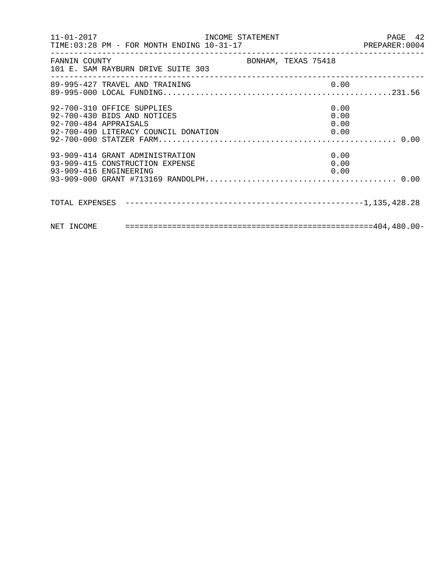|                                                                    |                     | PAGE 42 |
|--------------------------------------------------------------------|---------------------|---------|
| FANNIN COUNTY<br>101 E. SAM RAYBURN DRIVE SUITE 303                | BONHAM, TEXAS 75418 |         |
| 89-995-427 TRAVEL AND TRAINING                                     | 0.00                |         |
| 92-700-310 OFFICE SUPPLIES<br>92-700-430 BIDS AND NOTICES          | 0.00<br>0.00        |         |
| 93-909-414 GRANT ADMINISTRATION<br>93-909-415 CONSTRUCTION EXPENSE | 0.00<br>0.00        |         |
|                                                                    |                     |         |
|                                                                    |                     |         |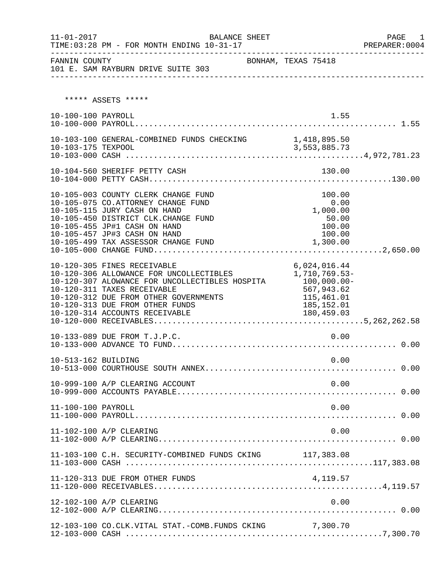| FANNIN COUNTY       | 101 E. SAM RAYBURN DRIVE SUITE 303                                                                                                                                                                                                                            | BONHAM, TEXAS 75418                                                         |  |
|---------------------|---------------------------------------------------------------------------------------------------------------------------------------------------------------------------------------------------------------------------------------------------------------|-----------------------------------------------------------------------------|--|
|                     | ***** ASSETS *****                                                                                                                                                                                                                                            |                                                                             |  |
| 10-100-100 PAYROLL  |                                                                                                                                                                                                                                                               | 1.55                                                                        |  |
|                     | 10-103-100 GENERAL-COMBINED FUNDS CHECKING 1,418,895.50                                                                                                                                                                                                       |                                                                             |  |
|                     |                                                                                                                                                                                                                                                               |                                                                             |  |
|                     | 10-105-003 COUNTY CLERK CHANGE FUND<br>10-105-075 CO.ATTORNEY CHANGE FUND<br>10-105-115 JURY CASH ON HAND<br>10-105-450 DISTRICT CLK.CHANGE FUND<br>10-105-455 JP#1 CASH ON HAND<br>10-105-457 JP#3 CASH ON HAND<br>10-105-499 TAX ASSESSOR CHANGE FUND       | 100.00<br>0.00<br>0.00<br>1,000.00<br>50.00<br>100.00<br>100.00<br>1,300.00 |  |
|                     | 10-120-305 FINES RECEIVABLE<br>10-120-306 ALLOWANCE FOR UNCOLLECTIBLES 1,710,769.53-<br>10-120-307 ALOWANCE FOR UNCOLLECTIBLES HOSPITA 100,000.00-<br>10-120-311 TAXES RECEIVABLE<br>10-120-312 DUE FROM OTHER GOVERNMENTS<br>10-120-313 DUE FROM OTHER FUNDS | 6,024,016.44<br>567,943.62<br>115,461.01<br>185,152.01                      |  |
|                     | 10-133-089 DUE FROM T.J.P.C.                                                                                                                                                                                                                                  | 0.00                                                                        |  |
| 10-513-162 BUILDING |                                                                                                                                                                                                                                                               | 0.00                                                                        |  |
|                     | 10-999-100 A/P CLEARING ACCOUNT                                                                                                                                                                                                                               | 0.00                                                                        |  |
| 11-100-100 PAYROLL  |                                                                                                                                                                                                                                                               | 0.00                                                                        |  |
|                     | 11-102-100 A/P CLEARING                                                                                                                                                                                                                                       | 0.00                                                                        |  |
|                     | 11-103-100 C.H. SECURITY-COMBINED FUNDS CKING 117,383.08                                                                                                                                                                                                      |                                                                             |  |
|                     | 11-120-313 DUE FROM OTHER FUNDS                                                                                                                                                                                                                               | 4,119.57                                                                    |  |
|                     | 12-102-100 A/P CLEARING                                                                                                                                                                                                                                       | 0.00                                                                        |  |
|                     | 12-103-100 CO.CLK.VITAL STAT.-COMB.FUNDS CKING 7,300.70                                                                                                                                                                                                       |                                                                             |  |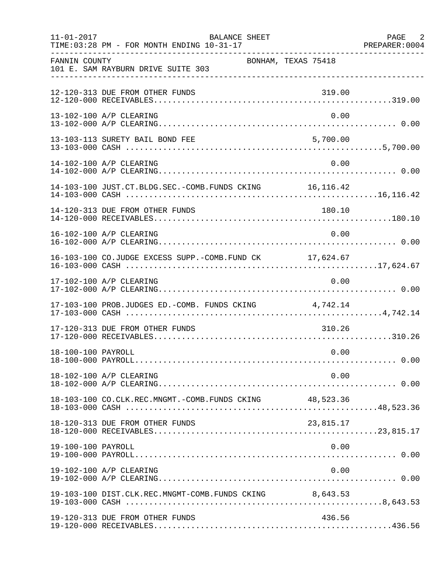| $11 - 01 - 2017$   | <b>BALANCE SHEET</b><br>TIME: 03:28 PM - FOR MONTH ENDING 10-31-17 |                     | PAGE 2 |
|--------------------|--------------------------------------------------------------------|---------------------|--------|
| FANNIN COUNTY      | 101 E. SAM RAYBURN DRIVE SUITE 303                                 | BONHAM, TEXAS 75418 |        |
|                    | 12-120-313 DUE FROM OTHER FUNDS                                    | 319.00              |        |
|                    | 13-102-100 A/P CLEARING                                            | 0.00                |        |
|                    | 13-103-113 SURETY BAIL BOND FEE                                    | 5,700.00            |        |
|                    | 14-102-100 A/P CLEARING                                            | 0.00                |        |
|                    | 14-103-100 JUST.CT.BLDG.SEC.-COMB.FUNDS CKING 16,116.42            |                     |        |
|                    | 14-120-313 DUE FROM OTHER FUNDS                                    | 180.10              |        |
|                    | 16-102-100 A/P CLEARING                                            | 0.00                |        |
|                    | 16-103-100 CO.JUDGE EXCESS SUPP.-COMB.FUND CK 17,624.67            |                     |        |
|                    | 17-102-100 A/P CLEARING                                            | 0.00                |        |
|                    | 17-103-100 PROB.JUDGES ED.-COMB. FUNDS CKING 4,742.14              |                     |        |
|                    | 17-120-313 DUE FROM OTHER FUNDS                                    | 310.26              |        |
| 18-100-100 PAYROLL |                                                                    | 0.00                |        |
|                    | 18-102-100 A/P CLEARING                                            | 0.00                |        |
|                    |                                                                    |                     |        |
|                    | 18-120-313 DUE FROM OTHER FUNDS                                    | 23,815.17           |        |
| 19-100-100 PAYROLL |                                                                    | 0.00                |        |
|                    | 19-102-100 A/P CLEARING                                            | 0.00                |        |
|                    | 19-103-100 DIST.CLK.REC.MNGMT-COMB.FUNDS CKING 8,643.53            |                     |        |
|                    | 19-120-313 DUE FROM OTHER FUNDS                                    | 436.56              |        |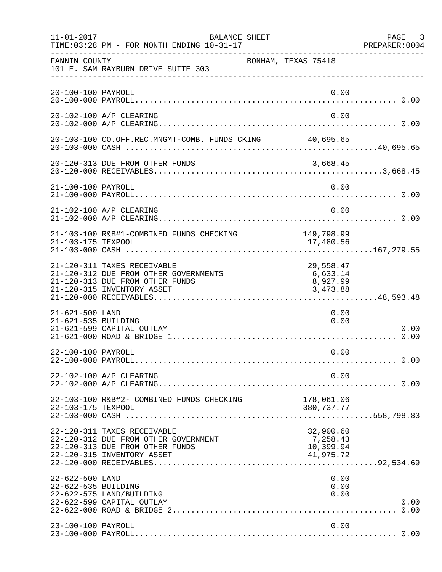| $11 - 01 - 2017$                       | BALANCE SHEET<br>TIME: 03:28 PM - FOR MONTH ENDING 10-31-17                                                                           |                                                 | PAGE 3<br>PREPARER:0004 |
|----------------------------------------|---------------------------------------------------------------------------------------------------------------------------------------|-------------------------------------------------|-------------------------|
| FANNIN COUNTY                          | 101 E. SAM RAYBURN DRIVE SUITE 303                                                                                                    | BONHAM, TEXAS 75418                             |                         |
| 20-100-100 PAYROLL                     |                                                                                                                                       | 0.00                                            |                         |
|                                        | 20-102-100 A/P CLEARING                                                                                                               | 0.00                                            |                         |
|                                        | 20-103-100 CO.OFF.REC.MNGMT-COMB. FUNDS CKING 40,695.65                                                                               |                                                 |                         |
|                                        | 20-120-313 DUE FROM OTHER FUNDS                                                                                                       | 3,668.45                                        |                         |
| 21-100-100 PAYROLL                     |                                                                                                                                       | 0.00                                            |                         |
|                                        | 21-102-100 A/P CLEARING                                                                                                               | 0.00                                            |                         |
| 21-103-175 TEXPOOL                     | 21-103-100 R&B#1-COMBINED FUNDS CHECKING                                                                                              | 149,798.99<br>17,480.56                         |                         |
|                                        | 21-120-311 TAXES RECEIVABLE<br>21-120-312 DUE FROM OTHER GOVERNMENTS<br>21-120-313 DUE FROM OTHER FUNDS<br>21-120-315 INVENTORY ASSET | 29,558.47<br>6,633.14<br>8,927.99<br>3,473.88   |                         |
| 21-621-500 LAND<br>21-621-535 BUILDING | 21-621-599 CAPITAL OUTLAY                                                                                                             | 0.00<br>0.00                                    | 0.00                    |
| 22-100-100 PAYROLL                     |                                                                                                                                       | 0.00                                            |                         |
|                                        | 22-102-100 A/P CLEARING                                                                                                               | 0.00                                            |                         |
| 22-103-175 TEXPOOL                     | 22-103-100 R&B#2- COMBINED FUNDS CHECKING                                                                                             | 178,061.06<br>380,737.77                        |                         |
|                                        | 22-120-311 TAXES RECEIVABLE<br>22-120-312 DUE FROM OTHER GOVERNMENT<br>22-120-313 DUE FROM OTHER FUNDS<br>22-120-315 INVENTORY ASSET  | 32,900.60<br>7,258.43<br>10,399.94<br>41,975.72 |                         |
| 22-622-500 LAND<br>22-622-535 BUILDING | 22-622-575 LAND/BUILDING<br>22-622-599 CAPITAL OUTLAY                                                                                 | 0.00<br>0.00<br>0.00                            | 0.00                    |
| 23-100-100 PAYROLL                     |                                                                                                                                       | 0.00                                            |                         |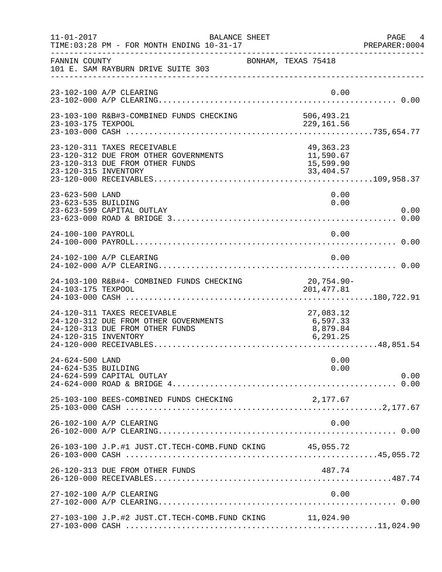| $11 - 01 - 2017$                       | <b>BALANCE SHEET</b><br>TIME: 03:28 PM - FOR MONTH ENDING 10-31-17                                      |                                                    | PAGE 4<br>PREPARER:0004 |
|----------------------------------------|---------------------------------------------------------------------------------------------------------|----------------------------------------------------|-------------------------|
| FANNIN COUNTY                          | 101 E. SAM RAYBURN DRIVE SUITE 303                                                                      | BONHAM, TEXAS 75418                                |                         |
|                                        | 23-102-100 A/P CLEARING                                                                                 | 0.00                                               |                         |
| 23-103-175 TEXPOOL                     | 23-103-100 R&B#3-COMBINED FUNDS CHECKING                                                                | 506,493.21<br>229,161.56                           |                         |
| 23-120-315 INVENTORY                   | 23-120-311 TAXES RECEIVABLE<br>23-120-312 DUE FROM OTHER GOVERNMENTS<br>23-120-313 DUE FROM OTHER FUNDS | 49, 363. 23<br>11,590.67<br>15,599.90<br>33,404.57 |                         |
| 23-623-500 LAND<br>23-623-535 BUILDING | 23-623-599 CAPITAL OUTLAY                                                                               | 0.00<br>0.00                                       | 0.00                    |
| 24-100-100 PAYROLL                     |                                                                                                         | 0.00                                               |                         |
|                                        | 24-102-100 A/P CLEARING                                                                                 | 0.00                                               |                         |
| 24-103-175 TEXPOOL                     | 24-103-100 R&B#4- COMBINED FUNDS CHECKING                                                               | 20,754.90-<br>201, 477.81                          |                         |
| 24-120-315 INVENTORY                   | 24-120-311 TAXES RECEIVABLE<br>24-120-312 DUE FROM OTHER GOVERNMENTS<br>24-120-313 DUE FROM OTHER FUNDS | 27,083.12<br>6,597.33<br>8,879.84<br>6, 291.25     |                         |
| 24-624-500 LAND<br>24-624-535 BUILDING | 24-624-599 CAPITAL OUTLAY                                                                               | 0.00<br>0.00                                       | 0.00                    |
|                                        | 25-103-100 BEES-COMBINED FUNDS CHECKING                                                                 | 2,177.67                                           |                         |
|                                        | 26-102-100 A/P CLEARING                                                                                 | 0.00                                               |                         |
|                                        | 26-103-100 J.P.#1 JUST.CT.TECH-COMB.FUND CKING 45,055.72                                                |                                                    |                         |
|                                        | 26-120-313 DUE FROM OTHER FUNDS                                                                         | 487.74                                             |                         |
|                                        | 27-102-100 A/P CLEARING                                                                                 | 0.00                                               |                         |
|                                        | 27-103-100 J.P.#2 JUST.CT.TECH-COMB.FUND CKING 11,024.90                                                |                                                    |                         |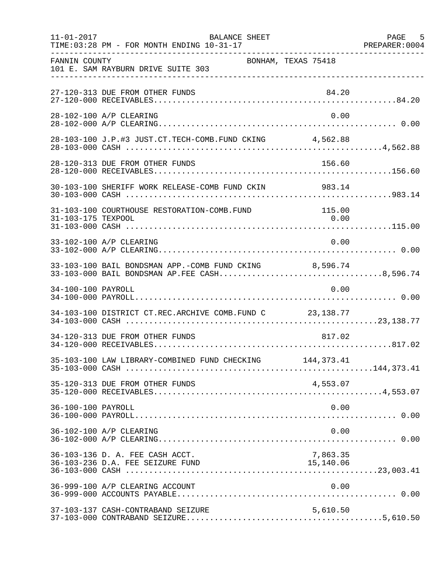| $11 - 01 - 2017$   | <b>BALANCE SHEET</b><br>TIME: 03:28 PM - FOR MONTH ENDING 10-31-17                                     |                       | PAGE 5 |
|--------------------|--------------------------------------------------------------------------------------------------------|-----------------------|--------|
| FANNIN COUNTY      | 101 E. SAM RAYBURN DRIVE SUITE 303                                                                     | BONHAM, TEXAS 75418   |        |
|                    | 27-120-313 DUE FROM OTHER FUNDS                                                                        | 84.20                 |        |
|                    | 28-102-100 A/P CLEARING                                                                                | 0.00                  |        |
|                    | 28-103-100 J.P.#3 JUST.CT.TECH-COMB.FUND CKING 4,562.88                                                |                       |        |
|                    | 28-120-313 DUE FROM OTHER FUNDS                                                                        | 156.60                |        |
|                    |                                                                                                        |                       |        |
| 31-103-175 TEXPOOL | 31-103-100 COURTHOUSE RESTORATION-COMB.FUND                                                            | 115.00<br>0.00        |        |
|                    | 33-102-100 A/P CLEARING                                                                                | 0.00                  |        |
|                    | 33-103-100 BAIL BONDSMAN APP.-COMB FUND CKING 8,596.74<br>33-103-000 BAIL BONDSMAN AP.FEE CASH8,596.74 |                       |        |
| 34-100-100 PAYROLL |                                                                                                        | 0.00                  |        |
|                    | 34-103-100 DISTRICT CT.REC.ARCHIVE COMB.FUND C 23,138.77                                               |                       |        |
|                    | 34-120-313 DUE FROM OTHER FUNDS                                                                        | 817.02                |        |
|                    | 35-103-100 LAW LIBRARY-COMBINED FUND CHECKING 144,373.41                                               |                       |        |
|                    | 35-120-313 DUE FROM OTHER FUNDS                                                                        | 4,553.07              |        |
| 36-100-100 PAYROLL |                                                                                                        | 0.00                  |        |
|                    | 36-102-100 A/P CLEARING                                                                                | 0.00                  |        |
|                    | 36-103-136 D. A. FEE CASH ACCT.<br>36-103-236 D.A. FEE SEIZURE FUND                                    | 7,863.35<br>15,140.06 |        |
|                    | 36-999-100 A/P CLEARING ACCOUNT                                                                        | 0.00                  |        |
|                    | 37-103-137 CASH-CONTRABAND SEIZURE                                                                     | 5,610.50              |        |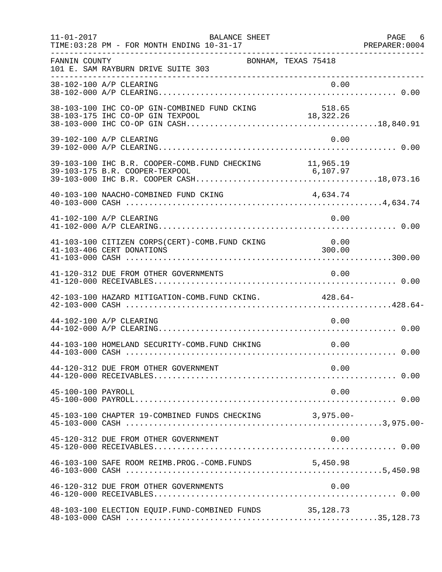| $11 - 01 - 2017$   | BALANCE SHEET<br>TIME: 03:28 PM - FOR MONTH ENDING 10-31-17                       |                     | PAGE 6 |
|--------------------|-----------------------------------------------------------------------------------|---------------------|--------|
| FANNIN COUNTY      | 101 E. SAM RAYBURN DRIVE SUITE 303                                                | BONHAM, TEXAS 75418 |        |
|                    |                                                                                   |                     |        |
|                    |                                                                                   |                     |        |
|                    | 39-102-100 A/P CLEARING                                                           | 0.00                |        |
|                    | 39-103-100 IHC B.R. COOPER-COMB. FUND CHECKING 11,965.19                          |                     |        |
|                    | 40-103-100 NAACHO-COMBINED FUND CKING                                             | 4,634.74            |        |
|                    | 41-102-100 A/P CLEARING                                                           | 0.00                |        |
|                    | 41-103-100 CITIZEN CORPS(CERT)-COMB. FUND CKING 0.00<br>41-103-406 CERT DONATIONS | 300.00              |        |
|                    | 41-120-312 DUE FROM OTHER GOVERNMENTS                                             | 0.00                |        |
|                    | 42-103-100 HAZARD MITIGATION-COMB. FUND CKING. 428.64-                            |                     |        |
|                    | 44-102-100 A/P CLEARING                                                           | 0.00                |        |
|                    | 44-103-100 HOMELAND SECURITY-COMB. FUND CHKING                                    | 0.00                |        |
|                    | 44-120-312 DUE FROM OTHER GOVERNMENT                                              | 0.00                |        |
| 45-100-100 PAYROLL |                                                                                   | 0.00                |        |
|                    | 45-103-100 CHAPTER 19-COMBINED FUNDS CHECKING 3,975.00-                           |                     |        |
|                    | 45-120-312 DUE FROM OTHER GOVERNMENT                                              | 0.00                |        |
|                    | 46-103-100 SAFE ROOM REIMB. PROG. - COMB. FUNDS 5, 450.98                         |                     |        |
|                    | 46-120-312 DUE FROM OTHER GOVERNMENTS                                             | 0.00                |        |
|                    | 48-103-100 ELECTION EQUIP.FUND-COMBINED FUNDS 35,128.73                           |                     |        |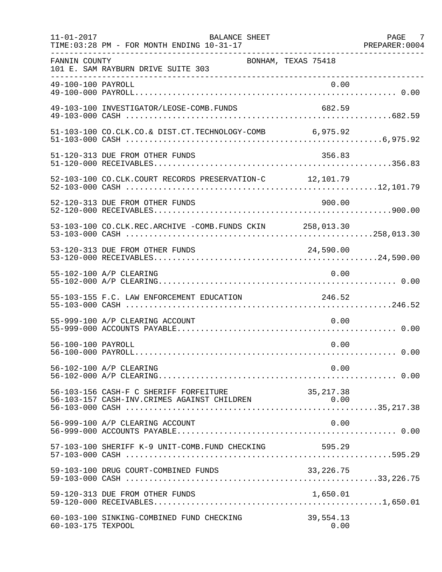| $11 - 01 - 2017$   | BALANCE SHEET<br>TIME: 03:28 PM - FOR MONTH ENDING 10-31-17 |                     | PAGE 7 |
|--------------------|-------------------------------------------------------------|---------------------|--------|
| FANNIN COUNTY      | 101 E. SAM RAYBURN DRIVE SUITE 303                          | BONHAM, TEXAS 75418 |        |
|                    |                                                             |                     |        |
|                    | 49-103-100 INVESTIGATOR/LEOSE-COMB.FUNDS                    | 682.59              |        |
|                    | 51-103-100 CO.CLK.CO.& DIST.CT.TECHNOLOGY-COMB 6,975.92     |                     |        |
|                    | 51-120-313 DUE FROM OTHER FUNDS                             | 356.83              |        |
|                    | 52-103-100 CO.CLK.COURT RECORDS PRESERVATION-C 12,101.79    |                     |        |
|                    | 52-120-313 DUE FROM OTHER FUNDS                             | 900.00              |        |
|                    | 53-103-100 CO.CLK.REC.ARCHIVE -COMB.FUNDS CKIN 258,013.30   |                     |        |
|                    | 53-120-313 DUE FROM OTHER FUNDS                             | 24,590.00           |        |
|                    | 55-102-100 A/P CLEARING                                     | 0.00                |        |
|                    | 55-103-155 F.C. LAW ENFORCEMENT EDUCATION                   | 246.52              |        |
|                    | 55-999-100 A/P CLEARING ACCOUNT                             | 0.00                |        |
| 56-100-100 PAYROLL |                                                             | 0.00                |        |
|                    | 56-102-100 A/P CLEARING                                     | 0.00                |        |
|                    | 56-103-156 CASH-F C SHERIFF FORFEITURE                      |                     |        |
|                    | 56-999-100 A/P CLEARING ACCOUNT                             | 0.00                |        |
|                    | 57-103-100 SHERIFF K-9 UNIT-COMB.FUND CHECKING              | 595.29              |        |
|                    | 59-103-100 DRUG COURT-COMBINED FUNDS                        | 33, 226. 75         |        |
|                    | 59-120-313 DUE FROM OTHER FUNDS                             | 1,650.01            |        |
| 60-103-175 TEXPOOL | 60-103-100 SINKING-COMBINED FUND CHECKING                   | 39,554.13<br>0.00   |        |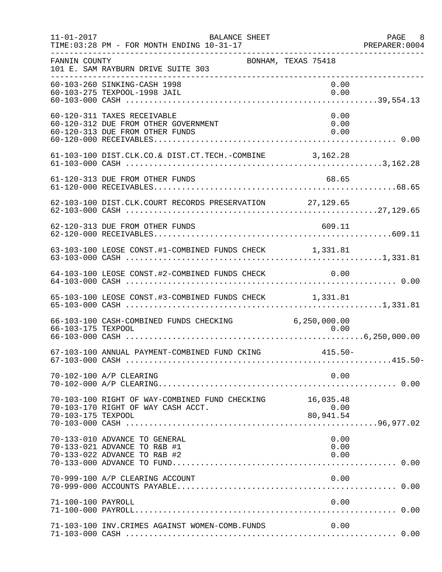| $11 - 01 - 2017$   | BALANCE SHEET<br>TIME: 03:28 PM - FOR MONTH ENDING 10-31-17<br>. _ _ _ _ _ _ _ _ _ _ _ _ _ _           |                                | PAGE 8<br>PREPARER: 0004 |
|--------------------|--------------------------------------------------------------------------------------------------------|--------------------------------|--------------------------|
| FANNIN COUNTY      | 101 E. SAM RAYBURN DRIVE SUITE 303                                                                     | BONHAM, TEXAS 75418            |                          |
|                    | 60-103-260 SINKING-CASH 1998<br>60-103-275 TEXPOOL-1998 JAIL                                           |                                | 0.00<br>0.00             |
|                    | 60-120-311 TAXES RECEIVABLE<br>60-120-312 DUE FROM OTHER GOVERNMENT<br>60-120-313 DUE FROM OTHER FUNDS |                                | 0.00<br>0.00<br>0.00     |
|                    | 61-103-100 DIST.CLK.CO.& DIST.CT.TECH.-COMBINE 3,162.28                                                |                                |                          |
|                    | 61-120-313 DUE FROM OTHER FUNDS                                                                        | 68.65                          |                          |
|                    | 62-103-100 DIST.CLK.COURT RECORDS PRESERVATION 27,129.65                                               |                                |                          |
|                    | 62-120-313 DUE FROM OTHER FUNDS                                                                        | 609.11                         |                          |
|                    | 63-103-100 LEOSE CONST.#1-COMBINED FUNDS CHECK 1,331.81                                                |                                |                          |
|                    | 64-103-100 LEOSE CONST.#2-COMBINED FUNDS CHECK 0.00                                                    |                                |                          |
|                    | 65-103-100 LEOSE CONST.#3-COMBINED FUNDS CHECK 1,331.81                                                |                                |                          |
| 66-103-175 TEXPOOL | 66-103-100 CASH-COMBINED FUNDS CHECKING 6,250,000.00                                                   | 0.00                           |                          |
|                    | 67-103-100 ANNUAL PAYMENT-COMBINED FUND CKING                                                          | $415.50 -$                     |                          |
|                    | 70-102-100 A/P CLEARING                                                                                |                                | 0.00                     |
| 70-103-175 TEXPOOL | 70-103-100 RIGHT OF WAY-COMBINED FUND CHECKING<br>70-103-170 RIGHT OF WAY CASH ACCT.                   | 16,035.48<br>0.00<br>80,941.54 |                          |
|                    | 70-133-010 ADVANCE TO GENERAL<br>70-133-021 ADVANCE TO R&B #1<br>70-133-022 ADVANCE TO R&B #2          |                                | 0.00<br>0.00<br>0.00     |
|                    | 70-999-100 A/P CLEARING ACCOUNT                                                                        |                                | 0.00                     |
| 71-100-100 PAYROLL |                                                                                                        |                                | 0.00                     |
|                    | 71-103-100 INV. CRIMES AGAINST WOMEN-COMB. FUNDS                                                       |                                | 0.00                     |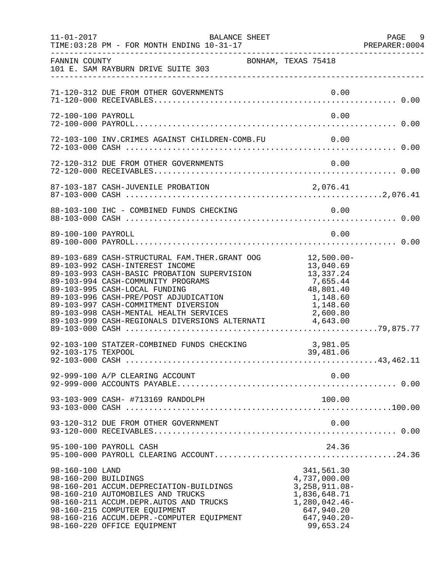| $11 - 01 - 2017$                        | BALANCE SHEET<br>TIME: 03:28 PM - FOR MONTH ENDING 10-31-17                                                                                                                                                                                                                                        |                                                                                                                               | PAGE 9<br>PREPARER: 0004 |
|-----------------------------------------|----------------------------------------------------------------------------------------------------------------------------------------------------------------------------------------------------------------------------------------------------------------------------------------------------|-------------------------------------------------------------------------------------------------------------------------------|--------------------------|
| FANNIN COUNTY                           | 101 E. SAM RAYBURN DRIVE SUITE 303                                                                                                                                                                                                                                                                 | BONHAM, TEXAS 75418                                                                                                           |                          |
|                                         | 71-120-312 DUE FROM OTHER GOVERNMENTS                                                                                                                                                                                                                                                              | 0.00                                                                                                                          |                          |
| 72-100-100 PAYROLL                      |                                                                                                                                                                                                                                                                                                    | 0.00                                                                                                                          |                          |
|                                         | 72-103-100 INV. CRIMES AGAINST CHILDREN-COMB. FU                                                                                                                                                                                                                                                   | 0.00                                                                                                                          |                          |
|                                         | 72-120-312 DUE FROM OTHER GOVERNMENTS                                                                                                                                                                                                                                                              | 0.00                                                                                                                          |                          |
|                                         |                                                                                                                                                                                                                                                                                                    |                                                                                                                               |                          |
|                                         | 88-103-100 IHC - COMBINED FUNDS CHECKING                                                                                                                                                                                                                                                           | 0.00                                                                                                                          |                          |
| 89-100-100 PAYROLL                      |                                                                                                                                                                                                                                                                                                    | 0.00                                                                                                                          |                          |
|                                         | 89-103-689 CASH-STRUCTURAL FAM.THER.GRANT OOG 12,500.00-<br>89-103-992 CASH-INTEREST INCOME<br>89-103-993 CASH-BASIC PROBATION SUPERVISION<br>89-103-994 CASH-COMMUNITY PROGRAMS<br>89-103-995 CASH-LOCAL FUNDING<br>89-103-996 CASH-PRE/POST ADJUDICATION<br>89-103-997 CASH-COMMITMENT DIVERSION | 13,040.69<br>7,655.44<br>48,801.40<br>1,148.60<br>1,148.60                                                                    |                          |
| 92-103-175 TEXPOOL                      | 92-103-100 STATZER-COMBINED FUNDS CHECKING                                                                                                                                                                                                                                                         | 3,981.05<br>39,481.06                                                                                                         |                          |
|                                         | 92-999-100 A/P CLEARING ACCOUNT                                                                                                                                                                                                                                                                    | 0.00                                                                                                                          |                          |
|                                         | 93-103-909 CASH- #713169 RANDOLPH                                                                                                                                                                                                                                                                  | 100.00                                                                                                                        |                          |
|                                         | 93-120-312 DUE FROM OTHER GOVERNMENT                                                                                                                                                                                                                                                               | 0.00                                                                                                                          |                          |
|                                         | 95-100-100 PAYROLL CASH                                                                                                                                                                                                                                                                            | 24.36                                                                                                                         |                          |
| 98-160-100 LAND<br>98-160-200 BUILDINGS | 98-160-201 ACCUM.DEPRECIATION-BUILDINGS<br>98-160-210 AUTOMOBILES AND TRUCKS<br>98-160-211 ACCUM.DEPR.AUTOS AND TRUCKS<br>98-160-215 COMPUTER EQUIPMENT<br>98-160-216 ACCUM.DEPR.-COMPUTER EQUIPMENT<br>98-160-220 OFFICE EQUIPMENT                                                                | 341,561.30<br>4,737,000.00<br>$3,258,911.08-$<br>1,836,648.71<br>$1,280,042.46-$<br>647,940.20<br>$647,940.20 -$<br>99,653.24 |                          |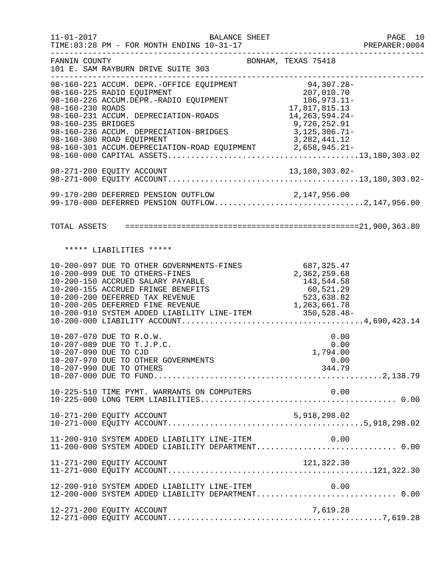11-01-2017 BALANCE SHEET PAGE 10 TIME:03:28 PM - FOR MONTH ENDING 10-31-17 PREPARER:0004 -------------------------------------------------------------------------------- FANNIN COUNTY **BONHAM, TEXAS 75418** 101 E. SAM RAYBURN DRIVE SUITE 303 -------------------------------------------------------------------------------- 98-160-221 ACCUM. DEPR.-OFFICE EQUIPMENT 94,307.28- 98-160-225 RADIO EQUIPMENT<br>98-160-226 ACCUM.DEPR.-RADIO EQUIPMENT 186,973.11-98-160-226 ACCUM.DEPR.-RADIO EQUIPMENT 186,973.11-<br>98-160-230 ROADS 17,817,815.13 98-160-230 ROADS 17,817,815.13<br>98-160-231 ACCUM. DEPRECIATION-ROADS 14,263,594.24-98-160-231 ACCUM. DEPRECIATION-ROADS 14,263,594.24-<br>9.726,252.91 99-160-235 BRIDGES 98-160-235 BRIDGES 9,726,252.91 98-160-236 ACCUM. DEPRECIATION-BRIDGES 3,125,306.71-98-160-300 ROAD EQUIPMENT 3,282,441.12 98-160-301 ACCUM.DEPRECIATION-ROAD EQUIPMENT 2,658,945.21-98-160-000 CAPITAL ASSETS.........................................13,180,303.02 98-271-200 EQUITY ACCOUNT 13,180,303.02- 98-271-000 EQUITY ACCOUNT.........................................13,180,303.02- 99-170-200 DEFERRED PENSION OUTFLOW 2,147,956.00 99-170-000 DEFERRED PENSION OUTFLOW..................................2,147,956.00 TOTAL ASSETS ==================================================21,900,363.80 \*\*\*\*\* LIABILITIES \*\*\*\*\* 10-200-097 DUE TO OTHER GOVERNMENTS-FINES 687,325.47<br>10-200-099 DUE TO OTHERS-FINES 68 10-200-099 DUE TO OTHERS-FINES<br>10-200-150 ACCRUED SALARY PAYABLE 143,544.58 10-200-150 ACCRUED SALARY PAYABLE 143,544.58 10-200-155 ACCRUED FRINGE BENEFITS 60,521.29 10-200-200 DEFERRED TAX REVENUE 523,638.82 10-200-205 DEFERRED FINE REVENUE 1,263,661.78 10-200-910 SYSTEM ADDED LIABILITY LINE-ITEM 350,528.48- 10-200-000 LIABILITY ACCOUNT.......................................4,690,423.14 10-207-070 DUE TO R.O.W.<br>10-207-089 DUE TO T.J.P.C. 0.00 10-207-089 DUE TO T.J.P.C. 0.00 10-207-090 DUE TO CJD 10-207-090 DUE TO CJD 10-207-970 DUE TO OTHER GOVERNMENTS 10-207-970 DUE TO OTHER GOVERNMENTS 0.00<br>10-207-990 DUE TO OTHERS 344.79 10-207-990 DUE TO OTHERS 10-207-000 DUE TO FUND.................................................2,138.79 10-225-510 TIME PYMT. WARRANTS ON COMPUTERS 0.00 10-225-000 LONG TERM LIABILITIES.......................................... 0.00 10-271-200 EQUITY ACCOUNT 5,918,298.02 10-271-000 EQUITY ACCOUNT..........................................5,918,298.02 11-200-910 SYSTEM ADDED LIABILITY LINE-ITEM 0.00 11-200-000 SYSTEM ADDED LIABILITY DEPARTMENT.............................. 0.00 11-271-200 EQUITY ACCOUNT 121,322.30 11-271-000 EQUITY ACCOUNT............................................121,322.30 12-200-910 SYSTEM ADDED LIABILITY LINE-ITEM 0.00 12-200-000 SYSTEM ADDED LIABILITY DEPARTMENT.............................. 0.00 12-271-200 EQUITY ACCOUNT 7,619.28 12-271-000 EQUITY ACCOUNT..............................................7,619.28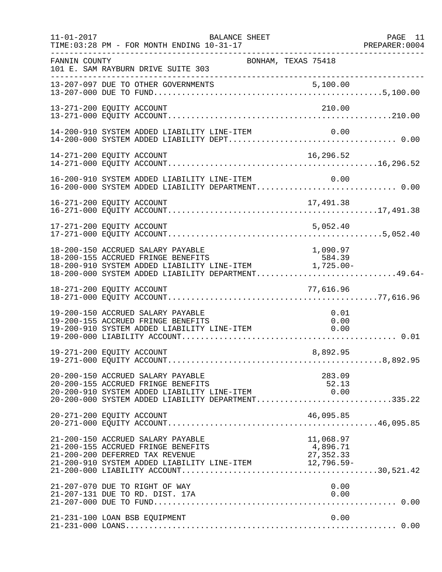| $11 - 01 - 2017$ | BALANCE SHEET<br>TIME: 03:28 PM - FOR MONTH ENDING 10-31-17                                                                                                                                                                                | PAGE 11<br>PREPARER: 0004 |
|------------------|--------------------------------------------------------------------------------------------------------------------------------------------------------------------------------------------------------------------------------------------|---------------------------|
| FANNIN COUNTY    | BONHAM, TEXAS 75418<br>101 E. SAM RAYBURN DRIVE SUITE 303                                                                                                                                                                                  |                           |
|                  | 13-207-097 DUE TO OTHER GOVERNMENTS                                                                                                                                                                                                        |                           |
|                  | 13-271-200 EQUITY ACCOUNT<br>210.00                                                                                                                                                                                                        |                           |
|                  | 14-200-910 SYSTEM ADDED LIABILITY LINE-ITEM<br>0.00                                                                                                                                                                                        |                           |
|                  | 16,296.52<br>14-271-200 EQUITY ACCOUNT                                                                                                                                                                                                     |                           |
|                  | 16-200-910 SYSTEM ADDED LIABILITY LINE-ITEM 0.00<br>16-200-000 SYSTEM ADDED LIABILITY DEPARTMENT0.00                                                                                                                                       |                           |
|                  | 16-271-200 EQUITY ACCOUNT<br>17,491.38                                                                                                                                                                                                     |                           |
|                  | 17-271-200 EQUITY ACCOUNT<br>5,052.40                                                                                                                                                                                                      |                           |
|                  | 18-200-150 ACCRUED SALARY PAYABLE<br>1,090.97<br>18-200-155 ACCRUED FRINGE BENEFITS 584.39<br>18-200-910 SYSTEM ADDED LIABILITY LINE-ITEM 1,725.00-<br>18-200-000 SYSTEM ADDED LIABILITY DEPARTMENT49.64-                                  |                           |
|                  | 18-271-200 EQUITY ACCOUNT<br>77,616.96                                                                                                                                                                                                     |                           |
|                  | 19-200-150 ACCRUED SALARY PAYABLE<br>0.01<br>19-200-155 ACCRUED FRINGE BENEFITS<br>19-200-910 SYSTEM ADDED LIABILITY LINE-ITEM<br>0.00<br>0.00                                                                                             |                           |
|                  | 19-271-200 EQUITY ACCOUNT<br>8,892.95                                                                                                                                                                                                      |                           |
|                  | 283.09<br>20-200-150 ACCRUED SALARY PAYABLE<br>20-200-155 ACCRUED FRINGE BENEFITS<br>52.13<br>20-200-133 ACCROED FRINGE BENEFIIS<br>20-200-910 SYSTEM ADDED LIABILITY LINE-ITEM 0.00<br>20-200-000 SYSTEM ADDED LIABILITY DEPARTMENT335.22 |                           |
|                  | 20-271-200 EQUITY ACCOUNT<br>46,095.85                                                                                                                                                                                                     |                           |
|                  | 21-200-150 ACCRUED SALARY PAYABLE<br>21-200-155 ACCRUED FRINGE BENEFITS<br>--,ub8.97<br>4,896.71<br>27.350.0<br>21-200-200 DEFERRED TAX REVENUE<br>21-200-910 SYSTEM ADDED LIABILITY LINE-ITEM 12,796.59-                                  |                           |
|                  | 21-207-070 DUE TO RIGHT OF WAY<br>0.00<br>21-207-131 DUE TO RD. DIST. 17A<br>0.00                                                                                                                                                          |                           |
|                  | 21-231-100 LOAN BSB EQUIPMENT<br>0.00                                                                                                                                                                                                      |                           |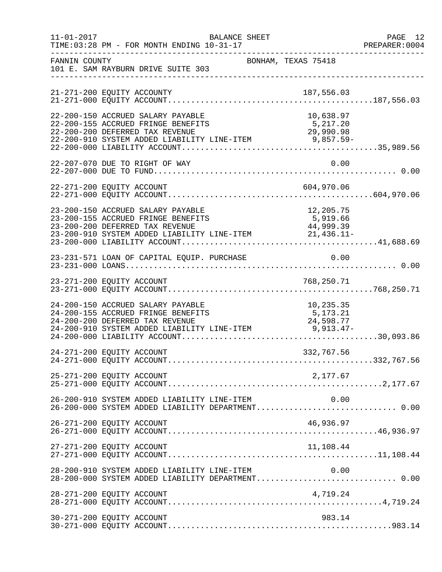| $11 - 01 - 2017$ | <b>BALANCE SHEET</b><br>TIME: 03:28 PM - FOR MONTH ENDING 10-31-17                                                                                                   |                                    | PAGE 12<br>PREPARER:0004 |
|------------------|----------------------------------------------------------------------------------------------------------------------------------------------------------------------|------------------------------------|--------------------------|
| FANNIN COUNTY    | 101 E. SAM RAYBURN DRIVE SUITE 303                                                                                                                                   | BONHAM, TEXAS 75418                |                          |
|                  |                                                                                                                                                                      |                                    |                          |
|                  | 22-200-150 ACCRUED SALARY PAYABLE                                                                                                                                    | 10,638.97                          |                          |
|                  | 22-207-070 DUE TO RIGHT OF WAY                                                                                                                                       | 0.00                               |                          |
|                  |                                                                                                                                                                      |                                    |                          |
|                  | 23-200-150 ACCRUED SALARY PAYABLE<br>23-200-155 ACCRUED FRINGE BENEFITS<br>23-200-200 DEFERRED TAX REVENUE<br>23-200-910 SYSTEM ADDED LIABILITY LINE-ITEM 21,436.11- | 12,205.75<br>5,919.66<br>44,999.39 |                          |
|                  | 23-231-571 LOAN OF CAPITAL EQUIP. PURCHASE                                                                                                                           | $\overline{0.00}$                  |                          |
|                  |                                                                                                                                                                      |                                    |                          |
|                  | 24-200-150 ACCRUED SALARY PAYABLE<br>24-200-155 ACCRUED FRINGE BENEFITS<br>24-200-200 DEFERRED TAX REVENUE<br>24-200-910 SYSTEM ADDED LIABILITY LINE-ITEM 9,913.47-  | 10,235.35<br>5,173.21<br>24,598.77 |                          |
|                  | 24-271-200 EQUITY ACCOUNT                                                                                                                                            | 332,767.56                         |                          |
|                  | 25-271-200 EQUITY ACCOUNT                                                                                                                                            | 2,177.67                           |                          |
|                  | 26-200-910 SYSTEM ADDED LIABILITY LINE-ITEM<br>26-200-000 SYSTEM ADDED LIABILITY DEPARTMENT 0.00                                                                     | 0.00                               |                          |
|                  | 26-271-200 EQUITY ACCOUNT                                                                                                                                            | 46,936.97                          |                          |
|                  | 27-271-200 EQUITY ACCOUNT                                                                                                                                            | 11,108.44                          |                          |
|                  | 28-200-910 SYSTEM ADDED LIABILITY LINE-ITEM $0.00$<br>28-200-000 SYSTEM ADDED LIABILITY DEPARTMENT0.00                                                               |                                    |                          |
|                  | 28-271-200 EQUITY ACCOUNT                                                                                                                                            | 4,719.24                           |                          |
|                  | 30-271-200 EQUITY ACCOUNT                                                                                                                                            | 983.14                             |                          |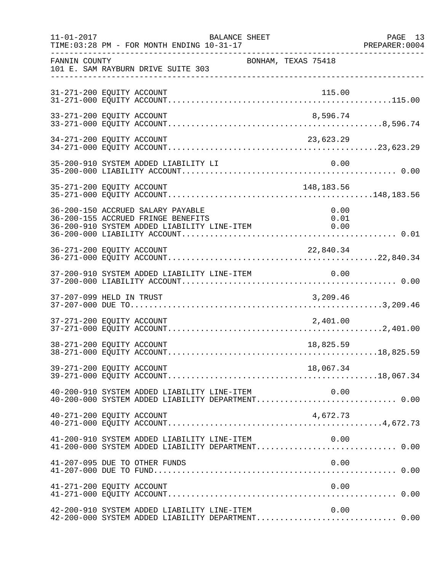| $11 - 01 - 2017$ | BALANCE SHEET<br>TIME: 03:28 PM - FOR MONTH ENDING 10-31-17                                                                                    | PAGE 13<br>PREPARER: 0004 |
|------------------|------------------------------------------------------------------------------------------------------------------------------------------------|---------------------------|
| FANNIN COUNTY    | ____________________________________<br>BONHAM, TEXAS 75418<br>101 E. SAM RAYBURN DRIVE SUITE 303                                              |                           |
|                  | 31-271-200 EQUITY ACCOUNT<br>115.00                                                                                                            |                           |
|                  | 33-271-200 EQUITY ACCOUNT<br>8,596.74                                                                                                          |                           |
|                  | 34-271-200 EQUITY ACCOUNT<br>23,623.29                                                                                                         |                           |
|                  | 35-200-910 SYSTEM ADDED LIABILITY LI<br>0.00                                                                                                   |                           |
|                  | 35-271-200 EQUITY ACCOUNT<br>148,183.56                                                                                                        |                           |
|                  | 36-200-150 ACCRUED SALARY PAYABLE<br>0.00<br>36-200-155 ACCRUED FRINGE BENEFITS<br>0.01<br>36-200-910 SYSTEM ADDED LIABILITY LINE-ITEM<br>0.00 |                           |
|                  | 36-271-200 EQUITY ACCOUNT<br>22,840.34                                                                                                         |                           |
|                  |                                                                                                                                                |                           |
|                  | 37-207-099 HELD IN TRUST<br>3,209.46                                                                                                           |                           |
|                  |                                                                                                                                                |                           |
|                  | 38-271-200 EQUITY ACCOUNT<br>18,825.59                                                                                                         |                           |
|                  | 39-271-200 EQUITY ACCOUNT<br>18,067.34                                                                                                         |                           |
|                  |                                                                                                                                                |                           |
|                  | 40-271-200 EQUITY ACCOUNT<br>4,672.73                                                                                                          |                           |
|                  | 41-200-910 SYSTEM ADDED LIABILITY LINE-ITEM<br>0.00<br>41-200-000 SYSTEM ADDED LIABILITY DEPARTMENT 0.00                                       |                           |
|                  | 0.00<br>41-207-095 DUE TO OTHER FUNDS                                                                                                          |                           |
|                  | 41-271-200 EQUITY ACCOUNT<br>0.00                                                                                                              |                           |
|                  | 42-200-910 SYSTEM ADDED LIABILITY LINE-ITEM<br>0.00<br>42-200-000 SYSTEM ADDED LIABILITY DEPARTMENT 0.00                                       |                           |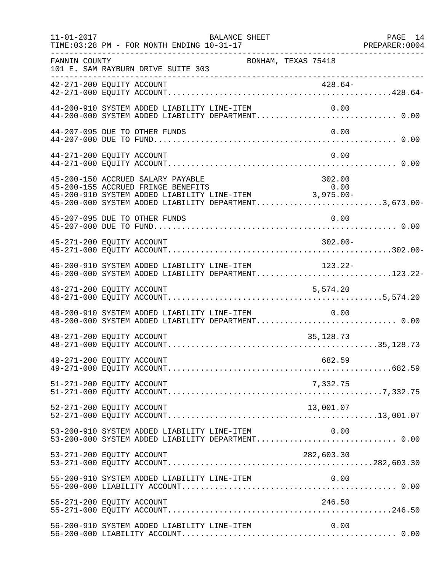| $11 - 01 - 2017$ | TIME: 03:28 PM - FOR MONTH ENDING 10-31-17                                                                                                                                                                                          | <b>BALANCE SHEET</b> | PAGE 14<br>PREPARER:0004<br>----------------- |  |
|------------------|-------------------------------------------------------------------------------------------------------------------------------------------------------------------------------------------------------------------------------------|----------------------|-----------------------------------------------|--|
| FANNIN COUNTY    | 101 E. SAM RAYBURN DRIVE SUITE 303                                                                                                                                                                                                  | BONHAM, TEXAS 75418  |                                               |  |
|                  |                                                                                                                                                                                                                                     |                      |                                               |  |
|                  | 44-200-910 SYSTEM ADDED LIABILITY LINE-ITEM                                                                                                                                                                                         |                      | 0.00                                          |  |
|                  | 44-207-095 DUE TO OTHER FUNDS                                                                                                                                                                                                       |                      | 0.00                                          |  |
|                  | 44-271-200 EQUITY ACCOUNT                                                                                                                                                                                                           |                      | 0.00                                          |  |
|                  | 45-200-150 ACCRUED SALARY PAYABLE<br>95-200-150 ACCRUED SALARY PAYABLE<br>45-200-155 ACCRUED FRINGE BENEFITS 0.00<br>45-200-910 SYSTEM ADDED LIABILITY LINE-ITEM 3,975.00-<br>45-200-000 SYSTEM ADDED LIABILITY DEPARTMENT3,673.00- |                      | 302.00                                        |  |
|                  | 45-207-095 DUE TO OTHER FUNDS                                                                                                                                                                                                       |                      | 0.00                                          |  |
|                  | 45-271-200 EQUITY ACCOUNT                                                                                                                                                                                                           |                      | $302.00 -$                                    |  |
|                  | 46-200-910 SYSTEM ADDED LIABILITY LINE-ITEM 123.22-<br>46-200-000 SYSTEM ADDED LIABILITY DEPARTMENT123.22-                                                                                                                          |                      |                                               |  |
|                  | 46-271-200 EQUITY ACCOUNT                                                                                                                                                                                                           |                      | 5,574.20                                      |  |
|                  | 48-200-910 SYSTEM ADDED LIABILITY LINE-ITEM<br>48-200-000 SYSTEM ADDED LIABILITY DEPARTMENT 0.00                                                                                                                                    |                      | 0.00                                          |  |
|                  | 48-271-200 EQUITY ACCOUNT                                                                                                                                                                                                           |                      | 35, 128. 73                                   |  |
|                  | 49-271-200 EQUITY ACCOUNT                                                                                                                                                                                                           |                      | 682.59                                        |  |
|                  | 51-271-200 EQUITY ACCOUNT                                                                                                                                                                                                           |                      | 7,332.75                                      |  |
|                  | 52-271-200 EQUITY ACCOUNT                                                                                                                                                                                                           |                      | 13,001.07                                     |  |
|                  | 53-200-910 SYSTEM ADDED LIABILITY LINE-ITEM<br>53-200-000 SYSTEM ADDED LIABILITY DEPARTMENT 0.00                                                                                                                                    |                      | 0.00                                          |  |
|                  | 53-271-200 EQUITY ACCOUNT                                                                                                                                                                                                           |                      | 282,603.30                                    |  |
|                  | 55-200-910 SYSTEM ADDED LIABILITY LINE-ITEM                                                                                                                                                                                         |                      | 0.00                                          |  |
|                  | 55-271-200 EQUITY ACCOUNT                                                                                                                                                                                                           |                      | 246.50                                        |  |
|                  | 56-200-910 SYSTEM ADDED LIABILITY LINE-ITEM                                                                                                                                                                                         |                      | 0.00                                          |  |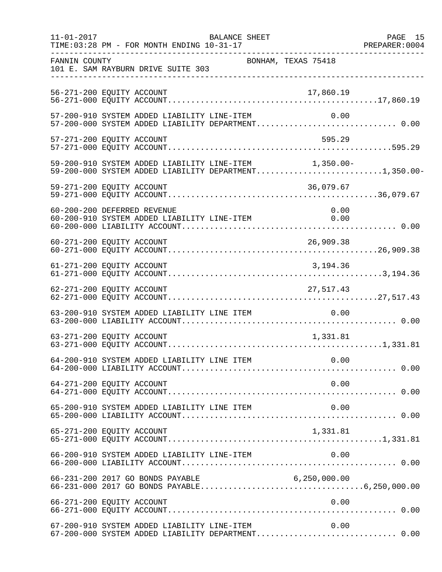| $11 - 01 - 2017$ | BALANCE SHEET<br>TIME: 03:28 PM - FOR MONTH ENDING 10-31-17                                                    |                     | PAGE 15 |
|------------------|----------------------------------------------------------------------------------------------------------------|---------------------|---------|
| FANNIN COUNTY    | 101 E. SAM RAYBURN DRIVE SUITE 303                                                                             | BONHAM, TEXAS 75418 |         |
|                  | 56-271-200 EQUITY ACCOUNT                                                                                      | 17,860.19           |         |
|                  | 57-200-910 SYSTEM ADDED LIABILITY LINE-ITEM<br>57-200-000 SYSTEM ADDED LIABILITY DEPARTMENT 0.00               | 0.00                |         |
|                  | 57-271-200 EQUITY ACCOUNT                                                                                      | 595.29              |         |
|                  | 59-200-910 SYSTEM ADDED LIABILITY LINE-ITEM 1,350.00-<br>59-200-000 SYSTEM ADDED LIABILITY DEPARTMENT1,350.00- |                     |         |
|                  | 59-271-200 EQUITY ACCOUNT                                                                                      | 36,079.67           |         |
|                  | 60-200-200 DEFERRED REVENUE<br>60-200-910 SYSTEM ADDED LIABILITY LINE-ITEM 0.00                                | 0.00                |         |
|                  | 60-271-200 EQUITY ACCOUNT                                                                                      | 26,909.38           |         |
|                  | 61-271-200 EQUITY ACCOUNT                                                                                      | 3, 194. 36          |         |
|                  | 62-271-200 EQUITY ACCOUNT                                                                                      | 27,517.43           |         |
|                  | 63-200-910 SYSTEM ADDED LIABILITY LINE ITEM                                                                    | 0.00                |         |
|                  | 63-271-200 EQUITY ACCOUNT                                                                                      | 1,331.81            |         |
|                  |                                                                                                                |                     |         |
|                  | 64-271-200 EQUITY ACCOUNT                                                                                      | 0.00                |         |
|                  | 65-200-910 SYSTEM ADDED LIABILITY LINE ITEM                                                                    | 0.00                |         |
|                  | 65-271-200 EQUITY ACCOUNT                                                                                      | 1,331.81            |         |
|                  | 66-200-910 SYSTEM ADDED LIABILITY LINE-ITEM                                                                    | 0.00                |         |
|                  |                                                                                                                |                     |         |
|                  | 66-271-200 EQUITY ACCOUNT                                                                                      | 0.00                |         |
|                  | 67-200-910 SYSTEM ADDED LIABILITY LINE-ITEM<br>67-200-000 SYSTEM ADDED LIABILITY DEPARTMENT 0.00               | 0.00                |         |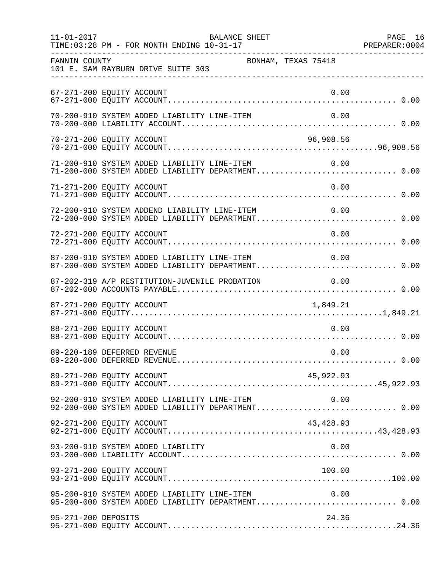| $11 - 01 - 2017$    | BALANCE SHEET<br>TIME: 03:28 PM - FOR MONTH ENDING 10-31-17                                               | PAGE 16 |
|---------------------|-----------------------------------------------------------------------------------------------------------|---------|
| FANNIN COUNTY       | BONHAM, TEXAS 75418<br>101 E. SAM RAYBURN DRIVE SUITE 303                                                 |         |
|                     | 67-271-200 EQUITY ACCOUNT<br>0.00                                                                         |         |
|                     | 70-200-910 SYSTEM ADDED LIABILITY LINE-ITEM<br>0.00                                                       |         |
|                     | 70-271-200 EQUITY ACCOUNT<br>96,908.56                                                                    |         |
|                     | 71-200-910 SYSTEM ADDED LIABILITY LINE-ITEM 0.00<br>71-200-000 SYSTEM ADDED LIABILITY DEPARTMENT 0.00     |         |
|                     | 71-271-200 EQUITY ACCOUNT<br>0.00                                                                         |         |
|                     | 72-200-910 SYSTEM ADDEND LIABILITY LINE-ITEM<br>0.00<br>72-200-000 SYSTEM ADDED LIABILITY DEPARTMENT 0.00 |         |
|                     | 0.00<br>72-271-200 EQUITY ACCOUNT                                                                         |         |
|                     |                                                                                                           |         |
|                     | 87-202-319 A/P RESTITUTION-JUVENILE PROBATION<br>0.00                                                     |         |
|                     | 87-271-200 EQUITY ACCOUNT<br>1,849.21                                                                     |         |
|                     | 0.00<br>88-271-200 EQUITY ACCOUNT                                                                         |         |
|                     | 89-220-189 DEFERRED REVENUE<br>0.00                                                                       |         |
|                     | 89-271-200 EQUITY ACCOUNT<br>45,922.93                                                                    |         |
|                     | 92-200-910 SYSTEM ADDED LIABILITY LINE-ITEM<br>0.00                                                       |         |
|                     | 92-271-200 EQUITY ACCOUNT<br>43,428.93                                                                    |         |
|                     | 0.00<br>93-200-910 SYSTEM ADDED LIABILITY                                                                 |         |
|                     | 100.00<br>93-271-200 EQUITY ACCOUNT                                                                       |         |
|                     | 95-200-910 SYSTEM ADDED LIABILITY LINE-ITEM<br>0.00<br>95-200-000 SYSTEM ADDED LIABILITY DEPARTMENT 0.00  |         |
| 95-271-200 DEPOSITS | 24.36                                                                                                     |         |